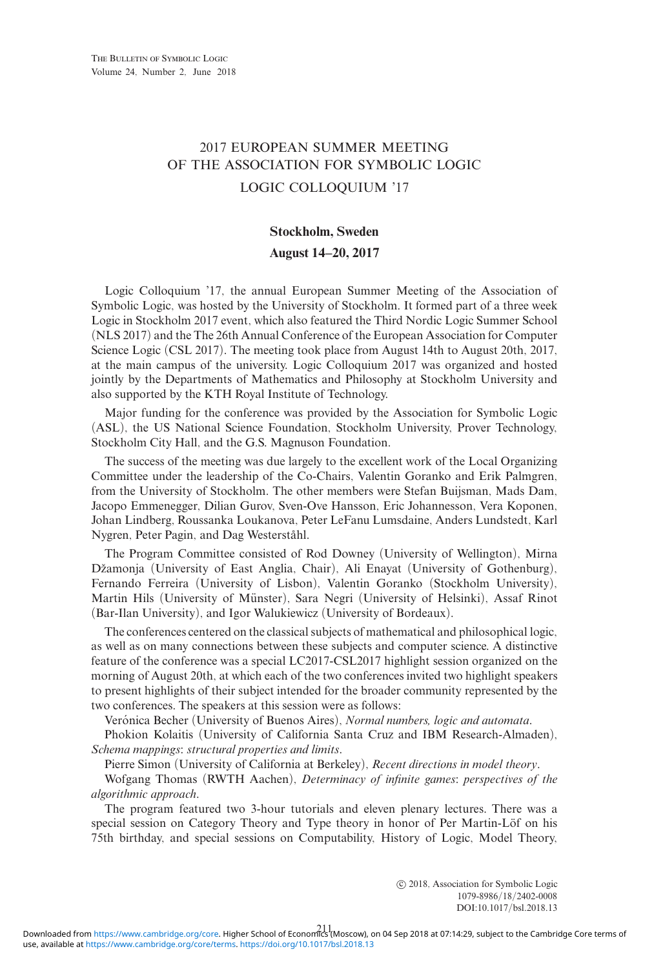# 2017 EUROPEAN SUMMER MEETING OF THE ASSOCIATION FOR SYMBOLIC LOGIC

# LOGIC COLLOQUIUM '17

### **Stockholm, Sweden**

### **August 14–20, 2017**

Logic Colloquium '17, the annual European Summer Meeting of the Association of Symbolic Logic, was hosted by the University of Stockholm. It formed part of a three week Logic in Stockholm 2017 event, which also featured the Third Nordic Logic Summer School (NLS 2017) and the The 26th Annual Conference of the European Association for Computer Science Logic (CSL 2017). The meeting took place from August 14th to August 20th, 2017, at the main campus of the university. Logic Colloquium 2017 was organized and hosted jointly by the Departments of Mathematics and Philosophy at Stockholm University and also supported by the KTH Royal Institute of Technology.

Major funding for the conference was provided by the Association for Symbolic Logic (ASL), the US National Science Foundation, Stockholm University, Prover Technology, Stockholm City Hall, and the G.S. Magnuson Foundation.

The success of the meeting was due largely to the excellent work of the Local Organizing Committee under the leadership of the Co-Chairs, Valentin Goranko and Erik Palmgren, from the University of Stockholm. The other members were Stefan Buijsman, Mads Dam, Jacopo Emmenegger, Dilian Gurov, Sven-Ove Hansson, Eric Johannesson, Vera Koponen, Johan Lindberg, Roussanka Loukanova, Peter LeFanu Lumsdaine, Anders Lundstedt, Karl Nygren, Peter Pagin, and Dag Westerståhl.

The Program Committee consisted of Rod Downey (University of Wellington), Mirna Džamonja (University of East Anglia, Chair), Ali Enayat (University of Gothenburg), Fernando Ferreira (University of Lisbon), Valentin Goranko (Stockholm University), Martin Hils (University of Munster), Sara Negri (University of Helsinki), Assaf Rinot ¨ (Bar-Ilan University), and Igor Walukiewicz (University of Bordeaux).

The conferences centered on the classical subjects of mathematical and philosophical logic, as well as on many connections between these subjects and computer science. A distinctive feature of the conference was a special LC2017-CSL2017 highlight session organized on the morning of August 20th, at which each of the two conferences invited two highlight speakers to present highlights of their subject intended for the broader community represented by the two conferences. The speakers at this session were as follows:

Verónica Becher (University of Buenos Aires), *Normal numbers, logic and automata*.

Phokion Kolaitis (University of California Santa Cruz and IBM Research-Almaden), *Schema mappings*: *structural properties and limits*.

Pierre Simon (University of California at Berkeley), *Recent directions in model theory*.

Wofgang Thomas (RWTH Aachen), *Determinacy of infinite games*: *perspectives of the algorithmic approach*.

The program featured two 3-hour tutorials and eleven plenary lectures. There was a special session on Category Theory and Type theory in honor of Per Martin-Löf on his 75th birthday, and special sessions on Computability, History of Logic, Model Theory,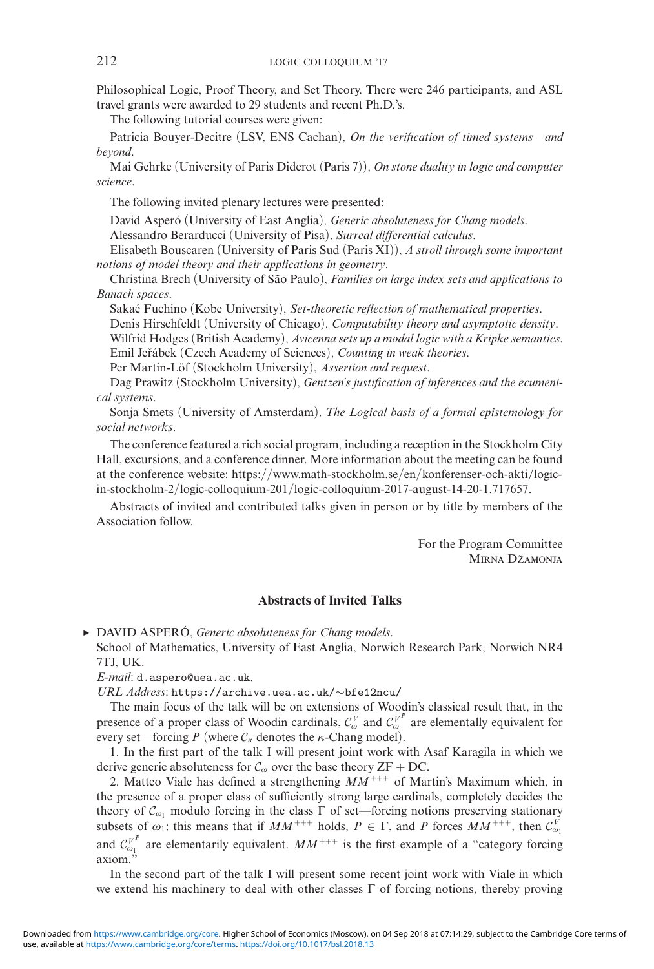Philosophical Logic, Proof Theory, and Set Theory. There were 246 participants, and ASL travel grants were awarded to 29 students and recent Ph.D.'s.

The following tutorial courses were given:

Patricia Bouyer-Decitre (LSV, ENS Cachan), *On the verification of timed systems—and beyond*.

Mai Gehrke (University of Paris Diderot (Paris 7)), *On stone duality in logic and computer science*.

The following invited plenary lectures were presented:

David Asperó (University of East Anglia), *Generic absoluteness for Chang models*.

Alessandro Berarducci (University of Pisa), *Surreal differential calculus*.

Elisabeth Bouscaren (University of Paris Sud (Paris XI)), *A stroll through some important notions of model theory and their applications in geometry*.

Christina Brech (University of São Paulo), *Families on large index sets and applications to Banach spaces*.

Sakaé Fuchino (Kobe University), Set-theoretic reflection of mathematical properties.

Denis Hirschfeldt (University of Chicago), *Computability theory and asymptotic density*. Wilfrid Hodges (British Academy), *Avicenna sets up a modal logic with a Kripke semantics*.

Emil Jeřábek (Czech Academy of Sciences), *Counting in weak theories*.

Per Martin-Löf (Stockholm University), *Assertion and request*.

Dag Prawitz (Stockholm University), *Gentzen's justification of inferences and the ecumenical systems*.

Sonja Smets (University of Amsterdam), *The Logical basis of a formal epistemology for social networks*.

The conference featured a rich social program, including a reception in the Stockholm City Hall, excursions, and a conference dinner. More information about the meeting can be found at the conference website: https://www.math-stockholm.se/en/konferenser-och-akti/logicin-stockholm-2/logic-colloquium-201/logic-colloquium-2017-august-14-20-1.717657.

Abstracts of invited and contributed talks given in person or by title by members of the Association follow.

> For the Program Committee MIRNA DŽAMONJA

# **Abstracts of Invited Talks**

 $\triangleright$  DAVID ASPERÓ, Generic absoluteness for Chang models.

School of Mathematics, University of East Anglia, Norwich Research Park, Norwich NR4 7TJ, UK.

*E-mail*: d.aspero@uea.ac.uk.

*URL Address*: https://archive.uea.ac.uk/∼bfe12ncu/

The main focus of the talk will be on extensions of Woodin's classical result that, in the presence of a proper class of Woodin cardinals,  $\mathcal{C}^V_\omega$  and  $\mathcal{C}^{V^P}_\omega$  are elementally equivalent for every set—forcing *P* (where  $C_{\kappa}$  denotes the  $\kappa$ -Chang model).

1. In the first part of the talk I will present joint work with Asaf Karagila in which we derive generic absoluteness for  $C_{\omega}$  over the base theory  $ZF + DC$ .

2. Matteo Viale has defined a strengthening  $MM^{+++}$  of Martin's Maximum which, in the presence of a proper class of sufficiently strong large cardinals, completely decides the theory of  $\mathcal{C}_{\omega_1}$  modulo forcing in the class Γ of set—forcing notions preserving stationary subsets of  $\omega_1$ ; this means that if  $MM^{+++}$  holds,  $P \in \Gamma$ , and P forces  $MM^{+++}$ , then  $\mathcal{C}^V_{\omega_1}$ and  $\mathcal{C}^{V^P}_{\omega_1}$  are elementarily equivalent.  $MM^{+++}$  is the first example of a "category forcing axiom.'

In the second part of the talk I will present some recent joint work with Viale in which we extend his machinery to deal with other classes  $\Gamma$  of forcing notions, thereby proving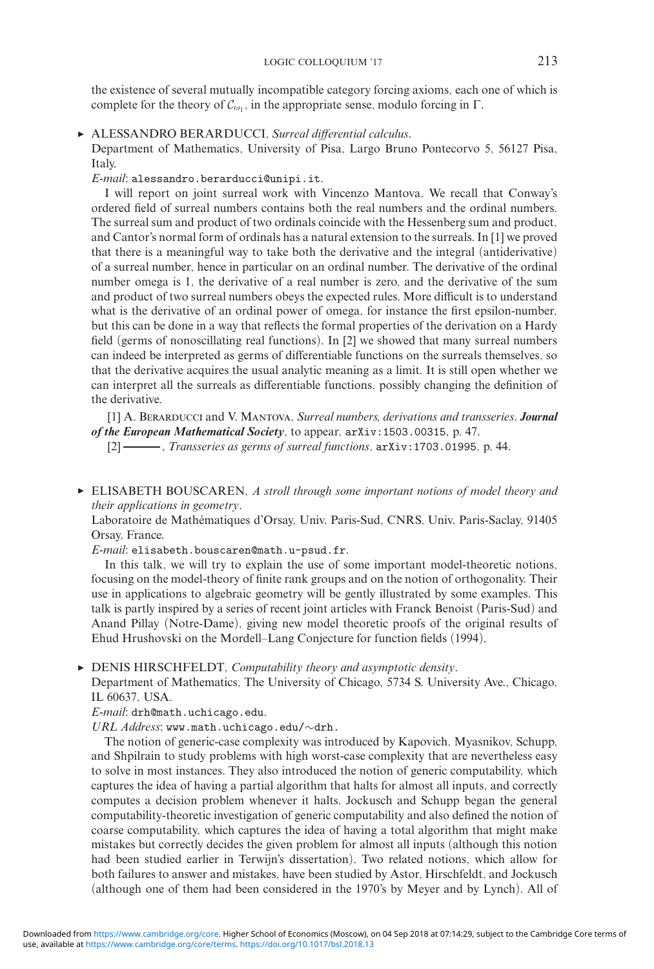the existence of several mutually incompatible category forcing axioms, each one of which is complete for the theory of  $\mathcal{C}_{\omega_1}$ , in the appropriate sense, modulo forcing in  $\Gamma$ .

- ALESSANDRO BERARDUCCI, *Surreal differential calculus*.

Department of Mathematics, University of Pisa, Largo Bruno Pontecorvo 5, 56127 Pisa, Italy.

*E-mail*: alessandro.berarducci@unipi.it.

I will report on joint surreal work with Vincenzo Mantova. We recall that Conway's ordered field of surreal numbers contains both the real numbers and the ordinal numbers. The surreal sum and product of two ordinals coincide with the Hessenberg sum and product, and Cantor's normal form of ordinals has a natural extension to the surreals. In [1] we proved that there is a meaningful way to take both the derivative and the integral (antiderivative) of a surreal number, hence in particular on an ordinal number. The derivative of the ordinal number omega is 1, the derivative of a real number is zero, and the derivative of the sum and product of two surreal numbers obeys the expected rules. More difficult is to understand what is the derivative of an ordinal power of omega, for instance the first epsilon-number, but this can be done in a way that reflects the formal properties of the derivation on a Hardy field (germs of nonoscillating real functions). In [2] we showed that many surreal numbers can indeed be interpreted as germs of differentiable functions on the surreals themselves, so that the derivative acquires the usual analytic meaning as a limit. It is still open whether we can interpret all the surreals as differentiable functions, possibly changing the definition of the derivative.

[1] A. Berarducci and V. Mantova, *Surreal numbers, derivations and transseries*. *Journal of the European Mathematical Society*, to appear, arXiv:1503.00315, p. 47.

[2] , *Transseries as germs of surreal functions*, arXiv:1703.01995, p. 44.

- ELISABETH BOUSCAREN, *A stroll through some important notions of model theory and their applications in geometry*.

Laboratoire de Mathematiques d'Orsay, Univ. Paris-Sud, CNRS, Univ. Paris-Saclay, 91405 ´ Orsay, France.

*E-mail*: elisabeth.bouscaren@math.u-psud.fr.

In this talk, we will try to explain the use of some important model-theoretic notions, focusing on the model-theory of finite rank groups and on the notion of orthogonality. Their use in applications to algebraic geometry will be gently illustrated by some examples. This talk is partly inspired by a series of recent joint articles with Franck Benoist (Paris-Sud) and Anand Pillay (Notre-Dame), giving new model theoretic proofs of the original results of Ehud Hrushovski on the Mordell–Lang Conjecture for function fields (1994).

- DENIS HIRSCHFELDT, *Computability theory and asymptotic density*.

Department of Mathematics, The University of Chicago, 5734 S. University Ave., Chicago, IL 60637, USA.

*E-mail*: drh@math.uchicago.edu.

*URL Address*: www.math.uchicago.edu/∼drh.

The notion of generic-case complexity was introduced by Kapovich, Myasnikov, Schupp, and Shpilrain to study problems with high worst-case complexity that are nevertheless easy to solve in most instances. They also introduced the notion of generic computability, which captures the idea of having a partial algorithm that halts for almost all inputs, and correctly computes a decision problem whenever it halts. Jockusch and Schupp began the general computability-theoretic investigation of generic computability and also defined the notion of coarse computability, which captures the idea of having a total algorithm that might make mistakes but correctly decides the given problem for almost all inputs (although this notion had been studied earlier in Terwijn's dissertation). Two related notions, which allow for both failures to answer and mistakes, have been studied by Astor, Hirschfeldt, and Jockusch (although one of them had been considered in the 1970's by Meyer and by Lynch). All of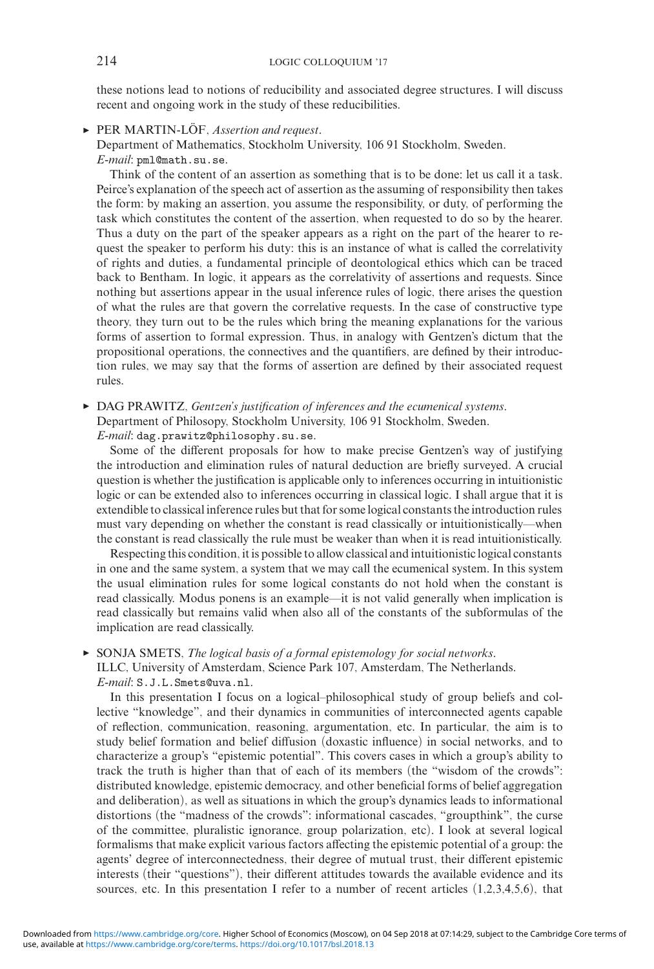these notions lead to notions of reducibility and associated degree structures. I will discuss recent and ongoing work in the study of these reducibilities.

▶ PER MARTIN-LÖF, Assertion and request.

Department of Mathematics, Stockholm University, 106 91 Stockholm, Sweden. *E-mail*: pml@math.su.se.

Think of the content of an assertion as something that is to be done: let us call it a task. Peirce's explanation of the speech act of assertion as the assuming of responsibility then takes the form: by making an assertion, you assume the responsibility, or duty, of performing the task which constitutes the content of the assertion, when requested to do so by the hearer. Thus a duty on the part of the speaker appears as a right on the part of the hearer to request the speaker to perform his duty: this is an instance of what is called the correlativity of rights and duties, a fundamental principle of deontological ethics which can be traced back to Bentham. In logic, it appears as the correlativity of assertions and requests. Since nothing but assertions appear in the usual inference rules of logic, there arises the question of what the rules are that govern the correlative requests. In the case of constructive type theory, they turn out to be the rules which bring the meaning explanations for the various forms of assertion to formal expression. Thus, in analogy with Gentzen's dictum that the propositional operations, the connectives and the quantifiers, are defined by their introduction rules, we may say that the forms of assertion are defined by their associated request rules.

# - DAG PRAWITZ, *Gentzen's justification of inferences and the ecumenical systems*.

Department of Philosopy, Stockholm University, 106 91 Stockholm, Sweden.

*E-mail*: dag.prawitz@philosophy.su.se.

Some of the different proposals for how to make precise Gentzen's way of justifying the introduction and elimination rules of natural deduction are briefly surveyed. A crucial question is whether the justification is applicable only to inferences occurring in intuitionistic logic or can be extended also to inferences occurring in classical logic. I shall argue that it is extendible to classical inference rules but that for some logical constants the introduction rules must vary depending on whether the constant is read classically or intuitionistically—when the constant is read classically the rule must be weaker than when it is read intuitionistically.

Respecting this condition, it is possible to allow classical and intuitionistic logical constants in one and the same system, a system that we may call the ecumenical system. In this system the usual elimination rules for some logical constants do not hold when the constant is read classically. Modus ponens is an example—it is not valid generally when implication is read classically but remains valid when also all of the constants of the subformulas of the implication are read classically.

- SONJA SMETS, *The logical basis of a formal epistemology for social networks*.

ILLC, University of Amsterdam, Science Park 107, Amsterdam, The Netherlands. *E-mail*: S.J.L.Smets@uva.nl.

In this presentation I focus on a logical–philosophical study of group beliefs and collective "knowledge", and their dynamics in communities of interconnected agents capable of reflection, communication, reasoning, argumentation, etc. In particular, the aim is to study belief formation and belief diffusion (doxastic influence) in social networks, and to characterize a group's "epistemic potential". This covers cases in which a group's ability to track the truth is higher than that of each of its members (the "wisdom of the crowds": distributed knowledge, epistemic democracy, and other beneficial forms of belief aggregation and deliberation), as well as situations in which the group's dynamics leads to informational distortions (the "madness of the crowds": informational cascades, "groupthink", the curse of the committee, pluralistic ignorance, group polarization, etc). I look at several logical formalisms that make explicit various factors affecting the epistemic potential of a group: the agents' degree of interconnectedness, their degree of mutual trust, their different epistemic interests (their "questions"), their different attitudes towards the available evidence and its sources, etc. In this presentation I refer to a number of recent articles (1,2,3,4,5,6), that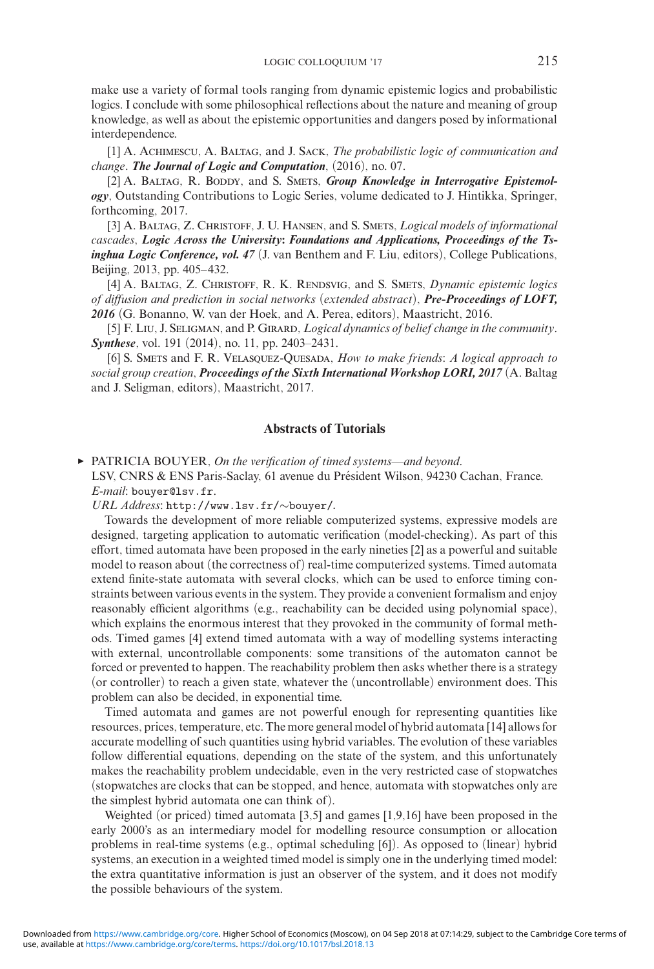make use a variety of formal tools ranging from dynamic epistemic logics and probabilistic logics. I conclude with some philosophical reflections about the nature and meaning of group knowledge, as well as about the epistemic opportunities and dangers posed by informational interdependence.

[1] A. Achimescu, A. Baltag, and J. Sack, *The probabilistic logic of communication and change*. *The Journal of Logic and Computation*, (2016), no. 07.

[2] A. BALTAG, R. BODDY, and S. SMETS, *Group Knowledge in Interrogative Epistemology*, Outstanding Contributions to Logic Series, volume dedicated to J. Hintikka, Springer, forthcoming, 2017.

[3] A. Baltag, Z. Christoff, J. U. Hansen, and S. Smets, *Logical models of informational cascades*, *Logic Across the University***:** *Foundations and Applications, Proceedings of the Tsinghua Logic Conference, vol. 47* (J. van Benthem and F. Liu, editors), College Publications, Beijing, 2013, pp. 405–432.

[4] A. Baltag, Z. Christoff, R. K. Rendsvig, and S. Smets, *Dynamic epistemic logics of diffusion and prediction in social networks* (*extended abstract*), *Pre-Proceedings of LOFT, 2016* (G. Bonanno, W. van der Hoek, and A. Perea, editors), Maastricht, 2016.

[5] F. Liu, J. Seligman, and P. Girard, *Logical dynamics of belief change in the community*. *Synthese*, vol. 191 (2014), no. 11, pp. 2403–2431.

[6] S. Smets and F. R. Velasquez-Quesada, *How to make friends*: *A logical approach to social group creation*, *Proceedings of the Sixth International Workshop LORI, 2017* (A. Baltag and J. Seligman, editors), Maastricht, 2017.

# **Abstracts of Tutorials**

► PATRICIA BOUYER, *On the verification of timed systems—and beyond*. LSV, CNRS & ENS Paris-Saclay, 61 avenue du President Wilson, 94230 Cachan, France. ´ *E-mail*: bouyer@lsv.fr.

*URL Address*: http://www.lsv.fr/∼bouyer/.

Towards the development of more reliable computerized systems, expressive models are designed, targeting application to automatic verification (model-checking). As part of this effort, timed automata have been proposed in the early nineties [2] as a powerful and suitable model to reason about (the correctness of) real-time computerized systems. Timed automata extend finite-state automata with several clocks, which can be used to enforce timing constraints between various events in the system. They provide a convenient formalism and enjoy reasonably efficient algorithms (e.g., reachability can be decided using polynomial space), which explains the enormous interest that they provoked in the community of formal methods. Timed games [4] extend timed automata with a way of modelling systems interacting with external, uncontrollable components: some transitions of the automaton cannot be forced or prevented to happen. The reachability problem then asks whether there is a strategy (or controller) to reach a given state, whatever the (uncontrollable) environment does. This problem can also be decided, in exponential time.

Timed automata and games are not powerful enough for representing quantities like resources, prices, temperature, etc. The more general model of hybrid automata [14] allows for accurate modelling of such quantities using hybrid variables. The evolution of these variables follow differential equations, depending on the state of the system, and this unfortunately makes the reachability problem undecidable, even in the very restricted case of stopwatches (stopwatches are clocks that can be stopped, and hence, automata with stopwatches only are the simplest hybrid automata one can think of).

Weighted (or priced) timed automata [3,5] and games [1,9,16] have been proposed in the early 2000's as an intermediary model for modelling resource consumption or allocation problems in real-time systems (e.g., optimal scheduling [6]). As opposed to (linear) hybrid systems, an execution in a weighted timed model is simply one in the underlying timed model: the extra quantitative information is just an observer of the system, and it does not modify the possible behaviours of the system.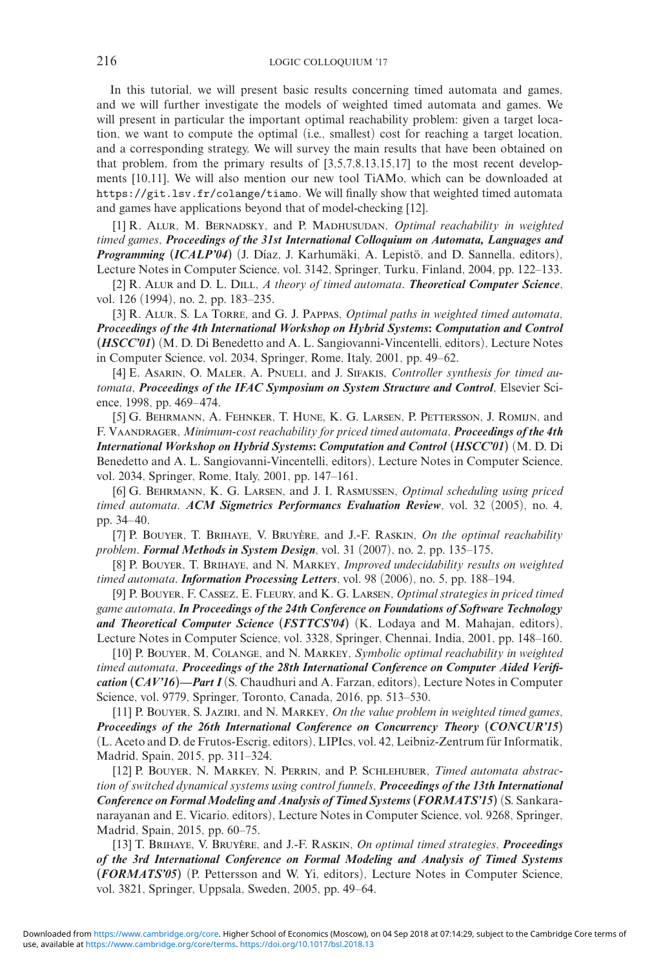In this tutorial, we will present basic results concerning timed automata and games, and we will further investigate the models of weighted timed automata and games. We will present in particular the important optimal reachability problem: given a target location, we want to compute the optimal (i.e., smallest) cost for reaching a target location, and a corresponding strategy. We will survey the main results that have been obtained on that problem, from the primary results of [3,5,7,8,13,15,17] to the most recent developments [10,11]. We will also mention our new tool TiAMo, which can be downloaded at https://git.lsv.fr/colange/tiamo. We will finally show that weighted timed automata and games have applications beyond that of model-checking [12].

[1] R. Alur, M. Bernadsky, and P. Madhusudan, *Optimal reachability in weighted timed games*, *Proceedings of the 31st International Colloquium on Automata, Languages and Programming* (*ICALP'04*) (J. Díaz, J. Karhumäki, A. Lepistö, and D. Sannella, editors), Lecture Notes in Computer Science, vol. 3142, Springer, Turku, Finland, 2004, pp. 122–133.

[2] R. Alur and D. L. Dill, *A theory of timed automata*. *Theoretical Computer Science*, vol. 126 (1994), no. 2, pp. 183–235.

[3] R. Alur, S. La Torre, and G. J. Pappas, *Optimal paths in weighted timed automata*, *Proceedings of the 4th International Workshop on Hybrid Systems***:** *Computation and Control* **(***HSCC'01***)** (M. D. Di Benedetto and A. L. Sangiovanni-Vincentelli, editors), Lecture Notes in Computer Science, vol. 2034, Springer, Rome, Italy, 2001, pp. 49–62.

[4] E. Asarin, O. Maler, A. Pnueli, and J. Sifakis, *Controller synthesis for timed automata*, *Proceedings of the IFAC Symposium on System Structure and Control*, Elsevier Science, 1998, pp. 469–474.

[5] G. Behrmann, A. Fehnker, T. Hune, K. G. Larsen, P. Pettersson, J. Romijn, and F. Vaandrager, *Minimum-cost reachability for priced timed automata*, *Proceedings of the 4th International Workshop on Hybrid Systems***:** *Computation and Control* **(***HSCC'01***)** (M. D. Di Benedetto and A. L. Sangiovanni-Vincentelli, editors), Lecture Notes in Computer Science, vol. 2034, Springer, Rome, Italy, 2001, pp. 147–161.

[6] G. Behrmann, K. G. Larsen, and J. I. Rasmussen, *Optimal scheduling using priced timed automata*. *ACM Sigmetrics Performancs Evaluation Review*, vol. 32 (2005), no. 4, pp. 34–40.

[7] P. BOUYER, T. BRIHAYE, V. BRUYÈRE, and J.-F. RASKIN, *On the optimal reachability problem*. *Formal Methods in System Design*, vol. 31 (2007), no. 2, pp. 135–175.

[8] P. Bouyer, T. Brihaye, and N. Markey, *Improved undecidability results on weighted timed automata*. *Information Processing Letters*, vol. 98 (2006), no. 5, pp. 188–194.

[9] P. Bouyer, F. Cassez, E. Fleury, and K. G. Larsen, *Optimal strategies in priced timed game automata*, *In Proceedings of the 24th Conference on Foundations of Software Technology and Theoretical Computer Science* **(***FSTTCS'04***)** (K. Lodaya and M. Mahajan, editors), Lecture Notes in Computer Science, vol. 3328, Springer, Chennai, India, 2001, pp. 148–160.

[10] P. Bouyer, M, Colange, and N. Markey, *Symbolic optimal reachability in weighted timed automata*, *Proceedings of the 28th International Conference on Computer Aided Verification* **(***CAV'16***)***—Part I* (S. Chaudhuri and A. Farzan, editors), Lecture Notes in Computer Science, vol. 9779, Springer, Toronto, Canada, 2016, pp. 513–530.

[11] P. Bouyer, S. Jaziri, and N. Markey, *On the value problem in weighted timed games*, *Proceedings of the 26th International Conference on Concurrency Theory* **(***CONCUR'15***)** (L. Aceto and D. de Frutos-Escrig, editors), LIPIcs, vol. 42, Leibniz-Zentrum fur Informatik, ¨ Madrid, Spain, 2015, pp. 311–324.

[12] P. Bouyer, N. Markey, N. Perrin, and P. Schlehuber, *Timed automata abstraction of switched dynamical systems using control funnels*, *Proceedings of the 13th International Conference on Formal Modeling and Analysis of Timed Systems***(***FORMATS'15***)**(S. Sankaranarayanan and E. Vicario, editors), Lecture Notes in Computer Science, vol. 9268, Springer, Madrid, Spain, 2015, pp. 60–75.

[13] T. BRIHAYE, V. BRUYÈRE, and J.-F. RASKIN, *On optimal timed strategies*, *Proceedings of the 3rd International Conference on Formal Modeling and Analysis of Timed Systems* **(***FORMATS'05***)** (P. Pettersson and W. Yi, editors), Lecture Notes in Computer Science, vol. 3821, Springer, Uppsala, Sweden, 2005, pp. 49–64.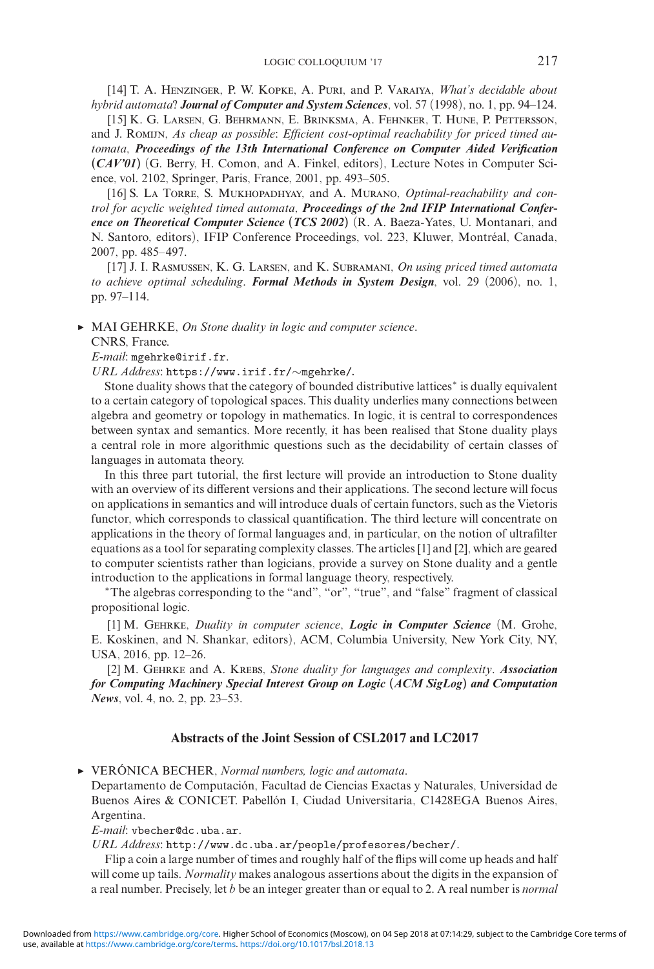[14] T. A. Henzinger, P. W. Kopke, A. Puri, and P. Varaiya, *What's decidable about hybrid automata*? *Journal of Computer and System Sciences*, vol. 57 (1998), no. 1, pp. 94–124.

[15] K. G. LARSEN, G. BEHRMANN, E. BRINKSMA, A. FEHNKER, T. HUNE, P. PETTERSSON, and J. ROMIJN, As cheap as possible: Efficient cost-optimal reachability for priced timed au*tomata*, *Proceedings of the 13th International Conference on Computer Aided Verification* **(***CAV'01***)** (G. Berry, H. Comon, and A. Finkel, editors), Lecture Notes in Computer Science, vol. 2102, Springer, Paris, France, 2001, pp. 493–505.

[16] S. La Torre, S. Mukhopadhyay, and A. Murano, *Optimal-reachability and control for acyclic weighted timed automata*, *Proceedings of the 2nd IFIP International Conference on Theoretical Computer Science* **(***TCS 2002***)** (R. A. Baeza-Yates, U. Montanari, and N. Santoro, editors), IFIP Conference Proceedings, vol. 223, Kluwer, Montreal, Canada, ´ 2007, pp. 485–497.

[17] J. I. Rasmussen, K. G. Larsen, and K. Subramani, *On using priced timed automata to achieve optimal scheduling*. *Formal Methods in System Design*, vol. 29 (2006), no. 1, pp. 97–114.

- MAI GEHRKE, *On Stone duality in logic and computer science*.

CNRS, France.

*E-mail*: mgehrke@irif.fr.

*URL Address*: https://www.irif.fr/∼mgehrke/.

Stone duality shows that the category of bounded distributive lattices<sup>∗</sup> is dually equivalent to a certain category of topological spaces. This duality underlies many connections between algebra and geometry or topology in mathematics. In logic, it is central to correspondences between syntax and semantics. More recently, it has been realised that Stone duality plays a central role in more algorithmic questions such as the decidability of certain classes of languages in automata theory.

In this three part tutorial, the first lecture will provide an introduction to Stone duality with an overview of its different versions and their applications. The second lecture will focus on applications in semantics and will introduce duals of certain functors, such as the Vietoris functor, which corresponds to classical quantification. The third lecture will concentrate on applications in the theory of formal languages and, in particular, on the notion of ultrafilter equations as a tool for separating complexity classes. The articles [1] and [2], which are geared to computer scientists rather than logicians, provide a survey on Stone duality and a gentle introduction to the applications in formal language theory, respectively.

<sup>∗</sup>The algebras corresponding to the "and", "or", "true", and "false" fragment of classical propositional logic.

[1] M. Gehrke, *Duality in computer science*, *Logic in Computer Science* (M. Grohe, E. Koskinen, and N. Shankar, editors), ACM, Columbia University, New York City, NY, USA, 2016, pp. 12–26.

[2] M. Gehrke and A. Krebs, *Stone duality for languages and complexity*. *Association for Computing Machinery Special Interest Group on Logic* **(***ACM SigLog***)** *and Computation News*, vol. 4, no. 2, pp. 23–53.

# **Abstracts of the Joint Session of CSL2017 and LC2017**

► VERÓNICA BECHER, *Normal numbers, logic and automata*.

Departamento de Computacion, Facultad de Ciencias Exactas y Naturales, Universidad de ´ Buenos Aires & CONICET. Pabellon I, Ciudad Universitaria, C1428EGA Buenos Aires, ´ Argentina.

*E-mail*: vbecher@dc.uba.ar.

*URL Address*: http://www.dc.uba.ar/people/profesores/becher/.

Flip a coin a large number of times and roughly half of the flips will come up heads and half will come up tails. *Normality* makes analogous assertions about the digits in the expansion of a real number. Precisely, let *b* be an integer greater than or equal to 2. A real number is *normal*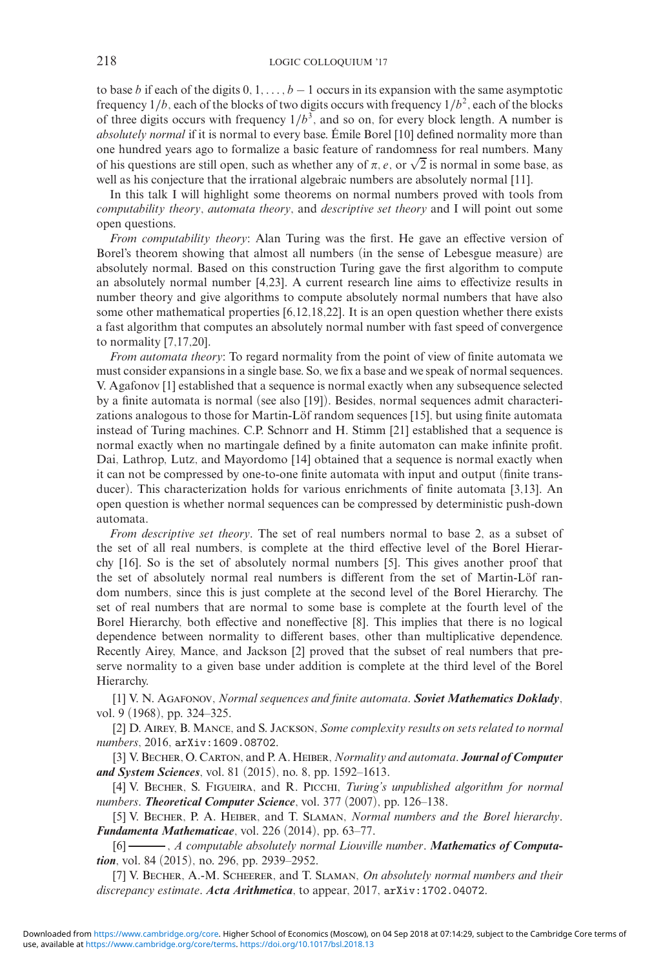to base *b* if each of the digits  $0, 1, \ldots, b - 1$  occurs in its expansion with the same asymptotic frequency  $1/b$ , each of the blocks of two digits occurs with frequency  $1/b^2$ , each of the blocks of three digits occurs with frequency  $1/b^3$ , and so on, for every block length. A number is *absolutely normal* if it is normal to every base. Emile Borel [10] defined normality more than ´ one hundred years ago to formalize a basic feature of randomness for real numbers. Many of his questions are still open, such as whether any of  $\pi$ , *e*, or  $\sqrt{2}$  is normal in some base, as well as his conjecture that the irrational algebraic numbers are absolutely normal [11].

In this talk I will highlight some theorems on normal numbers proved with tools from *computability theory*, *automata theory*, and *descriptive set theory* and I will point out some open questions.

*From computability theory*: Alan Turing was the first. He gave an effective version of Borel's theorem showing that almost all numbers (in the sense of Lebesgue measure) are absolutely normal. Based on this construction Turing gave the first algorithm to compute an absolutely normal number [4,23]. A current research line aims to effectivize results in number theory and give algorithms to compute absolutely normal numbers that have also some other mathematical properties [6,12,18,22]. It is an open question whether there exists a fast algorithm that computes an absolutely normal number with fast speed of convergence to normality [7,17,20].

*From automata theory*: To regard normality from the point of view of finite automata we must consider expansions in a single base. So, we fix a base and we speak of normal sequences. V. Agafonov [1] established that a sequence is normal exactly when any subsequence selected by a finite automata is normal (see also [19]). Besides, normal sequences admit characterizations analogous to those for Martin-Löf random sequences [15], but using finite automata instead of Turing machines. C.P. Schnorr and H. Stimm [21] established that a sequence is normal exactly when no martingale defined by a finite automaton can make infinite profit. Dai, Lathrop, Lutz, and Mayordomo [14] obtained that a sequence is normal exactly when it can not be compressed by one-to-one finite automata with input and output (finite transducer). This characterization holds for various enrichments of finite automata [3,13]. An open question is whether normal sequences can be compressed by deterministic push-down automata.

*From descriptive set theory*. The set of real numbers normal to base 2, as a subset of the set of all real numbers, is complete at the third effective level of the Borel Hierarchy [16]. So is the set of absolutely normal numbers [5]. This gives another proof that the set of absolutely normal real numbers is different from the set of Martin-Löf random numbers, since this is just complete at the second level of the Borel Hierarchy. The set of real numbers that are normal to some base is complete at the fourth level of the Borel Hierarchy, both effective and noneffective [8]. This implies that there is no logical dependence between normality to different bases, other than multiplicative dependence. Recently Airey, Mance, and Jackson [2] proved that the subset of real numbers that preserve normality to a given base under addition is complete at the third level of the Borel Hierarchy.

[1] V. N. Agafonov, *Normal sequences and finite automata*. *Soviet Mathematics Doklady*, vol. 9 (1968), pp. 324–325.

[2] D. Airey, B. Mance, and S. Jackson, *Some complexity results on sets related to normal numbers*, 2016, arXiv:1609.08702.

[3] V. Becher, O. Carton, and P. A. Heiber, *Normality and automata*. *Journal of Computer and System Sciences*, vol. 81 (2015), no. 8, pp. 1592–1613.

[4] V. Becher, S. Figueira, and R. Picchi, *Turing's unpublished algorithm for normal numbers*. *Theoretical Computer Science*, vol. 377 (2007), pp. 126–138.

[5] V. Becher, P. A. Heiber, and T. Slaman, *Normal numbers and the Borel hierarchy*. *Fundamenta Mathematicae*, vol. 226 (2014), pp. 63–77.

[6] , *A computable absolutely normal Liouville number*. *Mathematics of Computation*, vol. 84 (2015), no. 296, pp. 2939–2952.

[7] V. Becher, A.-M. Scheerer, and T. Slaman, *On absolutely normal numbers and their discrepancy estimate*. *Acta Arithmetica*, to appear, 2017, arXiv:1702.04072.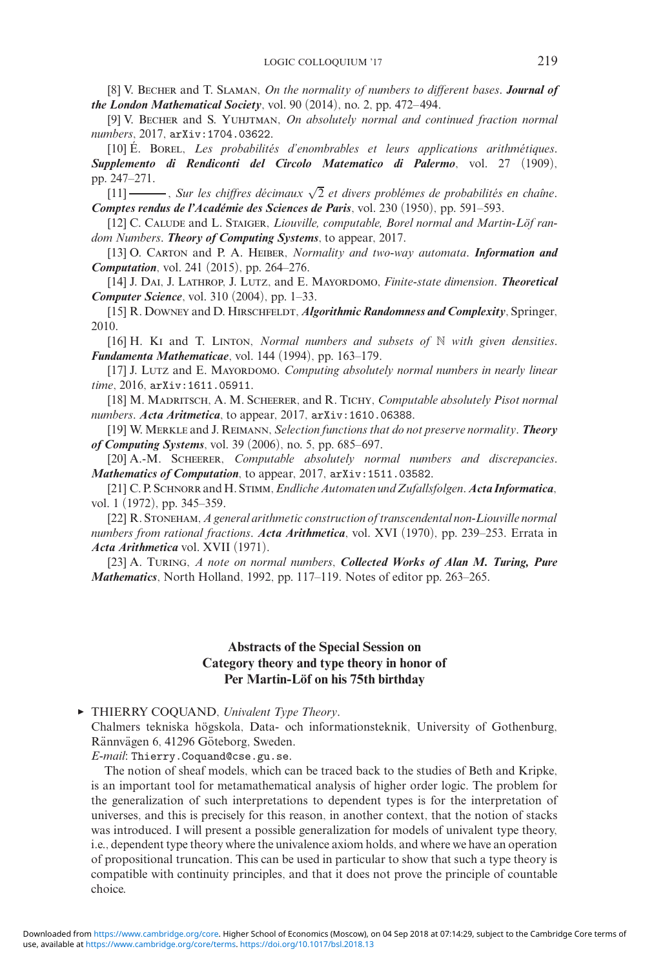[8] V. Becher and T. Slaman, *On the normality of numbers to different bases*. *Journal of the London Mathematical Society*, vol. 90 (2014), no. 2, pp. 472–494.

[9] V. Becher and S. Yuhjtman, *On absolutely normal and continued fraction normal numbers*, 2017, arXiv:1704.03622.

[10] É. BOREL, *Les probabilités d'enombrables et leurs applications arithmétiques*. *Supplemento di Rendiconti del Circolo Matematico di Palermo*, vol. 27 (1909), pp. 247–271.

 $[11]$  *, Sur les chiffres décimaux*  $\sqrt{2}$  *et divers problémes de probabilités en chaîne. Comptes rendus de l'Académie des Sciences de Paris*, vol. 230 (1950), pp. 591–593.

[12] C. CALUDE and L. STAIGER, *Liouville, computable, Borel normal and Martin-Löf random Numbers*. *Theory of Computing Systems*, to appear, 2017.

[13] O. Carton and P. A. Heiber, *Normality and two-way automata*. *Information and Computation*, vol. 241 (2015), pp. 264–276.

[14] J. Dai, J. Lathrop, J. Lutz, and E. Mayordomo, *Finite-state dimension*. *Theoretical Computer Science*, vol. 310 (2004), pp. 1–33.

[15] R. Downey and D. Hirschfeldt, *Algorithmic Randomness and Complexity*, Springer, 2010.

[16] H. Ki and T. Linton, *Normal numbers and subsets of* N *with given densities*. *Fundamenta Mathematicae*, vol. 144 (1994), pp. 163–179.

[17] J. Lutz and E. Mayordomo. *Computing absolutely normal numbers in nearly linear time*, 2016, arXiv:1611.05911.

[18] M. Madritsch, A. M. Scheerer, and R. Tichy, *Computable absolutely Pisot normal numbers*. *Acta Aritmetica*, to appear, 2017, arXiv:1610.06388.

[19] W. Merkle and J. Reimann, *Selection functions that do not preserve normality*. *Theory of Computing Systems*, vol. 39 (2006), no. 5, pp. 685–697.

[20] A.-M. Scheerer, *Computable absolutely normal numbers and discrepancies*. *Mathematics of Computation*, to appear, 2017, arXiv:1511.03582.

[21] C. P. Schnorr and H. Stimm,*Endliche Automaten und Zufallsfolgen*. *Acta Informatica*, vol. 1 (1972), pp. 345–359.

[22] R. Stoneham, *A general arithmetic construction of transcendental non-Liouville normal numbers from rational fractions*. *Acta Arithmetica*, vol. XVI (1970), pp. 239–253. Errata in *Acta Arithmetica* vol. XVII (1971).

[23] A. Turing, *A note on normal numbers*, *Collected Works of Alan M. Turing, Pure Mathematics*, North Holland, 1992, pp. 117–119. Notes of editor pp. 263–265.

# **Abstracts of the Special Session on Category theory and type theory in honor of Per Martin-Löf on his 75th birthday**

- THIERRY COQUAND, *Univalent Type Theory*.

Chalmers tekniska hogskola, Data- och informationsteknik, University of Gothenburg, ¨ Rännvägen 6, 41296 Göteborg, Sweden.

*E-mail*: Thierry.Coquand@cse.gu.se.

The notion of sheaf models, which can be traced back to the studies of Beth and Kripke, is an important tool for metamathematical analysis of higher order logic. The problem for the generalization of such interpretations to dependent types is for the interpretation of universes, and this is precisely for this reason, in another context, that the notion of stacks was introduced. I will present a possible generalization for models of univalent type theory, i.e., dependent type theory where the univalence axiom holds, and where we have an operation of propositional truncation. This can be used in particular to show that such a type theory is compatible with continuity principles, and that it does not prove the principle of countable choice.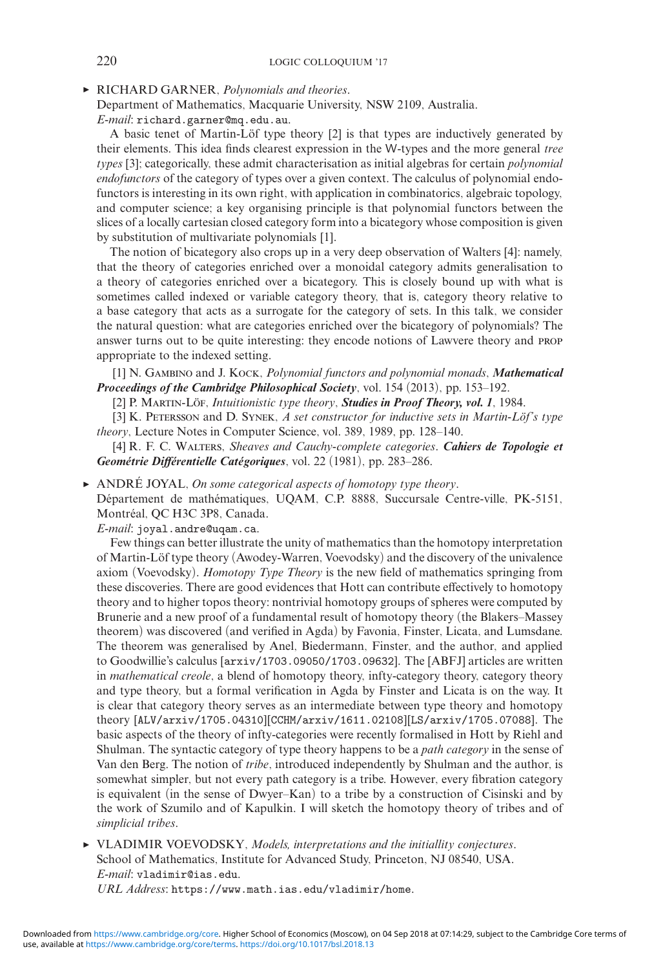#### - RICHARD GARNER, *Polynomials and theories*.

Department of Mathematics, Macquarie University, NSW 2109, Australia.

*E-mail*: richard.garner@mq.edu.au.

A basic tenet of Martin-Löf type theory [2] is that types are inductively generated by their elements. This idea finds clearest expression in the W-types and the more general *tree types* [3]; categorically, these admit characterisation as initial algebras for certain *polynomial endofunctors* of the category of types over a given context. The calculus of polynomial endofunctors is interesting in its own right, with application in combinatorics, algebraic topology, and computer science; a key organising principle is that polynomial functors between the slices of a locally cartesian closed category form into a bicategory whose composition is given by substitution of multivariate polynomials [1].

The notion of bicategory also crops up in a very deep observation of Walters [4]: namely, that the theory of categories enriched over a monoidal category admits generalisation to a theory of categories enriched over a bicategory. This is closely bound up with what is sometimes called indexed or variable category theory, that is, category theory relative to a base category that acts as a surrogate for the category of sets. In this talk, we consider the natural question: what are categories enriched over the bicategory of polynomials? The answer turns out to be quite interesting: they encode notions of Lawvere theory and prop appropriate to the indexed setting.

[1] N. Gambino and J. Kock, *Polynomial functors and polynomial monads*, *Mathematical Proceedings of the Cambridge Philosophical Society*, vol. 154 (2013), pp. 153–192.

[2] P. MARTIN-LÖF, *Intuitionistic type theory*, *Studies in Proof Theory, vol. 1*, 1984.

[3] K. PETERSSON and D. SYNEK, *A set constructor for inductive sets in Martin-Löf's type theory*, Lecture Notes in Computer Science, vol. 389, 1989, pp. 128–140.

[4] R. F. C. Walters, *Sheaves and Cauchy-complete categories*. *Cahiers de Topologie et Geométrie Différentielle Catégoriques*, vol. 22 (1981), pp. 283–286.

▶ ANDRÉ JOYAL, On some categorical aspects of homotopy type theory.

Département de mathématiques, UQAM, C.P. 8888, Succursale Centre-ville, PK-5151, Montréal, QC H3C 3P8, Canada.

*E-mail*: joyal.andre@uqam.ca.

Few things can better illustrate the unity of mathematics than the homotopy interpretation of Martin-Lof type theory (Awodey-Warren, Voevodsky) and the discovery of the univalence ¨ axiom (Voevodsky). *Homotopy Type Theory* is the new field of mathematics springing from these discoveries. There are good evidences that Hott can contribute effectively to homotopy theory and to higher topos theory: nontrivial homotopy groups of spheres were computed by Brunerie and a new proof of a fundamental result of homotopy theory (the Blakers–Massey theorem) was discovered (and verified in Agda) by Favonia, Finster, Licata, and Lumsdane. The theorem was generalised by Anel, Biedermann, Finster, and the author, and applied to Goodwillie's calculus [arxiv/1703.09050/1703.09632]. The [ABFJ] articles are written in *mathematical creole*, a blend of homotopy theory, infty-category theory, category theory and type theory, but a formal verification in Agda by Finster and Licata is on the way. It is clear that category theory serves as an intermediate between type theory and homotopy theory [ALV/arxiv/1705.04310][CCHM/arxiv/1611.02108][LS/arxiv/1705.07088]. The basic aspects of the theory of infty-categories were recently formalised in Hott by Riehl and Shulman. The syntactic category of type theory happens to be a *path category* in the sense of Van den Berg. The notion of *tribe*, introduced independently by Shulman and the author, is somewhat simpler, but not every path category is a tribe. However, every fibration category is equivalent (in the sense of Dwyer–Kan) to a tribe by a construction of Cisinski and by the work of Szumilo and of Kapulkin. I will sketch the homotopy theory of tribes and of *simplicial tribes*.

- VLADIMIR VOEVODSKY, *Models, interpretations and the initiallity conjectures*. School of Mathematics, Institute for Advanced Study, Princeton, NJ 08540, USA. *E-mail*: vladimir@ias.edu.

*URL Address*: https://www.math.ias.edu/vladimir/home.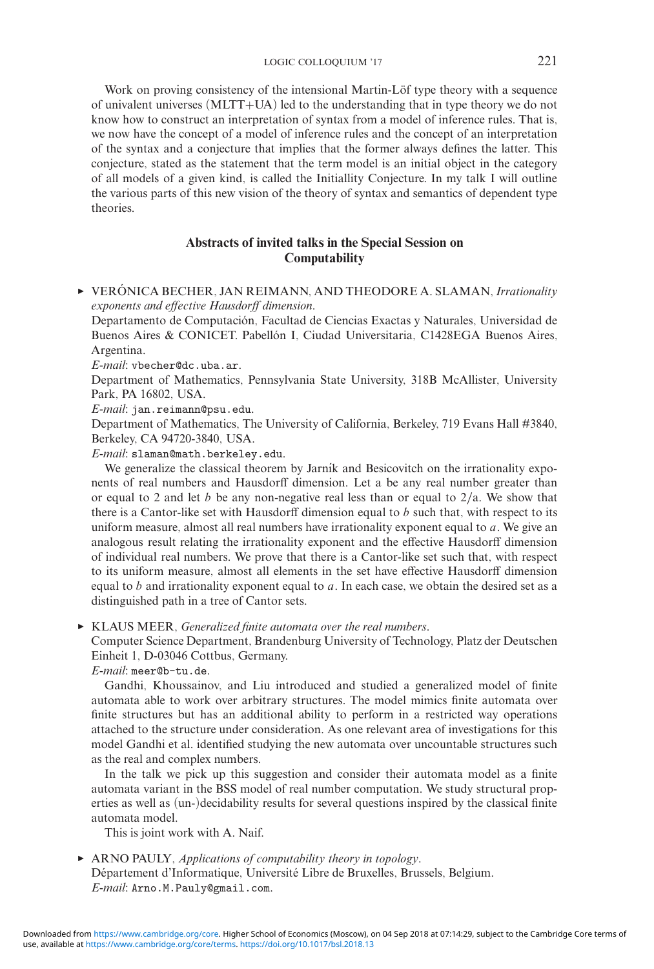Work on proving consistency of the intensional Martin-Löf type theory with a sequence of univalent universes (MLTT+UA) led to the understanding that in type theory we do not know how to construct an interpretation of syntax from a model of inference rules. That is, we now have the concept of a model of inference rules and the concept of an interpretation of the syntax and a conjecture that implies that the former always defines the latter. This conjecture, stated as the statement that the term model is an initial object in the category of all models of a given kind, is called the Initiallity Conjecture. In my talk I will outline the various parts of this new vision of the theory of syntax and semantics of dependent type theories.

### **Abstracts of invited talks in the Special Session on Computability**

**EXAMPLE OF SECT ASSECTED FOR A SET ASSECT AS A SEX ASSECTATION OF A SERVIT ASSECTATION IN A VERGITAL PROPERTY** *exponents and effective Hausdorff dimension*.

Departamento de Computación, Facultad de Ciencias Exactas y Naturales, Universidad de Buenos Aires & CONICET. Pabellon I, Ciudad Universitaria, C1428EGA Buenos Aires, ´ Argentina.

*E-mail*: vbecher@dc.uba.ar.

Department of Mathematics, Pennsylvania State University, 318B McAllister, University Park, PA 16802, USA.

*E-mail*: jan.reimann@psu.edu.

Department of Mathematics, The University of California, Berkeley, 719 Evans Hall #3840, Berkeley, CA 94720-3840, USA.

*E-mail*: slaman@math.berkeley.edu.

We generalize the classical theorem by Jarník and Besicovitch on the irrationality exponents of real numbers and Hausdorff dimension. Let a be any real number greater than or equal to 2 and let *b* be any non-negative real less than or equal to 2*/*a. We show that there is a Cantor-like set with Hausdorff dimension equal to *b* such that, with respect to its uniform measure, almost all real numbers have irrationality exponent equal to *a*. We give an analogous result relating the irrationality exponent and the effective Hausdorff dimension of individual real numbers. We prove that there is a Cantor-like set such that, with respect to its uniform measure, almost all elements in the set have effective Hausdorff dimension equal to *b* and irrationality exponent equal to *a*. In each case, we obtain the desired set as a distinguished path in a tree of Cantor sets.

- KLAUS MEER, *Generalized finite automata over the real numbers*.

Computer Science Department, Brandenburg University of Technology, Platz der Deutschen Einheit 1, D-03046 Cottbus, Germany.

*E-mail*: meer@b-tu.de.

Gandhi, Khoussainov, and Liu introduced and studied a generalized model of finite automata able to work over arbitrary structures. The model mimics finite automata over finite structures but has an additional ability to perform in a restricted way operations attached to the structure under consideration. As one relevant area of investigations for this model Gandhi et al. identified studying the new automata over uncountable structures such as the real and complex numbers.

In the talk we pick up this suggestion and consider their automata model as a finite automata variant in the BSS model of real number computation. We study structural properties as well as (un-)decidability results for several questions inspired by the classical finite automata model.

This is joint work with A. Naif.

- ARNO PAULY, *Applications of computability theory in topology*.

Département d'Informatique, Université Libre de Bruxelles, Brussels, Belgium. *E-mail*: Arno.M.Pauly@gmail.com.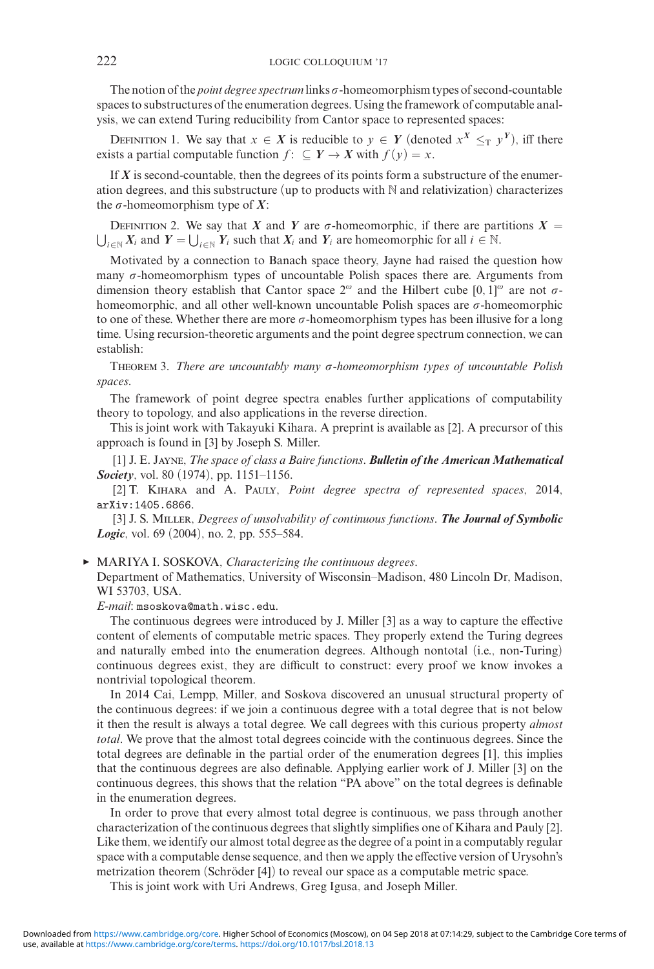The notion of the *point degree spectrum* links  $\sigma$ -homeomorphism types of second-countable spaces to substructures of the enumeration degrees. Using the framework of computable analysis, we can extend Turing reducibility from Cantor space to represented spaces:

DEFINITION 1. We say that  $x \in X$  is reducible to  $y \in Y$  (denoted  $x^X \leq_T y^Y$ ), iff there exists a partial computable function  $f: \subseteq Y \to X$  with  $f(y) = x$ .

If *X* is second-countable, then the degrees of its points form a substructure of the enumeration degrees, and this substructure (up to products with  $\mathbb N$  and relativization) characterizes the  $\sigma$ -homeomorphism type of X:

DEFINITION 2. We say that *X* and *Y* are  $\sigma$ -homeomorphic, if there are partitions  $X =$  $\bigcup_{i \in \mathbb{N}} X_i$  and  $Y = \bigcup_{i \in \mathbb{N}} Y_i$  such that  $X_i$  and  $Y_i$  are homeomorphic for all  $i \in \mathbb{N}$ .

Motivated by a connection to Banach space theory, Jayne had raised the question how many  $\sigma$ -homeomorphism types of uncountable Polish spaces there are. Arguments from dimension theory establish that Cantor space  $2^{\omega}$  and the Hilbert cube  $[0, 1]^{\omega}$  are not  $\sigma$ homeomorphic, and all other well-known uncountable Polish spaces are  $\sigma$ -homeomorphic to one of these. Whether there are more  $\sigma$ -homeomorphism types has been illusive for a long time. Using recursion-theoretic arguments and the point degree spectrum connection, we can establish:

Theorem 3. *There are uncountably many -homeomorphism types of uncountable Polish spaces.*

The framework of point degree spectra enables further applications of computability theory to topology, and also applications in the reverse direction.

This is joint work with Takayuki Kihara. A preprint is available as [2]. A precursor of this approach is found in [3] by Joseph S. Miller.

[1] J. E. Jayne, *The space of class a Baire functions*. *Bulletin of the American Mathematical Society*, vol. 80 (1974), pp. 1151–1156.

[2] T. Kihara and A. Pauly, *Point degree spectra of represented spaces*, 2014, arXiv:1405.6866.

[3] J. S. Miller, *Degrees of unsolvability of continuous functions*. *The Journal of Symbolic Logic*, vol. 69 (2004), no. 2, pp. 555–584.

- MARIYA I. SOSKOVA, *Characterizing the continuous degrees*.

Department of Mathematics, University of Wisconsin–Madison, 480 Lincoln Dr, Madison, WI 53703, USA.

*E-mail*: msoskova@math.wisc.edu.

The continuous degrees were introduced by J. Miller [3] as a way to capture the effective content of elements of computable metric spaces. They properly extend the Turing degrees and naturally embed into the enumeration degrees. Although nontotal (i.e., non-Turing) continuous degrees exist, they are difficult to construct: every proof we know invokes a nontrivial topological theorem.

In 2014 Cai, Lempp, Miller, and Soskova discovered an unusual structural property of the continuous degrees: if we join a continuous degree with a total degree that is not below it then the result is always a total degree. We call degrees with this curious property *almost total*. We prove that the almost total degrees coincide with the continuous degrees. Since the total degrees are definable in the partial order of the enumeration degrees [1], this implies that the continuous degrees are also definable. Applying earlier work of J. Miller [3] on the continuous degrees, this shows that the relation "PA above" on the total degrees is definable in the enumeration degrees.

In order to prove that every almost total degree is continuous, we pass through another characterization of the continuous degrees that slightly simplifies one of Kihara and Pauly [2]. Like them, we identify our almost total degree as the degree of a point in a computably regular space with a computable dense sequence, and then we apply the effective version of Urysohn's metrization theorem (Schröder  $[4]$ ) to reveal our space as a computable metric space.

This is joint work with Uri Andrews, Greg Igusa, and Joseph Miller.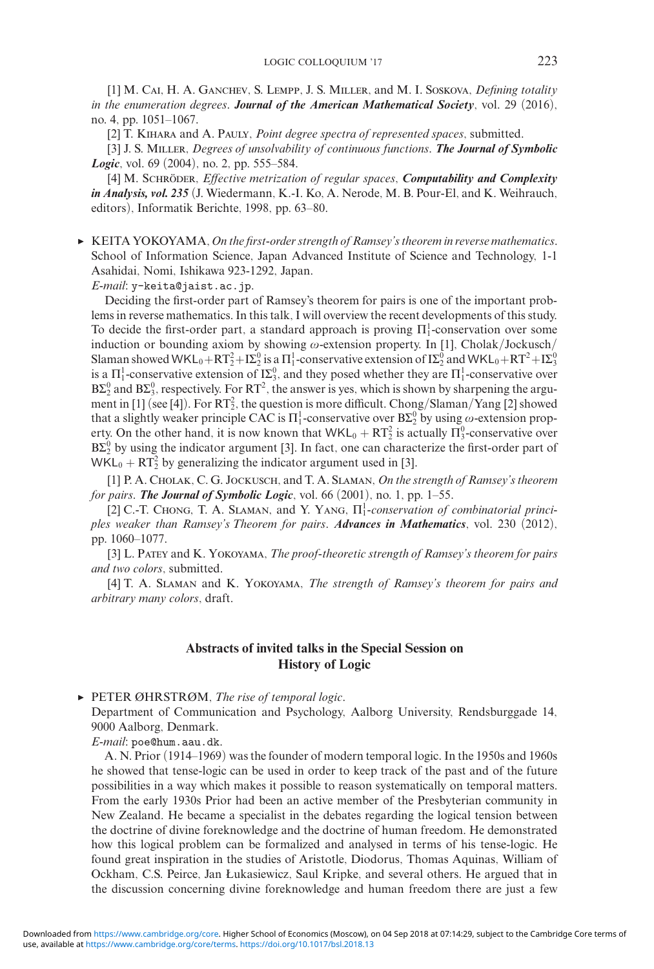[1] M. Cai, H. A. Ganchev, S. Lempp, J. S. Miller, and M. I. Soskova, *Defining totality in the enumeration degrees*. *Journal of the American Mathematical Society*, vol. 29 (2016), no. 4, pp. 1051–1067.

[2] T. Kihara and A. Pauly, *Point degree spectra of represented spaces*, submitted.

[3] J. S. Miller, *Degrees of unsolvability of continuous functions*. *The Journal of Symbolic Logic*, vol. 69 (2004), no. 2, pp. 555–584.

[4] M. SCHRÖDER, *Effective metrization of regular spaces*, *Computability and Complexity in Analysis, vol. 235* (J. Wiedermann, K.-I. Ko, A. Nerode, M. B. Pour-El, and K. Weihrauch, editors), Informatik Berichte, 1998, pp. 63–80.

- KEITA YOKOYAMA,*On the first-order strength of Ramsey's theorem in reverse mathematics*. School of Information Science, Japan Advanced Institute of Science and Technology, 1-1 Asahidai, Nomi, Ishikawa 923-1292, Japan.

*E-mail*: y-keita@jaist.ac.jp.

Deciding the first-order part of Ramsey's theorem for pairs is one of the important problems in reverse mathematics. In this talk, I will overview the recent developments of this study. To decide the first-order part, a standard approach is proving  $\Pi_1^1$ -conservation over some induction or bounding axiom by showing  $\omega$ -extension property. In [1], Cholak/Jockusch/ Slaman showed WKL<sub>0</sub> +  $RT_2^2 + I\Sigma_2^0$  is a  $\Pi_1^1$ -conservative extension of  $I\Sigma_2^0$  and WKL<sub>0</sub> +  $R$  $T^2 + I\Sigma_3^0$ is a  $\Pi_1^1$ -conservative extension of  $I\Sigma_3^0$ , and they posed whether they are  $\Pi_1^1$ -conservative over  $B\Sigma_2^0$  and  $B\Sigma_3^0$ , respectively. For  $RT^2$ , the answer is yes, which is shown by sharpening the argument in [1] (see [4]). For  $RT_2^2$ , the question is more difficult. Chong/Slaman/Yang [2] showed that a slightly weaker principle CAC is  $\Pi_1^1$ -conservative over  $B\Sigma_2^0$  by using  $\omega$ -extension property. On the other hand, it is now known that  $WKL_0 + RT_2^2$  is actually  $\Pi_3^0$ -conservative over  $B\Sigma<sub>2</sub><sup>0</sup>$  by using the indicator argument [3]. In fact, one can characterize the first-order part of  $WKL_0 + RT_2^2$  by generalizing the indicator argument used in [3].

[1] P. A. Cholak, C. G. Jockusch, and T. A. Slaman, *On the strength of Ramsey's theorem for pairs*. *The Journal of Symbolic Logic*, vol. 66 (2001), no. 1, pp. 1–55.

[2] C.-T. Chong, T. A. Slaman, and Y. Yang, Π1 1*-conservation of combinatorial principles weaker than Ramsey's Theorem for pairs*. *Advances in Mathematics*, vol. 230 (2012), pp. 1060–1077.

[3] L. Patey and K. Yokoyama, *The proof-theoretic strength of Ramsey's theorem for pairs and two colors*, submitted.

[4] T. A. Slaman and K. Yokoyama, *The strength of Ramsey's theorem for pairs and arbitrary many colors*, draft.

# **Abstracts of invited talks in the Special Session on History of Logic**

#### - PETER ØHRSTRØM, *The rise of temporal logic*.

Department of Communication and Psychology, Aalborg University, Rendsburggade 14, 9000 Aalborg, Denmark.

*E-mail*: poe@hum.aau.dk.

A. N. Prior (1914–1969) was the founder of modern temporal logic. In the 1950s and 1960s he showed that tense-logic can be used in order to keep track of the past and of the future possibilities in a way which makes it possible to reason systematically on temporal matters. From the early 1930s Prior had been an active member of the Presbyterian community in New Zealand. He became a specialist in the debates regarding the logical tension between the doctrine of divine foreknowledge and the doctrine of human freedom. He demonstrated how this logical problem can be formalized and analysed in terms of his tense-logic. He found great inspiration in the studies of Aristotle, Diodorus, Thomas Aquinas, William of Ockham, C.S. Peirce, Jan Łukasiewicz, Saul Kripke, and several others. He argued that in the discussion concerning divine foreknowledge and human freedom there are just a few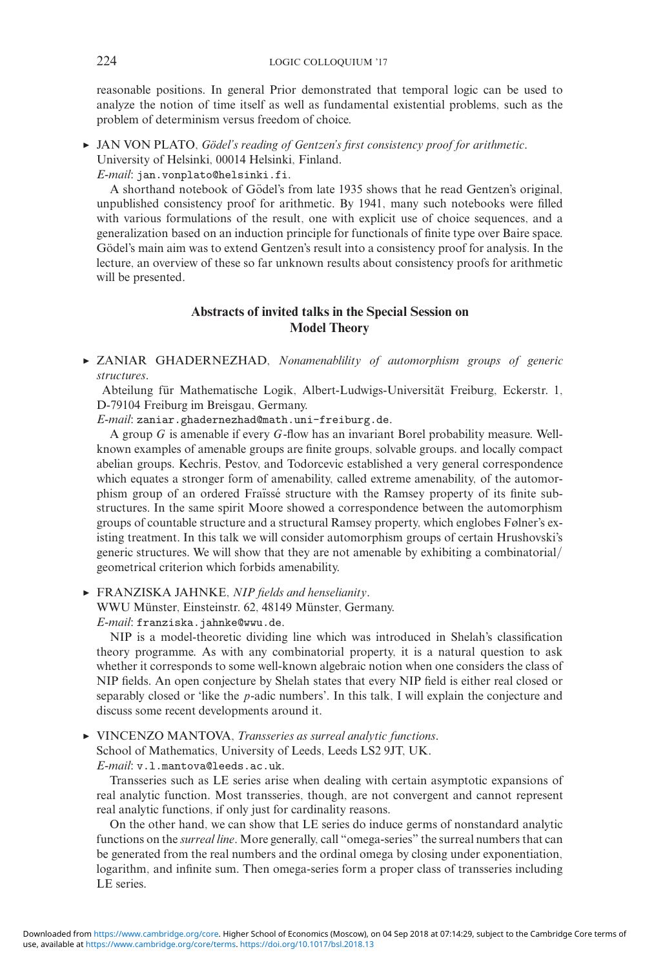reasonable positions. In general Prior demonstrated that temporal logic can be used to analyze the notion of time itself as well as fundamental existential problems, such as the problem of determinism versus freedom of choice.

► JAN VON PLATO, *Gödel's reading of Gentzen's first consistency proof for arithmetic*. University of Helsinki, 00014 Helsinki, Finland.

*E-mail*: jan.vonplato@helsinki.fi.

A shorthand notebook of Gödel's from late 1935 shows that he read Gentzen's original, unpublished consistency proof for arithmetic. By 1941, many such notebooks were filled with various formulations of the result, one with explicit use of choice sequences, and a generalization based on an induction principle for functionals of finite type over Baire space. Gödel's main aim was to extend Gentzen's result into a consistency proof for analysis. In the lecture, an overview of these so far unknown results about consistency proofs for arithmetic will be presented.

# **Abstracts of invited talks in the Special Session on Model Theory**

► ZANIAR GHADERNEZHAD, *Nonamenablility of automorphism groups of generic structures*.

Abteilung für Mathematische Logik, Albert-Ludwigs-Universität Freiburg, Eckerstr. 1, D-79104 Freiburg im Breisgau, Germany.

*E-mail*: zaniar.ghadernezhad@math.uni-freiburg.de.

A group *G* is amenable if every *G*-flow has an invariant Borel probability measure. Wellknown examples of amenable groups are finite groups, solvable groups. and locally compact abelian groups. Kechris, Pestov, and Todorcevic established a very general correspondence which equates a stronger form of amenability, called extreme amenability, of the automorphism group of an ordered Fraïssé structure with the Ramsey property of its finite substructures. In the same spirit Moore showed a correspondence between the automorphism groups of countable structure and a structural Ramsey property, which englobes Følner's existing treatment. In this talk we will consider automorphism groups of certain Hrushovski's generic structures. We will show that they are not amenable by exhibiting a combinatorial/ geometrical criterion which forbids amenability.

- FRANZISKA JAHNKE, *NIP fields and henselianity*.

WWU Münster, Einsteinstr. 62, 48149 Münster, Germany.

*E-mail*: franziska.jahnke@wwu.de.

NIP is a model-theoretic dividing line which was introduced in Shelah's classification theory programme. As with any combinatorial property, it is a natural question to ask whether it corresponds to some well-known algebraic notion when one considers the class of NIP fields. An open conjecture by Shelah states that every NIP field is either real closed or separably closed or 'like the *p*-adic numbers'. In this talk, I will explain the conjecture and discuss some recent developments around it.

- VINCENZO MANTOVA, *Transseries as surreal analytic functions*.

School of Mathematics, University of Leeds, Leeds LS2 9JT, UK. *E-mail*: v.l.mantova@leeds.ac.uk.

Transseries such as LE series arise when dealing with certain asymptotic expansions of real analytic function. Most transseries, though, are not convergent and cannot represent real analytic functions, if only just for cardinality reasons.

On the other hand, we can show that LE series do induce germs of nonstandard analytic functions on the *surreal line*. More generally, call "omega-series" the surreal numbers that can be generated from the real numbers and the ordinal omega by closing under exponentiation, logarithm, and infinite sum. Then omega-series form a proper class of transseries including LE series.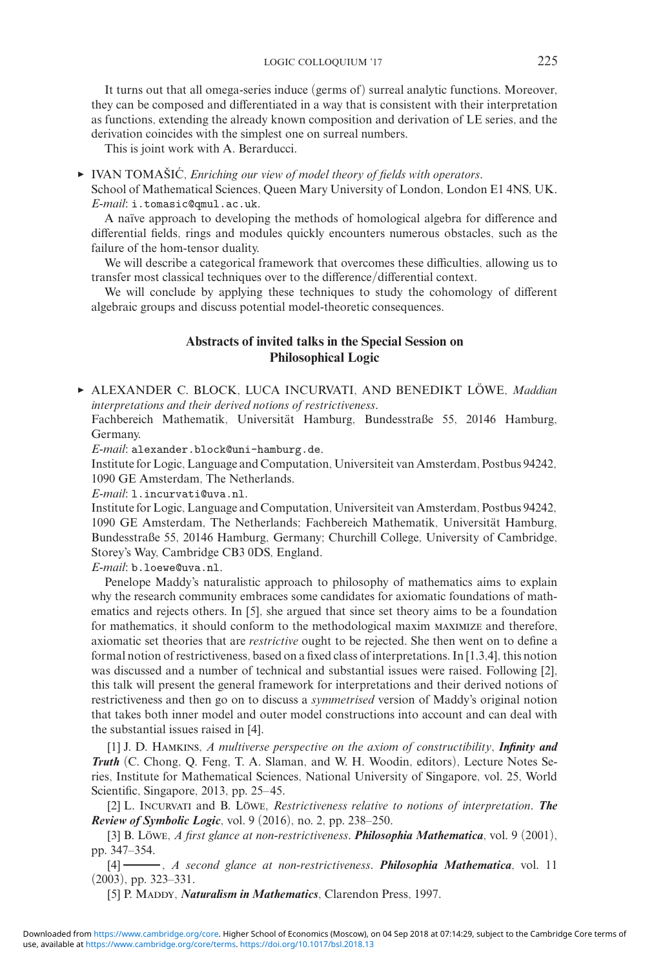It turns out that all omega-series induce (germs of) surreal analytic functions. Moreover, they can be composed and differentiated in a way that is consistent with their interpretation as functions, extending the already known composition and derivation of LE series, and the derivation coincides with the simplest one on surreal numbers.

This is joint work with A. Berarducci.

► IVAN TOMAŠIĆ, *Enriching our view of model theory of fields with operators*.

School of Mathematical Sciences, Queen Mary University of London, London E1 4NS, UK. *E-mail*: i.tomasic@qmul.ac.uk.

A naïve approach to developing the methods of homological algebra for difference and differential fields, rings and modules quickly encounters numerous obstacles, such as the failure of the hom-tensor duality.

We will describe a categorical framework that overcomes these difficulties, allowing us to transfer most classical techniques over to the difference/differential context.

We will conclude by applying these techniques to study the cohomology of different algebraic groups and discuss potential model-theoretic consequences.

# **Abstracts of invited talks in the Special Session on Philosophical Logic**

▶ ALEXANDER C. BLOCK, LUCA INCURVATI, AND BENEDIKT LÖWE, Maddian *interpretations and their derived notions of restrictiveness*.

Fachbereich Mathematik, Universität Hamburg, Bundesstraße 55, 20146 Hamburg, Germany.

*E-mail*: alexander.block@uni-hamburg.de.

Institute for Logic, Language and Computation, Universiteit van Amsterdam, Postbus 94242, 1090 GE Amsterdam, The Netherlands.

*E-mail*: l.incurvati@uva.nl.

Institute for Logic, Language and Computation, Universiteit van Amsterdam, Postbus 94242, 1090 GE Amsterdam, The Netherlands; Fachbereich Mathematik, Universität Hamburg, Bundesstraße 55, 20146 Hamburg, Germany; Churchill College, University of Cambridge, Storey's Way, Cambridge CB3 0DS, England.

*E-mail*: b.loewe@uva.nl.

Penelope Maddy's naturalistic approach to philosophy of mathematics aims to explain why the research community embraces some candidates for axiomatic foundations of mathematics and rejects others. In [5], she argued that since set theory aims to be a foundation for mathematics, it should conform to the methodological maxim maximize and therefore, axiomatic set theories that are *restrictive* ought to be rejected. She then went on to define a formal notion of restrictiveness, based on a fixed class of interpretations. In [1,3,4], this notion was discussed and a number of technical and substantial issues were raised. Following [2], this talk will present the general framework for interpretations and their derived notions of restrictiveness and then go on to discuss a *symmetrised* version of Maddy's original notion that takes both inner model and outer model constructions into account and can deal with the substantial issues raised in [4].

[1] J. D. Hamkins, *A multiverse perspective on the axiom of constructibility*, *Infinity and Truth* (C. Chong, Q. Feng, T. A. Slaman, and W. H. Woodin, editors), Lecture Notes Series, Institute for Mathematical Sciences, National University of Singapore, vol. 25, World Scientific, Singapore, 2013, pp. 25–45.

[2] L. INCURVATI and B. Löwe, *Restrictiveness relative to notions of interpretation*. *The Review of Symbolic Logic*, vol. 9 (2016), no. 2, pp. 238–250.

[3] B. Lowe, A first glance at non-restrictiveness. **Philosophia Mathematica**, vol. 9 (2001), pp. 347–354.

[4] , *A second glance at non-restrictiveness*. *Philosophia Mathematica*, vol. 11 (2003), pp. 323–331.

[5] P. MADDY, *Naturalism in Mathematics*, Clarendon Press, 1997.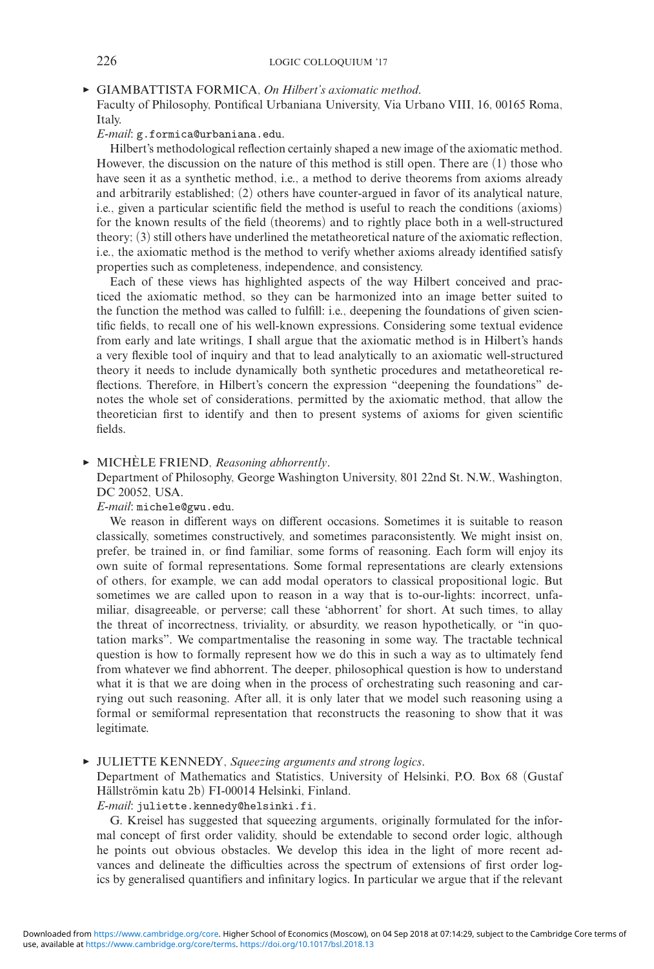#### - GIAMBATTISTA FORMICA, *On Hilbert's axiomatic method*.

Faculty of Philosophy, Pontifical Urbaniana University, Via Urbano VIII, 16, 00165 Roma, Italy.

*E-mail*: g.formica@urbaniana.edu.

Hilbert's methodological reflection certainly shaped a new image of the axiomatic method. However, the discussion on the nature of this method is still open. There are (1) those who have seen it as a synthetic method, i.e., a method to derive theorems from axioms already and arbitrarily established; (2) others have counter-argued in favor of its analytical nature, i.e., given a particular scientific field the method is useful to reach the conditions (axioms) for the known results of the field (theorems) and to rightly place both in a well-structured theory; (3) still others have underlined the metatheoretical nature of the axiomatic reflection, i.e., the axiomatic method is the method to verify whether axioms already identified satisfy properties such as completeness, independence, and consistency.

Each of these views has highlighted aspects of the way Hilbert conceived and practiced the axiomatic method, so they can be harmonized into an image better suited to the function the method was called to fulfill: i.e., deepening the foundations of given scientific fields, to recall one of his well-known expressions. Considering some textual evidence from early and late writings, I shall argue that the axiomatic method is in Hilbert's hands a very flexible tool of inquiry and that to lead analytically to an axiomatic well-structured theory it needs to include dynamically both synthetic procedures and metatheoretical reflections. Therefore, in Hilbert's concern the expression "deepening the foundations" denotes the whole set of considerations, permitted by the axiomatic method, that allow the theoretician first to identify and then to present systems of axioms for given scientific fields.

# $\blacktriangleright$  MICHÈLE FRIEND, *Reasoning abhorrently*.

Department of Philosophy, George Washington University, 801 22nd St. N.W., Washington, DC 20052, USA.

*E-mail*: michele@gwu.edu.

We reason in different ways on different occasions. Sometimes it is suitable to reason classically, sometimes constructively, and sometimes paraconsistently. We might insist on, prefer, be trained in, or find familiar, some forms of reasoning. Each form will enjoy its own suite of formal representations. Some formal representations are clearly extensions of others, for example, we can add modal operators to classical propositional logic. But sometimes we are called upon to reason in a way that is to-our-lights: incorrect, unfamiliar, disagreeable, or perverse; call these 'abhorrent' for short. At such times, to allay the threat of incorrectness, triviality, or absurdity, we reason hypothetically, or "in quotation marks". We compartmentalise the reasoning in some way. The tractable technical question is how to formally represent how we do this in such a way as to ultimately fend from whatever we find abhorrent. The deeper, philosophical question is how to understand what it is that we are doing when in the process of orchestrating such reasoning and carrying out such reasoning. After all, it is only later that we model such reasoning using a formal or semiformal representation that reconstructs the reasoning to show that it was legitimate.

#### - JULIETTE KENNEDY, *Squeezing arguments and strong logics*.

Department of Mathematics and Statistics, University of Helsinki, P.O. Box 68 (Gustaf Hällströmin katu 2b) FI-00014 Helsinki, Finland.

# *E-mail*: juliette.kennedy@helsinki.fi.

G. Kreisel has suggested that squeezing arguments, originally formulated for the informal concept of first order validity, should be extendable to second order logic, although he points out obvious obstacles. We develop this idea in the light of more recent advances and delineate the difficulties across the spectrum of extensions of first order logics by generalised quantifiers and infinitary logics. In particular we argue that if the relevant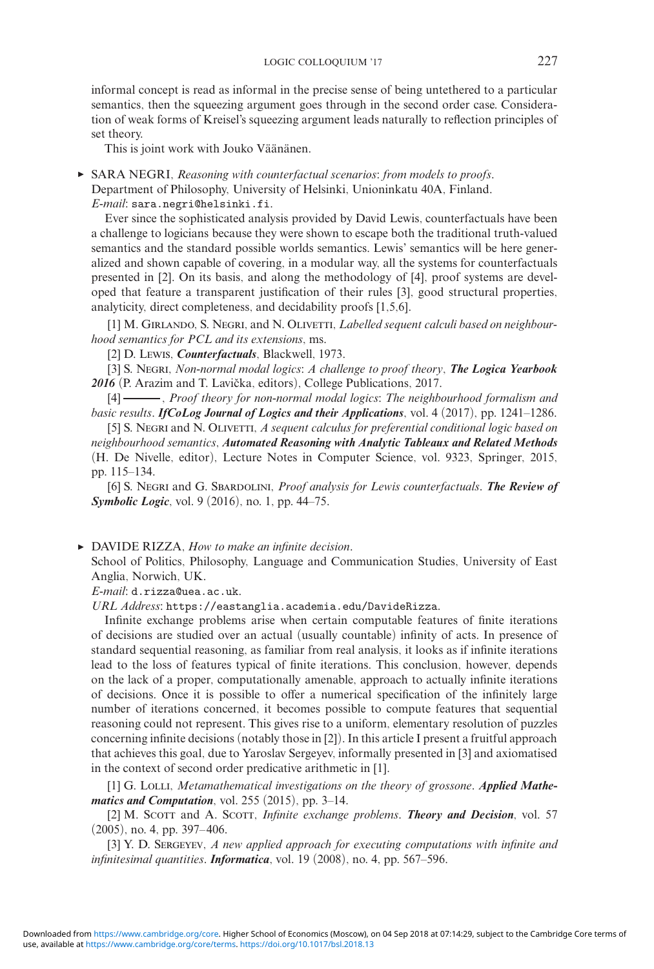informal concept is read as informal in the precise sense of being untethered to a particular semantics, then the squeezing argument goes through in the second order case. Consideration of weak forms of Kreisel's squeezing argument leads naturally to reflection principles of set theory.

This is joint work with Jouko Väänänen.

- SARA NEGRI, *Reasoning with counterfactual scenarios*: *from models to proofs*. Department of Philosophy, University of Helsinki, Unioninkatu 40A, Finland. *E-mail*: sara.negri@helsinki.fi.

Ever since the sophisticated analysis provided by David Lewis, counterfactuals have been a challenge to logicians because they were shown to escape both the traditional truth-valued semantics and the standard possible worlds semantics. Lewis' semantics will be here generalized and shown capable of covering, in a modular way, all the systems for counterfactuals presented in [2]. On its basis, and along the methodology of [4], proof systems are developed that feature a transparent justification of their rules [3], good structural properties, analyticity, direct completeness, and decidability proofs [1,5,6].

[1] M. GIRLANDO, S. NEGRI, and N. OLIVETTI, *Labelled sequent calculi based on neighbourhood semantics for PCL and its extensions*, ms.

[2] D. Lewis, *Counterfactuals*, Blackwell, 1973.

[3] S. Negri, *Non-normal modal logics*: *A challenge to proof theory*, *The Logica Yearbook* **2016** (P. Arazim and T. Lavička, editors), College Publications, 2017.

[4] , *Proof theory for non-normal modal logics*: *The neighbourhood formalism and basic results*. *IfCoLog Journal of Logics and their Applications*, vol. 4 (2017), pp. 1241–1286.

[5] S. Negri and N. Olivetti, *A sequent calculus for preferential conditional logic based on neighbourhood semantics*, *Automated Reasoning with Analytic Tableaux and Related Methods* (H. De Nivelle, editor), Lecture Notes in Computer Science, vol. 9323, Springer, 2015, pp. 115–134.

[6] S. Negri and G. Sbardolini, *Proof analysis for Lewis counterfactuals*. *The Review of Symbolic Logic*, vol. 9 (2016), no. 1, pp. 44–75.

- DAVIDE RIZZA, *How to make an infinite decision*.

School of Politics, Philosophy, Language and Communication Studies, University of East Anglia, Norwich, UK.

*E-mail*: d.rizza@uea.ac.uk.

*URL Address*: https://eastanglia.academia.edu/DavideRizza.

Infinite exchange problems arise when certain computable features of finite iterations of decisions are studied over an actual (usually countable) infinity of acts. In presence of standard sequential reasoning, as familiar from real analysis, it looks as if infinite iterations lead to the loss of features typical of finite iterations. This conclusion, however, depends on the lack of a proper, computationally amenable, approach to actually infinite iterations of decisions. Once it is possible to offer a numerical specification of the infinitely large number of iterations concerned, it becomes possible to compute features that sequential reasoning could not represent. This gives rise to a uniform, elementary resolution of puzzles concerning infinite decisions (notably those in [2]). In this article I present a fruitful approach that achieves this goal, due to Yaroslav Sergeyev, informally presented in [3] and axiomatised in the context of second order predicative arithmetic in [1].

[1] G. LOLLI, Metamathematical investigations on the theory of grossone. Applied Mathe*matics and Computation*, vol. 255 (2015), pp. 3–14.

[2] M. Scott and A. Scott, *Infinite exchange problems*. *Theory and Decision*, vol. 57 (2005), no. 4, pp. 397–406.

[3] Y. D. Sergeyev, *A new applied approach for executing computations with infinite and infinitesimal quantities*. *Informatica*, vol. 19 (2008), no. 4, pp. 567–596.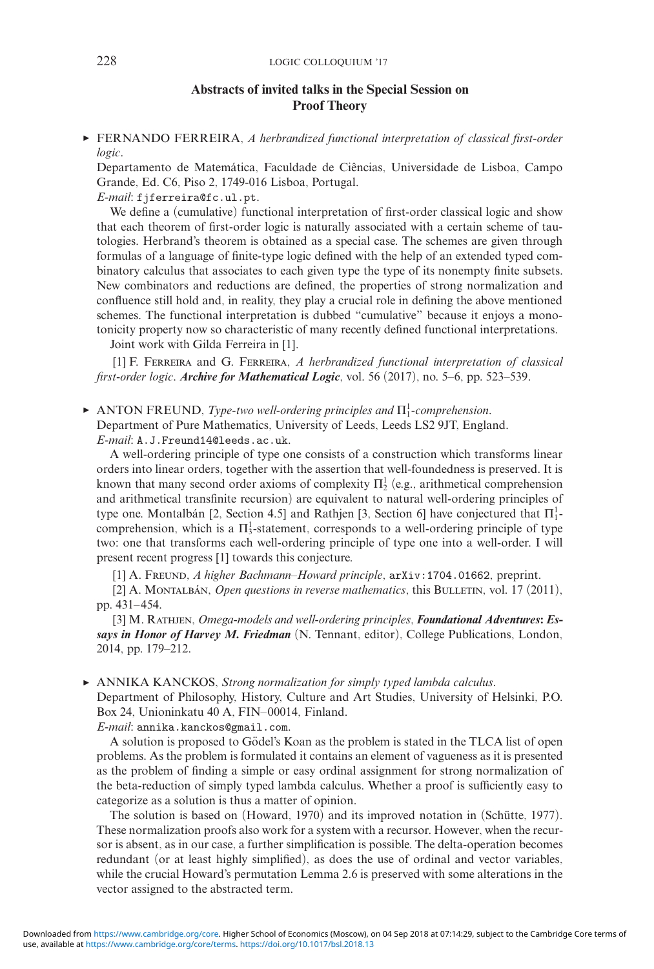# **Abstracts of invited talks in the Special Session on Proof Theory**

### ► FERNANDO FERREIRA, *A herbrandized functional interpretation of classical first-order logic*.

Departamento de Matemática, Faculdade de Ciências, Universidade de Lisboa, Campo Grande, Ed. C6, Piso 2, 1749-016 Lisboa, Portugal.

*E-mail*: fjferreira@fc.ul.pt.

We define a (cumulative) functional interpretation of first-order classical logic and show that each theorem of first-order logic is naturally associated with a certain scheme of tautologies. Herbrand's theorem is obtained as a special case. The schemes are given through formulas of a language of finite-type logic defined with the help of an extended typed combinatory calculus that associates to each given type the type of its nonempty finite subsets. New combinators and reductions are defined, the properties of strong normalization and confluence still hold and, in reality, they play a crucial role in defining the above mentioned schemes. The functional interpretation is dubbed "cumulative" because it enjoys a monotonicity property now so characteristic of many recently defined functional interpretations.

Joint work with Gilda Ferreira in [1].

[1] F. Ferreira and G. Ferreira, *A herbrandized functional interpretation of classical first-order logic*. *Archive for Mathematical Logic*, vol. 56 (2017), no. 5–6, pp. 523–539.

# - ANTON FREUND, *Type-two well-ordering principles and* Π1 <sup>1</sup>*-comprehension*.

Department of Pure Mathematics, University of Leeds, Leeds LS2 9JT, England.

*E-mail*: A.J.Freund14@leeds.ac.uk.

A well-ordering principle of type one consists of a construction which transforms linear orders into linear orders, together with the assertion that well-foundedness is preserved. It is known that many second order axioms of complexity  $\Pi_2^1$  (e.g., arithmetical comprehension and arithmetical transfinite recursion) are equivalent to natural well-ordering principles of type one. Montalbán [2, Section 4.5] and Rathjen [3, Section 6] have conjectured that  $\Pi_1^1$ comprehension, which is a  $\Pi_3^1$ -statement, corresponds to a well-ordering principle of type two: one that transforms each well-ordering principle of type one into a well-order. I will present recent progress [1] towards this conjecture.

[1] A. FREUND, *A higher Bachmann–Howard principle*, arXiv: 1704.01662, preprint.

[2] A. MONTALBÁN, *Open questions in reverse mathematics*, this BULLETIN, vol. 17 (2011), pp. 431–454.

[3] M. Rathjen, *Omega-models and well-ordering principles*, *Foundational Adventures***:** *Essays in Honor of Harvey M. Friedman* (N. Tennant, editor), College Publications, London, 2014, pp. 179–212.

#### - ANNIKA KANCKOS, *Strong normalization for simply typed lambda calculus*.

Department of Philosophy, History, Culture and Art Studies, University of Helsinki, P.O. Box 24, Unioninkatu 40 A, FIN–00014, Finland.

*E-mail*: annika.kanckos@gmail.com.

A solution is proposed to Gödel's Koan as the problem is stated in the TLCA list of open problems. As the problem is formulated it contains an element of vagueness as it is presented as the problem of finding a simple or easy ordinal assignment for strong normalization of the beta-reduction of simply typed lambda calculus. Whether a proof is sufficiently easy to categorize as a solution is thus a matter of opinion.

The solution is based on (Howard, 1970) and its improved notation in (Schütte, 1977). These normalization proofs also work for a system with a recursor. However, when the recursor is absent, as in our case, a further simplification is possible. The delta-operation becomes redundant (or at least highly simplified), as does the use of ordinal and vector variables, while the crucial Howard's permutation Lemma 2.6 is preserved with some alterations in the vector assigned to the abstracted term.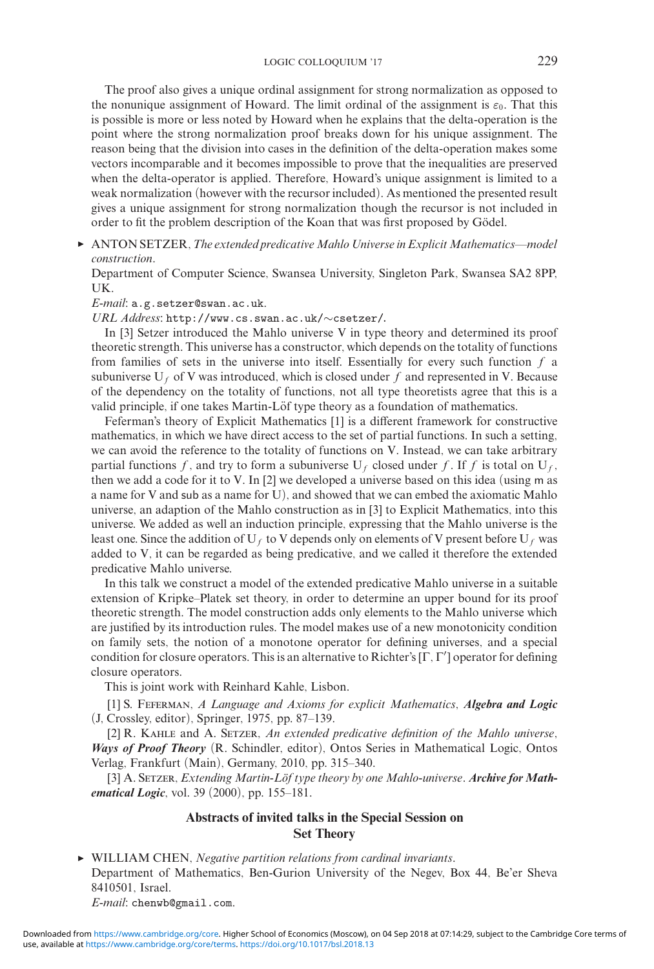### LOGIC COLLOQUIUM '17 229

The proof also gives a unique ordinal assignment for strong normalization as opposed to the nonunique assignment of Howard. The limit ordinal of the assignment is  $\varepsilon_0$ . That this is possible is more or less noted by Howard when he explains that the delta-operation is the point where the strong normalization proof breaks down for his unique assignment. The reason being that the division into cases in the definition of the delta-operation makes some vectors incomparable and it becomes impossible to prove that the inequalities are preserved when the delta-operator is applied. Therefore, Howard's unique assignment is limited to a weak normalization (however with the recursor included). As mentioned the presented result gives a unique assignment for strong normalization though the recursor is not included in order to fit the problem description of the Koan that was first proposed by Gödel.

► ANTON SETZER, The extended predicative Mahlo Universe in Explicit Mathematics—model *construction*.

Department of Computer Science, Swansea University, Singleton Park, Swansea SA2 8PP, UK.

*E-mail*: a.g.setzer@swan.ac.uk.

*URL Address*: http://www.cs.swan.ac.uk/∼csetzer/.

In [3] Setzer introduced the Mahlo universe V in type theory and determined its proof theoretic strength. This universe has a constructor, which depends on the totality of functions from families of sets in the universe into itself. Essentially for every such function *f* a subuniverse  $U_f$  of V was introduced, which is closed under  $f$  and represented in V. Because of the dependency on the totality of functions, not all type theoretists agree that this is a valid principle, if one takes Martin-Löf type theory as a foundation of mathematics.

Feferman's theory of Explicit Mathematics [1] is a different framework for constructive mathematics, in which we have direct access to the set of partial functions. In such a setting, we can avoid the reference to the totality of functions on V. Instead, we can take arbitrary partial functions f, and try to form a subuniverse  $U_f$  closed under f. If f is total on  $U_f$ , then we add a code for it to V. In [2] we developed a universe based on this idea (using m as a name for V and sub as a name for U), and showed that we can embed the axiomatic Mahlo universe, an adaption of the Mahlo construction as in [3] to Explicit Mathematics, into this universe. We added as well an induction principle, expressing that the Mahlo universe is the least one. Since the addition of  $U_f$  to V depends only on elements of V present before  $U_f$  was added to V, it can be regarded as being predicative, and we called it therefore the extended predicative Mahlo universe.

In this talk we construct a model of the extended predicative Mahlo universe in a suitable extension of Kripke–Platek set theory, in order to determine an upper bound for its proof theoretic strength. The model construction adds only elements to the Mahlo universe which are justified by its introduction rules. The model makes use of a new monotonicity condition on family sets, the notion of a monotone operator for defining universes, and a special condition for closure operators. This is an alternative to Richter's [Γ*,* Γ ] operator for defining closure operators.

This is joint work with Reinhard Kahle, Lisbon.

[1] S. Feferman, *A Language and Axioms for explicit Mathematics*, *Algebra and Logic* (J, Crossley, editor), Springer, 1975, pp. 87–139.

[2] R. Kahle and A. Setzer, *An extended predicative definition of the Mahlo universe*, *Ways of Proof Theory* (R. Schindler, editor), Ontos Series in Mathematical Logic, Ontos Verlag, Frankfurt (Main), Germany, 2010, pp. 315–340.

[3] A. SETZER, *Extending Martin-Löf type theory by one Mahlo-universe*. **Archive for Math***ematical Logic*, vol. 39 (2000), pp. 155–181.

# **Abstracts of invited talks in the Special Session on Set Theory**

- WILLIAM CHEN, *Negative partition relations from cardinal invariants*. Department of Mathematics, Ben-Gurion University of the Negev, Box 44, Be'er Sheva 8410501, Israel.

*E-mail*: chenwb@gmail.com.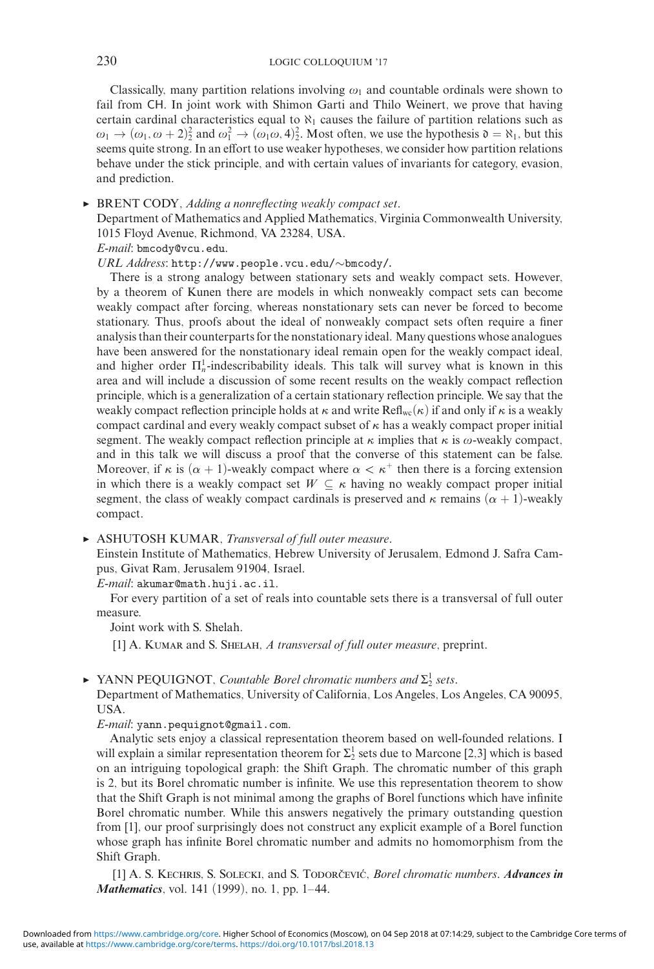Classically, many partition relations involving  $\omega_1$  and countable ordinals were shown to fail from CH. In joint work with Shimon Garti and Thilo Weinert, we prove that having certain cardinal characteristics equal to  $\aleph_1$  causes the failure of partition relations such as  $\omega_1 \to (\omega_1, \omega + 2)^2$  and  $\omega_1^2 \to (\omega_1 \omega, 4)^2$ . Most often, we use the hypothesis  $\mathfrak{d} = \aleph_1$ , but this seems quite strong. In an effort to use weaker hypotheses, we consider how partition relations behave under the stick principle, and with certain values of invariants for category, evasion, and prediction.

#### - BRENT CODY, *Adding a nonreflecting weakly compact set*.

Department of Mathematics and Applied Mathematics, Virginia Commonwealth University, 1015 Floyd Avenue, Richmond, VA 23284, USA.

*E-mail*: bmcody@vcu.edu.

*URL Address*: http://www.people.vcu.edu/∼bmcody/.

There is a strong analogy between stationary sets and weakly compact sets. However, by a theorem of Kunen there are models in which nonweakly compact sets can become weakly compact after forcing, whereas nonstationary sets can never be forced to become stationary. Thus, proofs about the ideal of nonweakly compact sets often require a finer analysis than their counterparts for the nonstationary ideal. Many questions whose analogues have been answered for the nonstationary ideal remain open for the weakly compact ideal, and higher order  $\Pi_n^1$ -indescribability ideals. This talk will survey what is known in this area and will include a discussion of some recent results on the weakly compact reflection principle, which is a generalization of a certain stationary reflection principle. We say that the weakly compact reflection principle holds at  $\kappa$  and write Refl<sub>wc</sub>( $\kappa$ ) if and only if  $\kappa$  is a weakly compact cardinal and every weakly compact subset of *κ* has a weakly compact proper initial segment. The weakly compact reflection principle at  $\kappa$  implies that  $\kappa$  is  $\omega$ -weakly compact, and in this talk we will discuss a proof that the converse of this statement can be false. Moreover, if  $\kappa$  is  $(\alpha + 1)$ -weakly compact where  $\alpha < \kappa^+$  then there is a forcing extension in which there is a weakly compact set  $W \subseteq \kappa$  having no weakly compact proper initial segment, the class of weakly compact cardinals is preserved and  $\kappa$  remains ( $\alpha + 1$ )-weakly compact.

#### - ASHUTOSH KUMAR, *Transversal of full outer measure*.

Einstein Institute of Mathematics, Hebrew University of Jerusalem, Edmond J. Safra Campus, Givat Ram, Jerusalem 91904, Israel.

*E-mail*: akumar@math.huji.ac.il.

For every partition of a set of reals into countable sets there is a transversal of full outer measure.

Joint work with S. Shelah.

[1] A. KUMAR and S. SHELAH, *A transversal of full outer measure*, preprint.

# **EXANN PEQUIGNOT,** *Countable Borel chromatic numbers and* $\Sigma^1$  *sets.*

Department of Mathematics, University of California, Los Angeles, Los Angeles, CA 90095, USA.

*E-mail*: yann.pequignot@gmail.com.

Analytic sets enjoy a classical representation theorem based on well-founded relations. I will explain a similar representation theorem for  $\Sigma^1_2$  sets due to Marcone [2,3] which is based on an intriguing topological graph: the Shift Graph. The chromatic number of this graph is 2, but its Borel chromatic number is infinite. We use this representation theorem to show that the Shift Graph is not minimal among the graphs of Borel functions which have infinite Borel chromatic number. While this answers negatively the primary outstanding question from [1], our proof surprisingly does not construct any explicit example of a Borel function whose graph has infinite Borel chromatic number and admits no homomorphism from the Shift Graph.

[1] A. S. KECHRIS, S. SOLECKI, and S. TODORCEVIC, *Borel chromatic numbers. Advances in Mathematics*, vol. 141 (1999), no. 1, pp. 1–44.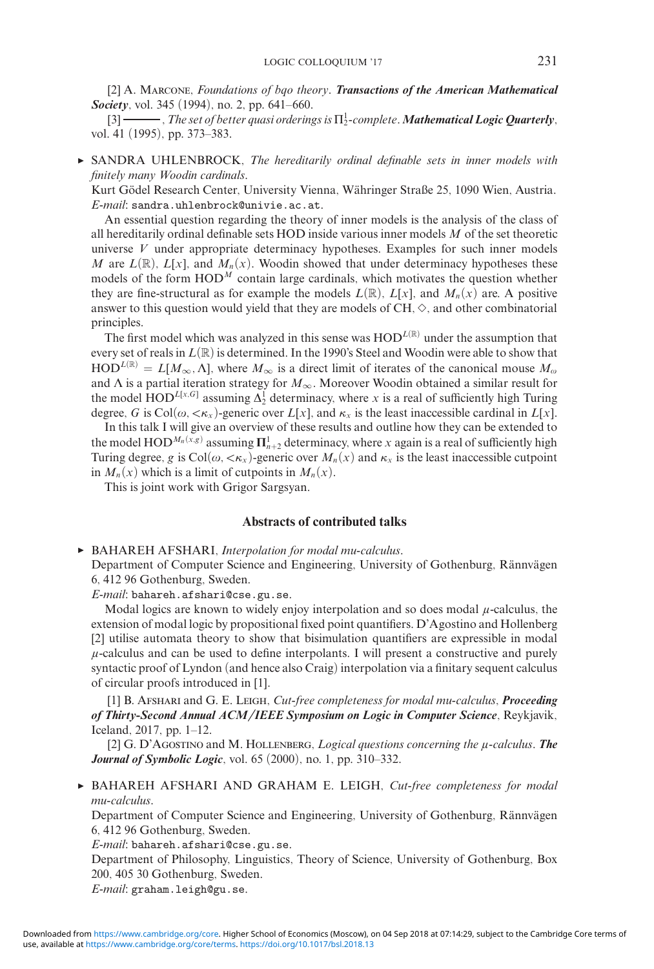[2] A. Marcone, *Foundations of bqo theory*. *Transactions of the American Mathematical Society*, vol. 345 (1994), no. 2, pp. 641–660.

 $[3]$  ———, The set of better quasi orderings is  $\Pi^1_2$ -complete. **Mathematical Logic Quarterly**, vol. 41 (1995), pp. 373–383.

► SANDRA UHLENBROCK, *The hereditarily ordinal definable sets in inner models with finitely many Woodin cardinals*.

Kurt Gödel Research Center, University Vienna, Währinger Straße 25, 1090 Wien, Austria. *E-mail*: sandra.uhlenbrock@univie.ac.at.

An essential question regarding the theory of inner models is the analysis of the class of all hereditarily ordinal definable sets HOD inside various inner models *M* of the set theoretic universe  $V$  under appropriate determinacy hypotheses. Examples for such inner models *M* are  $L(\mathbb{R})$ ,  $L[x]$ , and  $M_n(x)$ . Woodin showed that under determinacy hypotheses these models of the form HOD*<sup>M</sup>* contain large cardinals, which motivates the question whether they are fine-structural as for example the models  $L(\mathbb{R})$ ,  $L[x]$ , and  $M_n(x)$  are. A positive answer to this question would yield that they are models of  $CH$ ,  $\diamond$ , and other combinatorial principles.

The first model which was analyzed in this sense was  $HOD^{L(\mathbb{R})}$  under the assumption that every set of reals in *L*(R) is determined. In the 1990's Steel and Woodin were able to show that  $HOD^{L(\mathbb{R})} = L[M_{\infty}, \Lambda]$ , where  $M_{\infty}$  is a direct limit of iterates of the canonical mouse  $M_{\omega}$ and Λ is a partial iteration strategy for *M*∞. Moreover Woodin obtained a similar result for the model  $HOD^{L[x,G]}$  assuming  $\Delta_2^1$  determinacy, where *x* is a real of sufficiently high Turing degree, *G* is Col( $\omega$ ,  $\lt \kappa$ <sub>x</sub>)-generic over  $L[x]$ , and  $\kappa$ <sub>x</sub> is the least inaccessible cardinal in  $L[x]$ .

In this talk I will give an overview of these results and outline how they can be extended to the model  $\text{HOD}^{M_n(x,g)}$  assuming  $\prod_{n+2}^1$  determinacy, where *x* again is a real of sufficiently high Turing degree, *g* is  $Col(\omega, <\kappa_x)$ -generic over  $M_n(x)$  and  $\kappa_x$  is the least inaccessible cutpoint in  $M_n(x)$  which is a limit of cutpoints in  $M_n(x)$ .

This is joint work with Grigor Sargsyan.

### **Abstracts of contributed talks**

#### - BAHAREH AFSHARI, *Interpolation for modal mu-calculus*.

Department of Computer Science and Engineering, University of Gothenburg, Rännvägen 6, 412 96 Gothenburg, Sweden.

*E-mail*: bahareh.afshari@cse.gu.se.

Modal logics are known to widely enjoy interpolation and so does modal  $\mu$ -calculus, the extension of modal logic by propositional fixed point quantifiers. D'Agostino and Hollenberg [2] utilise automata theory to show that bisimulation quantifiers are expressible in modal  $\mu$ -calculus and can be used to define interpolants. I will present a constructive and purely syntactic proof of Lyndon (and hence also Craig) interpolation via a finitary sequent calculus of circular proofs introduced in [1].

[1] B. Afshari and G. E. Leigh, *Cut-free completeness for modal mu-calculus*, *Proceeding of Thirty-Second Annual ACM/IEEE Symposium on Logic in Computer Science*, Reykjavik, Iceland, 2017, pp. 1–12.

[2] G. D'AGOSTINO and M. HOLLENBERG, *Logical questions concerning the µ-calculus*. *The Journal of Symbolic Logic*, vol. 65 (2000), no. 1, pp. 310–332.

- BAHAREH AFSHARI AND GRAHAM E. LEIGH, *Cut-free completeness for modal mu-calculus*.

Department of Computer Science and Engineering, University of Gothenburg, Rännvägen 6, 412 96 Gothenburg, Sweden.

*E-mail*: bahareh.afshari@cse.gu.se.

Department of Philosophy, Linguistics, Theory of Science, University of Gothenburg, Box 200, 405 30 Gothenburg, Sweden.

*E-mail*: graham.leigh@gu.se.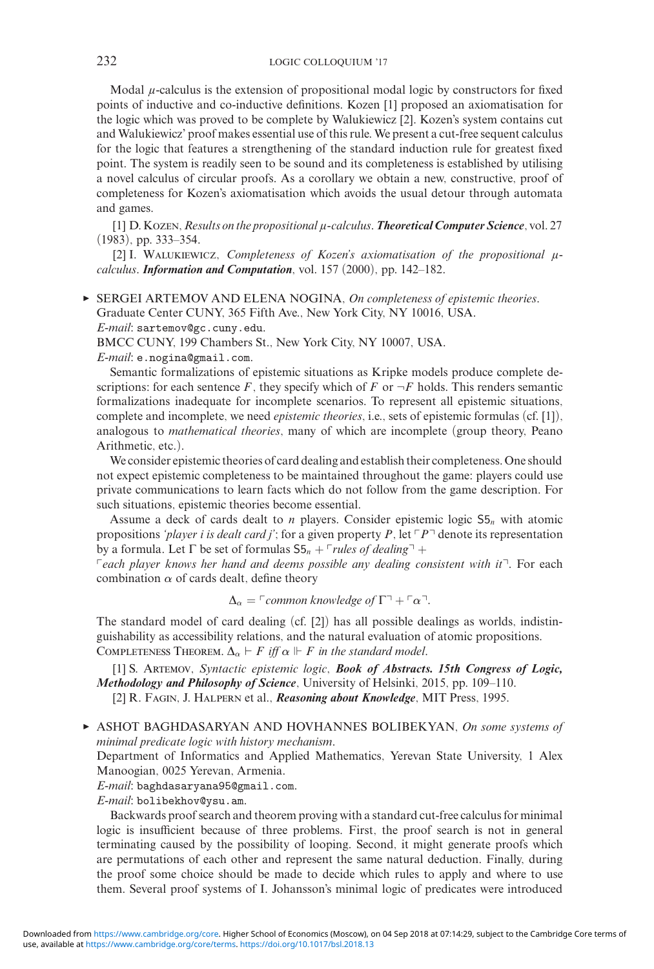Modal  $\mu$ -calculus is the extension of propositional modal logic by constructors for fixed points of inductive and co-inductive definitions. Kozen [1] proposed an axiomatisation for the logic which was proved to be complete by Walukiewicz [2]. Kozen's system contains cut and Walukiewicz' proof makes essential use of this rule. We present a cut-free sequent calculus for the logic that features a strengthening of the standard induction rule for greatest fixed point. The system is readily seen to be sound and its completeness is established by utilising a novel calculus of circular proofs. As a corollary we obtain a new, constructive, proof of completeness for Kozen's axiomatisation which avoids the usual detour through automata and games.

[1] D. Kozen, *Results on the propositional-calculus*.*Theoretical Computer Science*, vol. 27 (1983), pp. 333–354.

[2] I. WALUKIEWICZ, *Completeness of Kozen's axiomatisation of the propositional*  $\mu$ *calculus*. *Information and Computation*, vol. 157 (2000), pp. 142–182.

- SERGEI ARTEMOV AND ELENA NOGINA, *On completeness of epistemic theories*. Graduate Center CUNY, 365 Fifth Ave., New York City, NY 10016, USA.

*E-mail*: sartemov@gc.cuny.edu.

BMCC CUNY, 199 Chambers St., New York City, NY 10007, USA.

*E-mail*: e.nogina@gmail.com.

Semantic formalizations of epistemic situations as Kripke models produce complete descriptions: for each sentence *F*, they specify which of *F* or  $\neg$ *F* holds. This renders semantic formalizations inadequate for incomplete scenarios. To represent all epistemic situations, complete and incomplete, we need *epistemic theories*, i.e., sets of epistemic formulas (cf. [1]), analogous to *mathematical theories*, many of which are incomplete (group theory, Peano Arithmetic, etc.).

We consider epistemic theories of card dealing and establish their completeness. One should not expect epistemic completeness to be maintained throughout the game: players could use private communications to learn facts which do not follow from the game description. For such situations, epistemic theories become essential.

Assume a deck of cards dealt to *n* players. Consider epistemic logic S5*<sup>n</sup>* with atomic propositions *'player i is dealt card j'*; for a given property P, let  $\ulcorner P \urcorner$  denote its representation by a formula. Let  $\Gamma$  be set of formulas  $S5_n + \Gamma$ *rules of dealing*<sup> $\top$ </sup> +

-*each player knows her hand and deems possible any dealing consistent with it*. For each combination  $\alpha$  of cards dealt, define theory

 $\Delta_{\alpha} = \lceil$  common knowledge of  $\Gamma$ <sup> $\lceil + \lceil \alpha \rceil$ .</sup>

The standard model of card dealing (cf. [2]) has all possible dealings as worlds, indistinguishability as accessibility relations, and the natural evaluation of atomic propositions. COMPLETENESS THEOREM.  $\Delta_{\alpha} \vdash F$  *iff*  $\alpha \Vdash F$  *in the standard model.* 

[1] S. Artemov, *Syntactic epistemic logic*, *Book of Abstracts. 15th Congress of Logic, Methodology and Philosophy of Science*, University of Helsinki, 2015, pp. 109–110.

[2] R. Fagin, J. Halpern et al., *Reasoning about Knowledge*, MIT Press, 1995.

### - ASHOT BAGHDASARYAN AND HOVHANNES BOLIBEKYAN, *On some systems of minimal predicate logic with history mechanism*.

Department of Informatics and Applied Mathematics, Yerevan State University, 1 Alex Manoogian, 0025 Yerevan, Armenia.

*E-mail*: baghdasaryana95@gmail.com.

*E-mail*: bolibekhov@ysu.am.

Backwards proof search and theorem proving with a standard cut-free calculus for minimal logic is insufficient because of three problems. First, the proof search is not in general terminating caused by the possibility of looping. Second, it might generate proofs which are permutations of each other and represent the same natural deduction. Finally, during the proof some choice should be made to decide which rules to apply and where to use them. Several proof systems of I. Johansson's minimal logic of predicates were introduced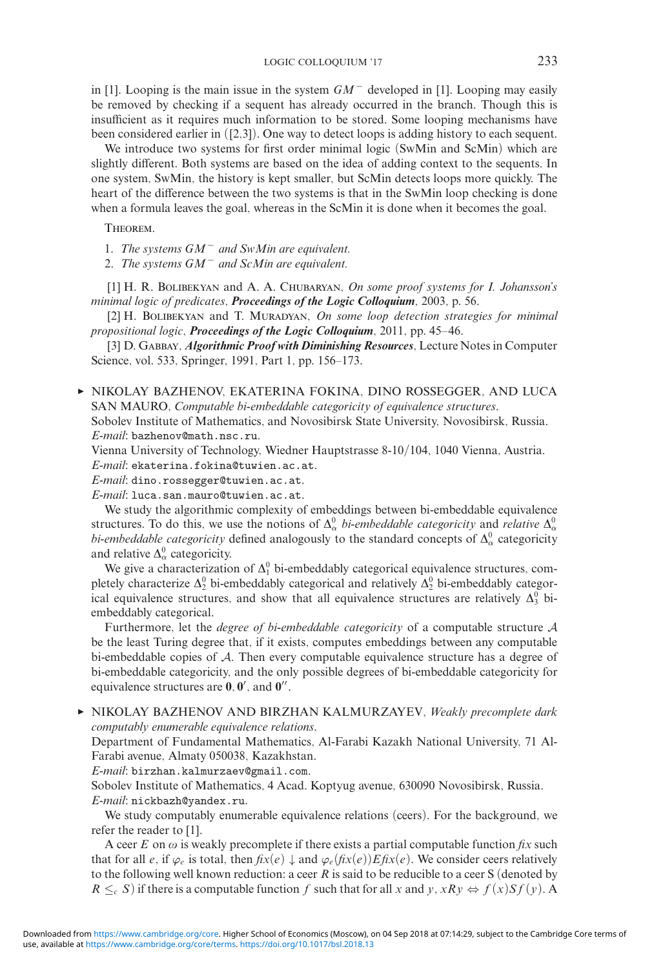in [1]. Looping is the main issue in the system *GM*<sup>−</sup> developed in [1]. Looping may easily be removed by checking if a sequent has already occurred in the branch. Though this is insufficient as it requires much information to be stored. Some looping mechanisms have been considered earlier in ([2,3]). One way to detect loops is adding history to each sequent.

We introduce two systems for first order minimal logic (SwMin and ScMin) which are slightly different. Both systems are based on the idea of adding context to the sequents. In one system, SwMin, the history is kept smaller, but ScMin detects loops more quickly. The heart of the difference between the two systems is that in the SwMin loop checking is done when a formula leaves the goal, whereas in the ScMin it is done when it becomes the goal.

Theorem.

1. *The systems GM*<sup>−</sup> *and SwMin are equivalent.*

2. *The systems GM*<sup>−</sup> *and ScMin are equivalent.*

[1] H. R. Bolibekyan and A. A. Chubaryan, *On some proof systems for I. Johansson's minimal logic of predicates*, *Proceedings of the Logic Colloquium*, 2003, p. 56.

[2] H. Bolibekyan and T. Muradyan, *On some loop detection strategies for minimal propositional logic*, *Proceedings of the Logic Colloquium*, 2011, pp. 45–46.

[3] D. Gabbay, *Algorithmic Proof with Diminishing Resources*, Lecture Notes in Computer Science, vol. 533, Springer, 1991, Part 1, pp. 156–173.

- NIKOLAY BAZHENOV, EKATERINA FOKINA, DINO ROSSEGGER, AND LUCA SAN MAURO, *Computable bi-embeddable categoricity of equivalence structures*.

Sobolev Institute of Mathematics, and Novosibirsk State University, Novosibirsk, Russia. *E-mail*: bazhenov@math.nsc.ru.

Vienna University of Technology, Wiedner Hauptstrasse 8-10/104, 1040 Vienna, Austria. *E-mail*: ekaterina.fokina@tuwien.ac.at.

*E-mail*: dino.rossegger@tuwien.ac.at.

*E-mail*: luca.san.mauro@tuwien.ac.at.

We study the algorithmic complexity of embeddings between bi-embeddable equivalence structures. To do this, we use the notions of  $\Delta_{\alpha}^{0}$  *bi-embeddable categoricity* and *relative*  $\Delta_{\alpha}^{0}$ *bi-embeddable categoricity* defined analogously to the standard concepts of  $Δ<sup>0</sup><sub>α</sub>$  categoricity and relative  $\Delta_{\alpha}^{0}$  categoricity.

We give a characterization of  $\Delta_1^0$  bi-embeddably categorical equivalence structures, completely characterize  $\Delta_2^0$  bi-embeddably categorical and relatively  $\Delta_2^0$  bi-embeddably categorical equivalence structures, and show that all equivalence structures are relatively  $\Delta_3^0$  biembeddably categorical.

Furthermore, let the *degree of bi-embeddable categoricity* of a computable structure A be the least Turing degree that, if it exists, computes embeddings between any computable bi-embeddable copies of A. Then every computable equivalence structure has a degree of bi-embeddable categoricity, and the only possible degrees of bi-embeddable categoricity for equivalence structures are **0***,* **0** , and **0**.

- NIKOLAY BAZHENOV AND BIRZHAN KALMURZAYEV, *Weakly precomplete dark computably enumerable equivalence relations*.

Department of Fundamental Mathematics, Al-Farabi Kazakh National University, 71 Al-Farabi avenue, Almaty 050038, Kazakhstan.

*E-mail*: birzhan.kalmurzaev@gmail.com.

Sobolev Institute of Mathematics, 4 Acad. Koptyug avenue, 630090 Novosibirsk, Russia. *E-mail*: nickbazh@yandex.ru.

We study computably enumerable equivalence relations (ceers). For the background, we refer the reader to [1].

A ceer *E* on  $\omega$  is weakly precomplete if there exists a partial computable function  $fix$  such that for all *e*, if  $\varphi_e$  is total, then  $fix(e) \downarrow$  and  $\varphi_e(f(x(e))Efix(e)$ . We consider ceers relatively to the following well known reduction: a ceer *R* is said to be reducible to a ceer S (denoted by *R*  $\leq_c$  *S*) if there is a computable function *f* such that for all *x* and *y*, *xRy*  $\Leftrightarrow$  *f*(*x*)*Sf*(*y*). A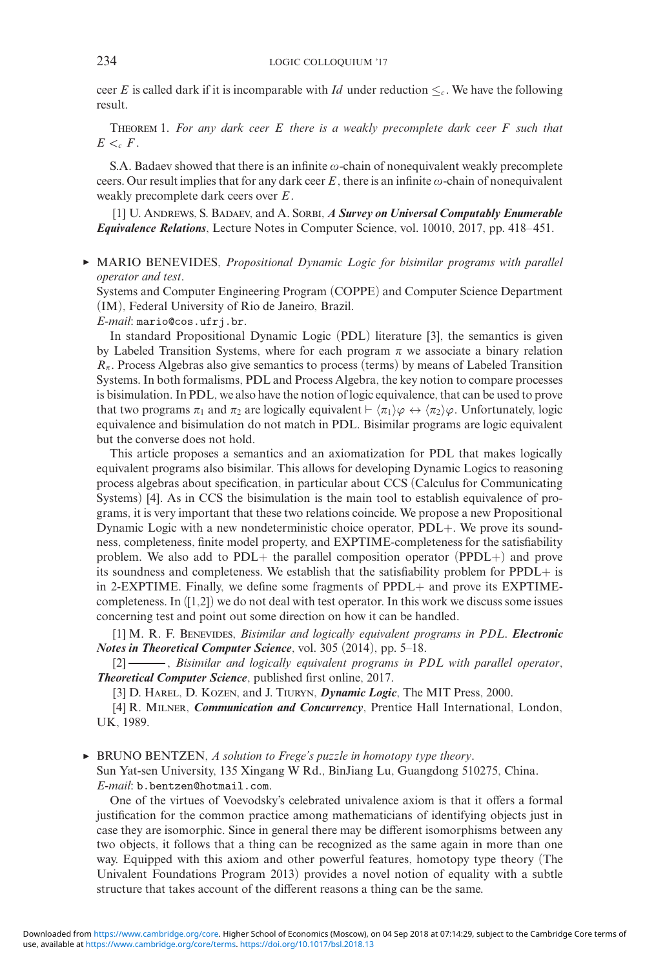ceer *E* is called dark if it is incomparable with *Id* under reduction  $\leq_c$ . We have the following result.

Theorem 1. *For any dark ceer E there is a weakly precomplete dark ceer F such that*  $E <_{c} F$ .

S.A. Badaev showed that there is an infinite  $\omega$ -chain of nonequivalent weakly precomplete ceers. Our result implies that for any dark ceer  $E$ , there is an infinite  $\omega$ -chain of nonequivalent weakly precomplete dark ceers over *E*.

[1] U. Andrews, S. Badaev, and A. Sorbi, *A Survey on Universal Computably Enumerable Equivalence Relations*, Lecture Notes in Computer Science, vol. 10010, 2017, pp. 418–451.

► MARIO BENEVIDES, *Propositional Dynamic Logic for bisimilar programs with parallel operator and test*.

Systems and Computer Engineering Program (COPPE) and Computer Science Department (IM), Federal University of Rio de Janeiro, Brazil.

*E-mail*: mario@cos.ufrj.br.

In standard Propositional Dynamic Logic (PDL) literature [3], the semantics is given by Labeled Transition Systems, where for each program  $\pi$  we associate a binary relation  $R_{\pi}$ . Process Algebras also give semantics to process (terms) by means of Labeled Transition Systems. In both formalisms, PDL and Process Algebra, the key notion to compare processes is bisimulation. In PDL, we also have the notion of logic equivalence, that can be used to prove that two programs  $\pi_1$  and  $\pi_2$  are logically equivalent  $\vdash \langle \pi_1 \rangle \varphi \leftrightarrow \langle \pi_2 \rangle \varphi$ . Unfortunately, logic equivalence and bisimulation do not match in PDL. Bisimilar programs are logic equivalent but the converse does not hold.

This article proposes a semantics and an axiomatization for PDL that makes logically equivalent programs also bisimilar. This allows for developing Dynamic Logics to reasoning process algebras about specification, in particular about CCS (Calculus for Communicating Systems) [4]. As in CCS the bisimulation is the main tool to establish equivalence of programs, it is very important that these two relations coincide. We propose a new Propositional Dynamic Logic with a new nondeterministic choice operator, PDL+. We prove its soundness, completeness, finite model property, and EXPTIME-completeness for the satisfiability problem. We also add to PDL+ the parallel composition operator (PPDL+) and prove its soundness and completeness. We establish that the satisfiability problem for  $PPDL+$  is in 2-EXPTIME. Finally, we define some fragments of PPDL+ and prove its EXPTIMEcompleteness. In  $(1,2)$  we do not deal with test operator. In this work we discuss some issues concerning test and point out some direction on how it can be handled.

[1] M. R. F. BENEVIDES, *Bisimilar and logically equivalent programs in PDL*. *Electronic Notes in Theoretical Computer Science*, vol. 305 (2014), pp. 5–18.

[2] , *Bisimilar and logically equivalent programs in PDL with parallel operator*, *Theoretical Computer Science*, published first online, 2017.

[3] D. Harel, D. Kozen, and J. Tiuryn, *Dynamic Logic*, The MIT Press, 2000.

[4] R. Milner, *Communication and Concurrency*, Prentice Hall International, London, UK, 1989.

► BRUNO BENTZEN, *A solution to Frege's puzzle in homotopy type theory*.

Sun Yat-sen University, 135 Xingang W Rd., BinJiang Lu, Guangdong 510275, China. *E-mail*: b.bentzen@hotmail.com.

One of the virtues of Voevodsky's celebrated univalence axiom is that it offers a formal justification for the common practice among mathematicians of identifying objects just in case they are isomorphic. Since in general there may be different isomorphisms between any two objects, it follows that a thing can be recognized as the same again in more than one way. Equipped with this axiom and other powerful features, homotopy type theory (The Univalent Foundations Program 2013) provides a novel notion of equality with a subtle structure that takes account of the different reasons a thing can be the same.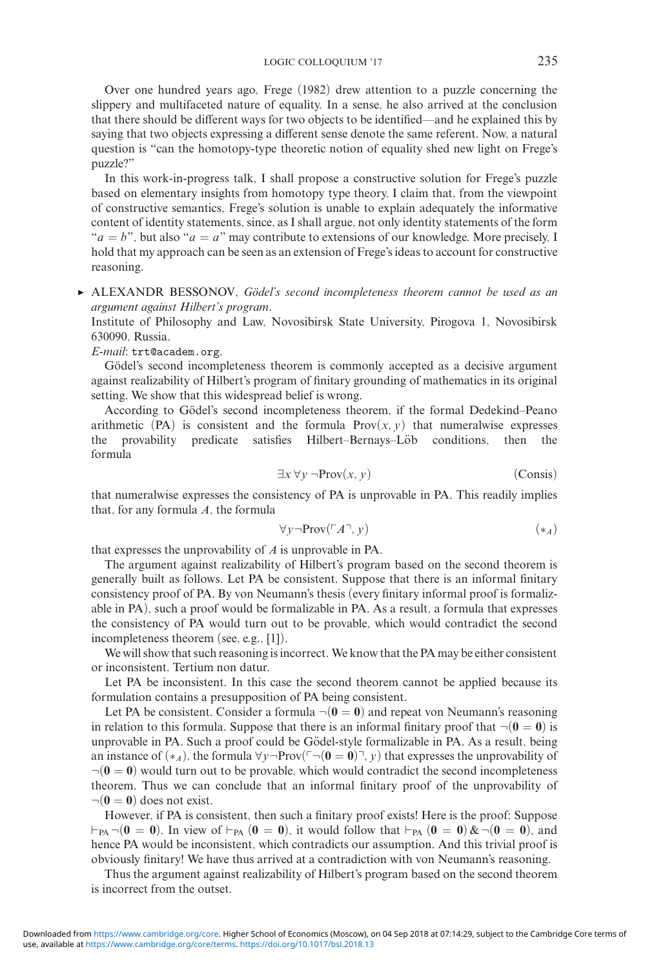Over one hundred years ago, Frege (1982) drew attention to a puzzle concerning the slippery and multifaceted nature of equality. In a sense, he also arrived at the conclusion that there should be different ways for two objects to be identified—and he explained this by saying that two objects expressing a different sense denote the same referent. Now, a natural question is "can the homotopy-type theoretic notion of equality shed new light on Frege's puzzle?"

In this work-in-progress talk, I shall propose a constructive solution for Frege's puzzle based on elementary insights from homotopy type theory. I claim that, from the viewpoint of constructive semantics, Frege's solution is unable to explain adequately the informative content of identity statements, since, as I shall argue, not only identity statements of the form  $a^2$  *a* = *b*", but also "*a* = *a*" may contribute to extensions of our knowledge. More precisely, I hold that my approach can be seen as an extension of Frege's ideas to account for constructive reasoning.

► ALEXANDR BESSONOV, *Gödel's second incompleteness theorem cannot be used as an argument against Hilbert's program*.

Institute of Philosophy and Law, Novosibirsk State University, Pirogova 1, Novosibirsk 630090, Russia.

*E-mail*: trt@academ.org.

Gödel's second incompleteness theorem is commonly accepted as a decisive argument against realizability of Hilbert's program of finitary grounding of mathematics in its original setting. We show that this widespread belief is wrong.

According to Gödel's second incompleteness theorem, if the formal Dedekind–Peano arithmetic  $(PA)$  is consistent and the formula  $Prov(x, y)$  that numeralwise expresses the provability predicate satisfies Hilbert–Bernays–Löb conditions, then the formula

$$
\exists x \,\forall y \,\neg \text{Prov}(x, y) \tag{Consis}
$$

that numeralwise expresses the consistency of PA is unprovable in PA. This readily implies that, for any formula *A*, the formula

$$
\forall y \neg \text{Prov}(\ulcorner A \urcorner, y) \tag{*A}
$$

that expresses the unprovability of *A* is unprovable in PA.

The argument against realizability of Hilbert's program based on the second theorem is generally built as follows. Let PA be consistent. Suppose that there is an informal finitary consistency proof of PA. By von Neumann's thesis (every finitary informal proof is formalizable in PA), such a proof would be formalizable in PA. As a result, a formula that expresses the consistency of PA would turn out to be provable, which would contradict the second incompleteness theorem (see, e.g., [1]).

We will show that such reasoning is incorrect. We know that the PA may be either consistent or inconsistent. Tertium non datur.

Let PA be inconsistent. In this case the second theorem cannot be applied because its formulation contains a presupposition of PA being consistent.

Let PA be consistent. Consider a formula  $\neg(\mathbf{0} = \mathbf{0})$  and repeat von Neumann's reasoning in relation to this formula. Suppose that there is an informal finitary proof that  $\neg(\mathbf{0} = \mathbf{0})$  is unprovable in PA. Such a proof could be Gödel-style formalizable in PA. As a result, being an instance of  $(*_A)$ , the formula  $\forall y \neg \text{Prov}(\neg (\mathbf{0} = \mathbf{0}) \neg, y)$  that expresses the unprovability of  $\neg$ ( $\theta = 0$ ) would turn out to be provable, which would contradict the second incompleteness theorem. Thus we can conclude that an informal finitary proof of the unprovability of  $\neg$ (0 = 0) does not exist.

However, if PA is consistent, then such a finitary proof exists! Here is the proof: Suppose  $\vdash_{\text{PA}} \neg(\mathbf{0} = \mathbf{0})$ . In view of  $\vdash_{\text{PA}} (\mathbf{0} = \mathbf{0})$ , it would follow that  $\vdash_{\text{PA}} (\mathbf{0} = \mathbf{0}) \& \neg(\mathbf{0} = \mathbf{0})$ , and hence PA would be inconsistent, which contradicts our assumption. And this trivial proof is obviously finitary! We have thus arrived at a contradiction with von Neumann's reasoning.

Thus the argument against realizability of Hilbert's program based on the second theorem is incorrect from the outset.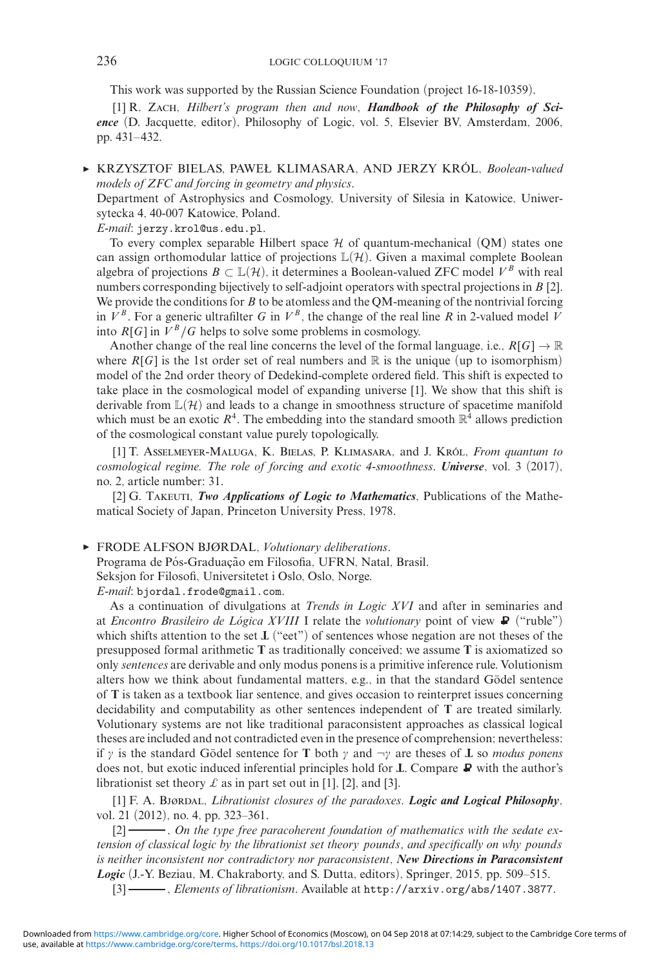This work was supported by the Russian Science Foundation (project 16-18-10359).

[1] R. ZACH, *Hilbert's program then and now*, *Handbook of the Philosophy of Science* (D. Jacquette, editor), Philosophy of Logic, vol. 5, Elsevier BV, Amsterdam, 2006, pp. 431–432.

**KRZYSZTOF BIELAS, PAWEŁ KLIMASARA, AND JERZY KRÓL, Boolean-valued** *models of ZFC and forcing in geometry and physics*.

Department of Astrophysics and Cosmology, University of Silesia in Katowice, Uniwersytecka 4, 40-007 Katowice, Poland.

*E-mail*: jerzy.krol@us.edu.pl.

To every complex separable Hilbert space  $H$  of quantum-mechanical  $(QM)$  states one can assign orthomodular lattice of projections  $\mathbb{L}(\mathcal{H})$ . Given a maximal complete Boolean algebra of projections  $B \subset \mathbb{L}(\mathcal{H})$ , it determines a Boolean-valued ZFC model  $V^B$  with real numbers corresponding bijectively to self-adjoint operators with spectral projections in *B* [2]. We provide the conditions for *B* to be atomless and the QM-meaning of the nontrivial forcing in  $V^B$ . For a generic ultrafilter *G* in  $V^B$ , the change of the real line *R* in 2-valued model *V* into  $R[G]$  in  $V^B/G$  helps to solve some problems in cosmology.

Another change of the real line concerns the level of the formal language, i.e.,  $R[G] \to \mathbb{R}$ where  $R[G]$  is the 1st order set of real numbers and  $\mathbb R$  is the unique (up to isomorphism) model of the 2nd order theory of Dedekind-complete ordered field. This shift is expected to take place in the cosmological model of expanding universe [1]. We show that this shift is derivable from  $\mathbb{L}(\mathcal{H})$  and leads to a change in smoothness structure of spacetime manifold which must be an exotic  $R^4$ . The embedding into the standard smooth  $\mathbb{R}^4$  allows prediction of the cosmological constant value purely topologically.

[1] T. Asselmeyer-Maluga, K. Bielas, P. Klimasara, and J. Krol´ , *From quantum to cosmological regime. The role of forcing and exotic 4-smoothness*. *Universe*, vol. 3 (2017), no. 2, article number: 31.

[2] G. TAKEUTI, *Two Applications of Logic to Mathematics*, Publications of the Mathematical Society of Japan, Princeton University Press, 1978.

- FRODE ALFSON BJØRDAL, *Volutionary deliberations*.

Programa de Pós-Graduação em Filosofia, UFRN, Natal, Brasil.

Seksjon for Filosofi, Universitetet i Oslo, Oslo, Norge.

*E-mail*: bjordal.frode@gmail.com.

As a continuation of divulgations at *Trends in Logic XVI* and after in seminaries and at *Encontro Brasileiro de L´ogica XVIII* I relate the *volutionary* point of view **P** ("ruble") which shifts attention to the set **<sup>T</sup>** ("eet") of sentences whose negation are not theses of the presupposed formal arithmetic **T** as traditionally conceived; we assume **T** is axiomatized so only *sentences* are derivable and only modus ponens is a primitive inference rule. Volutionism alters how we think about fundamental matters, e.g., in that the standard Gödel sentence of **T** is taken as a textbook liar sentence, and gives occasion to reinterpret issues concerning decidability and computability as other sentences independent of **T** are treated similarly. Volutionary systems are not like traditional paraconsistent approaches as classical logical theses are included and not contradicted even in the presence of comprehension; nevertheless: if  $\gamma$  is the standard Gödel sentence for **T** both  $\gamma$  and  $\neg \gamma$  are theses of **L** so *modus ponens* does not, but exotic induced inferential principles hold for **<sup>T</sup>** . Compare **P** with the author's librationist set theory  $\mathcal L$  as in part set out in [1], [2], and [3].

[1] F. A. Bjørdal, *Librationist closures of the paradoxes*. *Logic and Logical Philosophy*, vol. 21 (2012), no. 4, pp. 323–361.

[2]  $\rightarrow$ , *On the type free paracoherent foundation of mathematics with the sedate extension of classical logic by the librationist set theory pounds, and specifically on why pounds is neither inconsistent nor contradictory nor paraconsistent*, *New Directions in Paraconsistent Logic* (J.-Y. Beziau, M. Chakraborty, and S. Dutta, editors), Springer, 2015, pp. 509–515.

[3] , *Elements of librationism*. Available at http://arxiv.org/abs/1407.3877.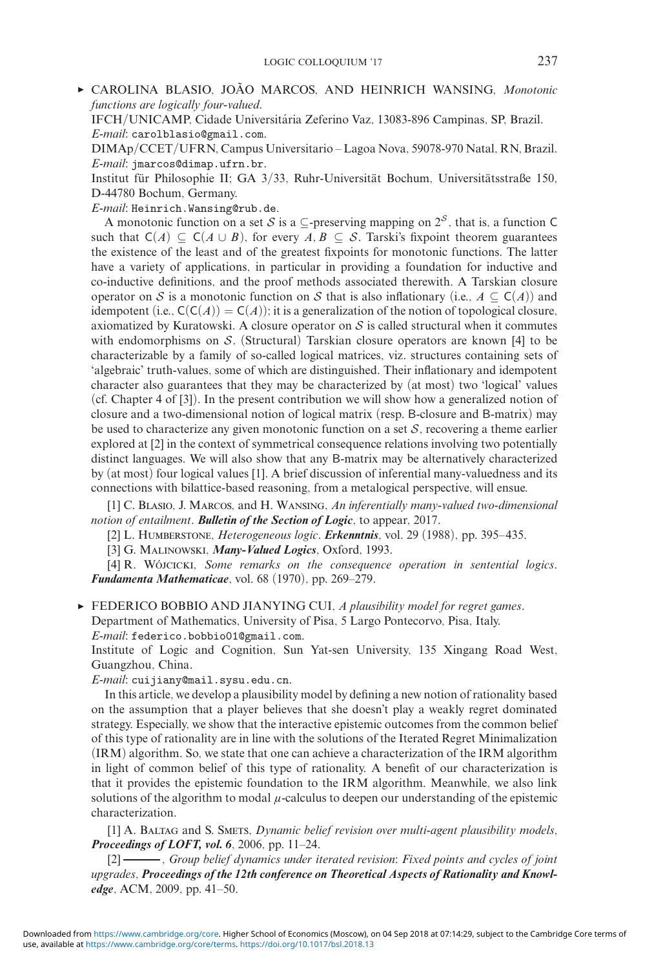$\triangleright$  CAROLINA BLASIO, JOÃO MARCOS, AND HEINRICH WANSING, Monotonic *functions are logically four-valued*.

IFCH/UNICAMP, Cidade Universitaria Zeferino Vaz, 13083-896 Campinas, SP, Brazil. ´ *E-mail*: carolblasio@gmail.com.

DIMAp/CCET/UFRN, Campus Universitario – Lagoa Nova, 59078-970 Natal, RN, Brazil. *E-mail*: jmarcos@dimap.ufrn.br.

Institut für Philosophie II; GA 3/33, Ruhr-Universität Bochum, Universitätsstraße 150, D-44780 Bochum, Germany.

*E-mail*: Heinrich.Wansing@rub.de.

A monotonic function on a set S is a  $\subseteq$ -preserving mapping on  $2^S$ , that is, a function C such that  $C(A) \subseteq C(A \cup B)$ , for every  $A, B \subseteq S$ . Tarski's fixpoint theorem guarantees the existence of the least and of the greatest fixpoints for monotonic functions. The latter have a variety of applications, in particular in providing a foundation for inductive and co-inductive definitions, and the proof methods associated therewith. A Tarskian closure operator on S is a monotonic function on S that is also inflationary (i.e.,  $A \subseteq C(A)$ ) and idempotent (i.e.,  $C(C(A)) = C(A)$ ); it is a generalization of the notion of topological closure, axiomatized by Kuratowski. A closure operator on  $S$  is called structural when it commutes with endomorphisms on  $S$ . (Structural) Tarskian closure operators are known [4] to be characterizable by a family of so-called logical matrices, viz. structures containing sets of 'algebraic' truth-values, some of which are distinguished. Their inflationary and idempotent character also guarantees that they may be characterized by (at most) two 'logical' values (cf. Chapter 4 of [3]). In the present contribution we will show how a generalized notion of closure and a two-dimensional notion of logical matrix (resp. B-closure and B-matrix) may be used to characterize any given monotonic function on a set  $S$ , recovering a theme earlier explored at [2] in the context of symmetrical consequence relations involving two potentially distinct languages. We will also show that any B-matrix may be alternatively characterized by (at most) four logical values [1]. A brief discussion of inferential many-valuedness and its connections with bilattice-based reasoning, from a metalogical perspective, will ensue.

[1] C. Blasio, J. Marcos, and H. Wansing, *An inferentially many-valued two-dimensional notion of entailment*. *Bulletin of the Section of Logic*, to appear, 2017.

[2] L. Humberstone, *Heterogeneous logic*. *Erkenntnis*, vol. 29 (1988), pp. 395–435.

[3] G. Malinowski, *Many-Valued Logics*, Oxford, 1993.

[4] R. Wójcicki, *Some remarks on the consequence operation in sentential logics*. *Fundamenta Mathematicae*, vol. 68 (1970), pp. 269–279.

- FEDERICO BOBBIO AND JIANYING CUI, *A plausibility model for regret games*. Department of Mathematics, University of Pisa, 5 Largo Pontecorvo, Pisa, Italy. *E-mail*: federico.bobbio01@gmail.com.

Institute of Logic and Cognition, Sun Yat-sen University, 135 Xingang Road West, Guangzhou, China.

*E-mail*: cuijiany@mail.sysu.edu.cn.

In this article, we develop a plausibility model by defining a new notion of rationality based on the assumption that a player believes that she doesn't play a weakly regret dominated strategy. Especially, we show that the interactive epistemic outcomes from the common belief of this type of rationality are in line with the solutions of the Iterated Regret Minimalization (IRM) algorithm. So, we state that one can achieve a characterization of the IRM algorithm in light of common belief of this type of rationality. A benefit of our characterization is that it provides the epistemic foundation to the IRM algorithm. Meanwhile, we also link solutions of the algorithm to modal  $\mu$ -calculus to deepen our understanding of the epistemic characterization.

[1] A. BALTAG and S. SMETS, *Dynamic belief revision over multi-agent plausibility models*, *Proceedings of LOFT, vol. 6*, 2006, pp. 11–24.

[2] , *Group belief dynamics under iterated revision*: *Fixed points and cycles of joint upgrades*, *Proceedings of the 12th conference on Theoretical Aspects of Rationality and Knowledge*, ACM, 2009, pp. 41–50.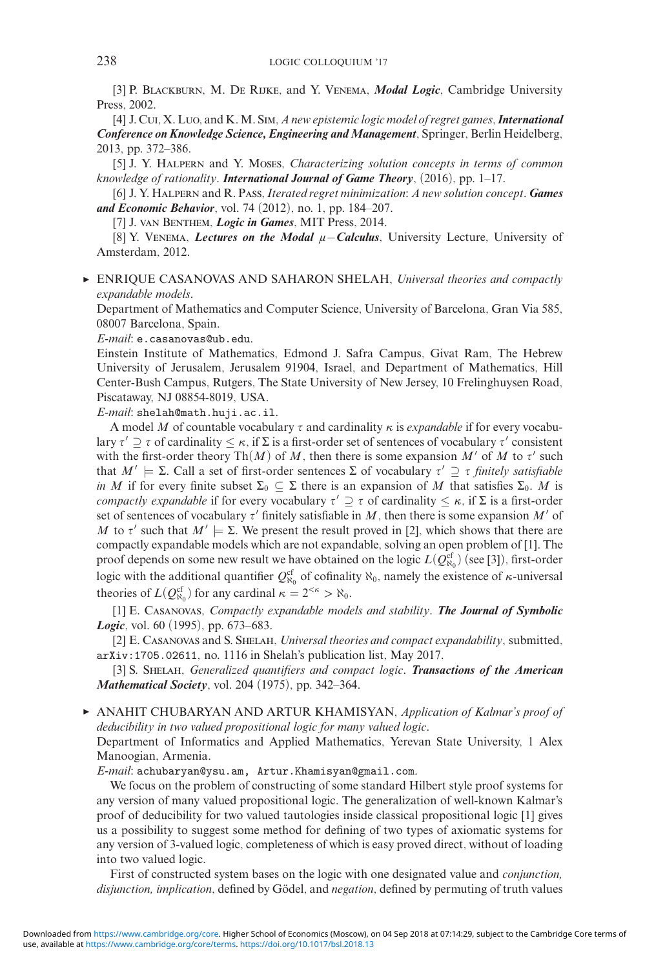[3] P. BLACKBURN, M. DE RIJKE, and Y. VENEMA, *Modal Logic*, Cambridge University Press, 2002.

[4] J. Cui, X. Luo, and K.M. Sim, *A new epistemic logic model of regret games*,*International Conference on Knowledge Science, Engineering and Management*, Springer, Berlin Heidelberg, 2013, pp. 372–386.

[5] J. Y. Halpern and Y. Moses, *Characterizing solution concepts in terms of common knowledge of rationality*. *International Journal of Game Theory*, (2016), pp. 1–17.

[6] J. Y. Halpern and R. Pass,*Iterated regret minimization*: *A new solution concept*. *Games and Economic Behavior*, vol. 74 (2012), no. 1, pp. 184–207.

[7] J. van Benthem, *Logic in Games*, MIT Press, 2014.

[8] Y. VENEMA, *Lectures on the Modal µ– Calculus*, University Lecture, University of Amsterdam, 2012.

- ENRIQUE CASANOVAS AND SAHARON SHELAH, *Universal theories and compactly expandable models*.

Department of Mathematics and Computer Science, University of Barcelona, Gran Via 585, 08007 Barcelona, Spain.

*E-mail*: e.casanovas@ub.edu.

Einstein Institute of Mathematics, Edmond J. Safra Campus, Givat Ram, The Hebrew University of Jerusalem, Jerusalem 91904, Israel, and Department of Mathematics, Hill Center-Bush Campus, Rutgers, The State University of New Jersey, 10 Frelinghuysen Road, Piscataway, NJ 08854-8019, USA.

*E-mail*: shelah@math.huji.ac.il.

A model *M* of countable vocabulary  $\tau$  and cardinality  $\kappa$  is *expandable* if for every vocabulary  $\tau' \supseteq \tau$  of cardinality  $\leq \kappa$ , if  $\Sigma$  is a first-order set of sentences of vocabulary  $\tau'$  consistent with the first-order theory Th(*M*) of *M*, then there is some expansion  $M'$  of  $M$  to  $\tau'$  such that  $M' \models \Sigma$ . Call a set of first-order sentences  $\Sigma$  of vocabulary  $\tau' \supseteq \tau$  finitely satisfiable *in M* if for every finite subset  $\Sigma_0 \subseteq \Sigma$  there is an expansion of *M* that satisfies  $\Sigma_0$ . *M* is *compactly expandable* if for every vocabulary  $\tau' \supseteq \tau$  of cardinality  $\leq \kappa$ , if  $\Sigma$  is a first-order set of sentences of vocabulary  $\tau'$  finitely satisfiable in *M*, then there is some expansion *M'* of *M* to  $\tau'$  such that  $M' \models \Sigma$ . We present the result proved in [2], which shows that there are compactly expandable models which are not expandable, solving an open problem of [1]. The proof depends on some new result we have obtained on the logic  $L(Q_{\aleph_0}^{\text{cf}})$  (see [3]), first-order logic with the additional quantifier  $Q_{\aleph_0}^{\text{cf}}$  of cofinality  $\aleph_0$ , namely the existence of *κ*-universal theories of  $L(Q_{\aleph_0}^{cf})$  for any cardinal  $\kappa = 2^{<\kappa} > \aleph_0$ .

[1] E. Casanovas, *Compactly expandable models and stability*. *The Journal of Symbolic Logic*, vol. 60 (1995), pp. 673–683.

[2] E. Casanovas and S. Shelah, *Universal theories and compact expandability*, submitted, arXiv:1705.02611, no. 1116 in Shelah's publication list, May 2017.

[3] S. Shelah, *Generalized quantifiers and compact logic*. *Transactions of the American Mathematical Society*, vol. 204 (1975), pp. 342–364.

- ANAHIT CHUBARYAN AND ARTUR KHAMISYAN, *Application of Kalmar's proof of deducibility in two valued propositional logic for many valued logic*.

Department of Informatics and Applied Mathematics, Yerevan State University, 1 Alex Manoogian, Armenia.

*E-mail*: achubaryan@ysu.am, Artur.Khamisyan@gmail.com.

We focus on the problem of constructing of some standard Hilbert style proof systems for any version of many valued propositional logic. The generalization of well-known Kalmar's proof of deducibility for two valued tautologies inside classical propositional logic [1] gives us a possibility to suggest some method for defining of two types of axiomatic systems for any version of 3-valued logic, completeness of which is easy proved direct, without of loading into two valued logic.

First of constructed system bases on the logic with one designated value and *conjunction, disjunction, implication, defined by Gödel, and <i>negation*, defined by permuting of truth values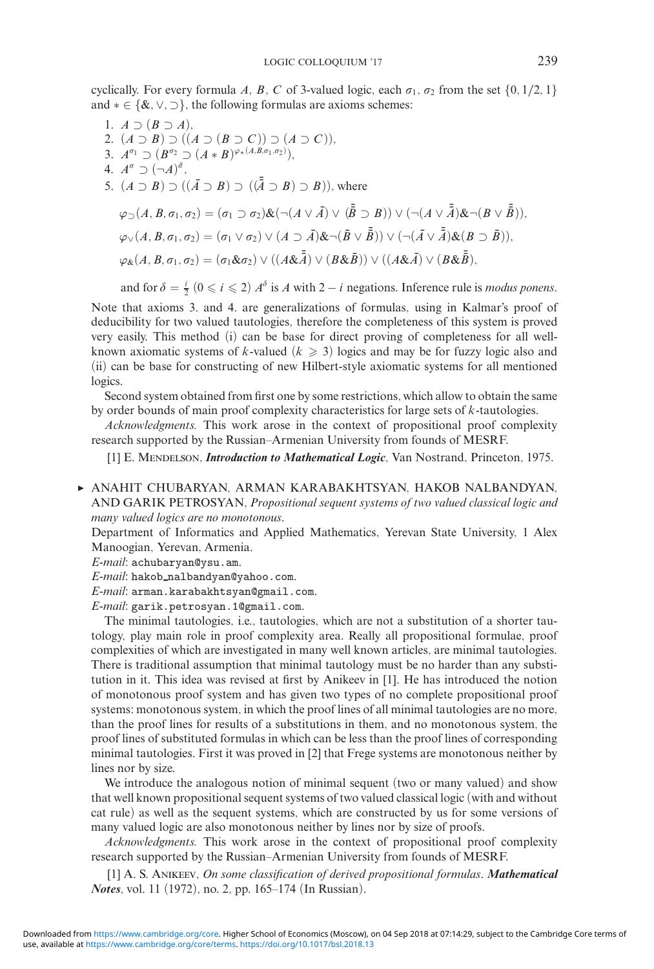cyclically. For every formula *A*, *B*, *C* of 3-valued logic, each  $\sigma_1$ ,  $\sigma_2$  from the set {0, 1/2, 1} and ∗∈{&*,*∨*,* ⊃}, the following formulas are axioms schemes:

1. 
$$
A \supset (B \supset A)
$$
,  
\n2.  $(A \supset B) \supset ((A \supset (B \supset C)) \supset (A \supset C))$ ,  
\n3.  $A^{\sigma_1} \supset (B^{\sigma_2} \supset (A * B)^{\varphi_*(A, B, \sigma_1, \sigma_2)})$ ,  
\n4.  $A^{\sigma} \supset (\neg A)^{\bar{\sigma}}$ ,  
\n5.  $(A \supset B) \supset ((\bar{A} \supset B) \supset ((\bar{A} \supset B) \supset B))$ , where  
\n $\varphi_>(A, B, \sigma_1, \sigma_2) = (\sigma_1 \supset \sigma_2) \& (\neg (A \vee \bar{A}) \vee (\bar{B} \supset B)) \vee (\neg (A \vee \bar{A}) \& \neg (B \vee \bar{B}))$ ,  
\n $\varphi_(\vee (A, B, \sigma_1, \sigma_2) = (\sigma_1 \vee \sigma_2) \vee (A \supset \bar{A}) \& \neg (\bar{B} \vee \bar{B}) \vee (\neg (\bar{A} \vee \bar{A}) \& (B \supset \bar{B}))$ ,  
\n $\varphi_*(A, B, \sigma_1, \sigma_2) = (\sigma_1 \& \sigma_2) \vee ((A \& \bar{A}) \vee (B \& \bar{B})) \vee ((A \& \bar{A}) \vee (B \& \bar{B})$ ,

and for  $\delta = \frac{i}{2}$  ( $0 \le i \le 2$ )  $A^{\delta}$  is *A* with 2 − *i* negations. Inference rule is *modus ponens*.

Note that axioms 3. and 4. are generalizations of formulas, using in Kalmar's proof of deducibility for two valued tautologies, therefore the completeness of this system is proved very easily. This method (i) can be base for direct proving of completeness for all wellknown axiomatic systems of  $k$ -valued  $(k \geq 3)$  logics and may be for fuzzy logic also and (ii) can be base for constructing of new Hilbert-style axiomatic systems for all mentioned logics.

Second system obtained from first one by some restrictions, which allow to obtain the same by order bounds of main proof complexity characteristics for large sets of *k*-tautologies.

*Acknowledgments.* This work arose in the context of propositional proof complexity research supported by the Russian–Armenian University from founds of MESRF.

[1] E. Mendelson, *Introduction to Mathematical Logic*, Van Nostrand, Princeton, 1975.

- ANAHIT CHUBARYAN, ARMAN KARABAKHTSYAN, HAKOB NALBANDYAN, AND GARIK PETROSYAN, *Propositional sequent systems of two valued classical logic and many valued logics are no monotonous*.

Department of Informatics and Applied Mathematics, Yerevan State University, 1 Alex Manoogian, Yerevan, Armenia.

*E-mail*: achubaryan@ysu.am.

*E-mail*: hakob nalbandyan@yahoo.com.

*E-mail*: arman.karabakhtsyan@gmail.com.

*E-mail*: garik.petrosyan.1@gmail.com.

The minimal tautologies, i.e., tautologies, which are not a substitution of a shorter tautology, play main role in proof complexity area. Really all propositional formulae, proof complexities of which are investigated in many well known articles, are minimal tautologies. There is traditional assumption that minimal tautology must be no harder than any substitution in it. This idea was revised at first by Anikeev in [1]. He has introduced the notion of monotonous proof system and has given two types of no complete propositional proof systems: monotonous system, in which the proof lines of all minimal tautologies are no more, than the proof lines for results of a substitutions in them, and no monotonous system, the proof lines of substituted formulas in which can be less than the proof lines of corresponding minimal tautologies. First it was proved in [2] that Frege systems are monotonous neither by lines nor by size.

We introduce the analogous notion of minimal sequent (two or many valued) and show that well known propositional sequent systems of two valued classical logic (with and without cat rule) as well as the sequent systems, which are constructed by us for some versions of many valued logic are also monotonous neither by lines nor by size of proofs.

*Acknowledgments.* This work arose in the context of propositional proof complexity research supported by the Russian–Armenian University from founds of MESRF.

[1] A. S. Anikeev, *On some classification of derived propositional formulas*. *Mathematical Notes*, vol. 11 (1972), no. 2, pp. 165–174 (In Russian).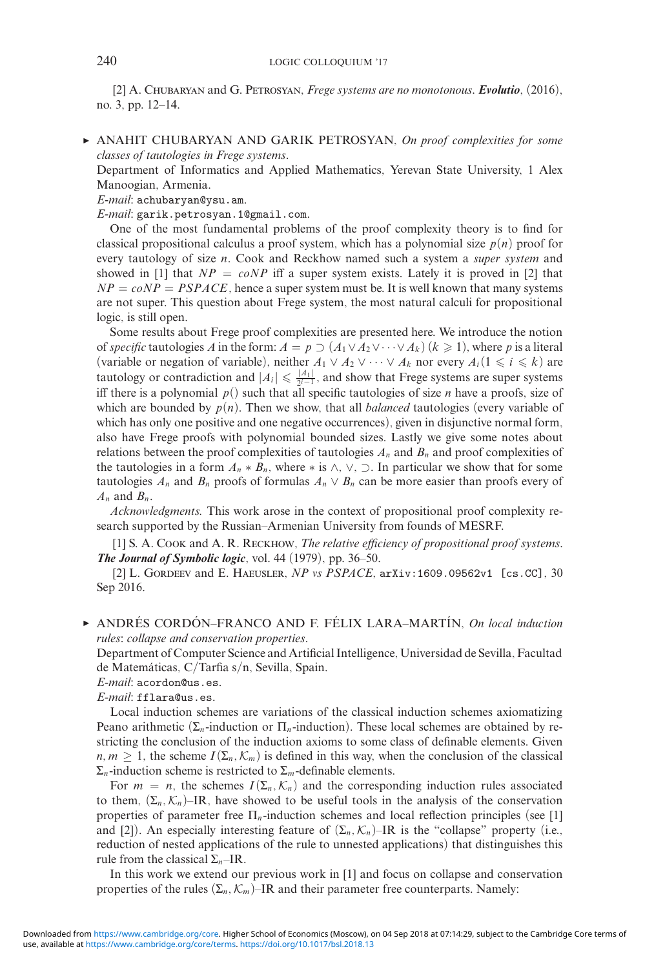[2] A. Chubaryan and G. Petrosyan, *Frege systems are no monotonous*. *Evolutio*, (2016), no. 3, pp. 12–14.

- ANAHIT CHUBARYAN AND GARIK PETROSYAN, *On proof complexities for some classes of tautologies in Frege systems*.

Department of Informatics and Applied Mathematics, Yerevan State University, 1 Alex Manoogian, Armenia.

*E-mail*: achubaryan@ysu.am.

*E-mail*: garik.petrosyan.1@gmail.com.

One of the most fundamental problems of the proof complexity theory is to find for classical propositional calculus a proof system, which has a polynomial size  $p(n)$  proof for every tautology of size *n*. Cook and Reckhow named such a system a *super system* and showed in [1] that  $NP = coNP$  iff a super system exists. Lately it is proved in [2] that  $NP = coNP = PSPACE$ , hence a super system must be. It is well known that many systems are not super. This question about Frege system, the most natural calculi for propositional logic, is still open.

Some results about Frege proof complexities are presented here. We introduce the notion of *specific* tautologies *A* in the form:  $A = p \supset (A_1 \vee A_2 \vee \cdots \vee A_k)$   $(k \ge 1)$ , where *p* is a literal (variable or negation of variable), neither  $A_1 \vee A_2 \vee \cdots \vee A_k$  nor every  $A_i (1 \leq i \leq k)$  are tautology or contradiction and  $|A_i| \leq \frac{|A_1|}{2^{i-1}}$ , and show that Frege systems are super systems iff there is a polynomial  $p()$  such that all specific tautologies of size *n* have a proofs, size of which are bounded by  $p(n)$ . Then we show, that all *balanced* tautologies (every variable of which has only one positive and one negative occurrences), given in disjunctive normal form, also have Frege proofs with polynomial bounded sizes. Lastly we give some notes about relations between the proof complexities of tautologies  $A_n$  and  $B_n$  and proof complexities of the tautologies in a form  $A_n * B_n$ , where  $*$  is  $\wedge$ ,  $\vee$ ,  $\supset$ . In particular we show that for some tautologies  $A_n$  and  $B_n$  proofs of formulas  $A_n \vee B_n$  can be more easier than proofs every of  $A_n$  and  $B_n$ .

*Acknowledgments.* This work arose in the context of propositional proof complexity research supported by the Russian–Armenian University from founds of MESRF.

[1] S. A. Cook and A. R. Reckhow, *The relative efficiency of propositional proof systems*. *The Journal of Symbolic logic*, vol. 44 (1979), pp. 36–50.

[2] L. Gordeev and E. Haeusler, *NP vs PSPACE*, arXiv:1609.09562v1 [cs.CC], 30 Sep 2016.

# $\triangleright$  ANDRÉS CORDÓN-FRANCO AND F. FÉLIX LARA-MARTÍN, On local induction *rules*: *collapse and conservation properties*.

Department of Computer Science and Artificial Intelligence, Universidad de Sevilla, Facultad de Matematicas, C/Tarfia s/n, Sevilla, Spain. ´

*E-mail*: acordon@us.es.

*E-mail*: fflara@us.es.

Local induction schemes are variations of the classical induction schemes axiomatizing Peano arithmetic  $(\Sigma_n$ -induction or  $\Pi_n$ -induction). These local schemes are obtained by restricting the conclusion of the induction axioms to some class of definable elements. Given  $n, m \geq 1$ , the scheme  $I(\Sigma_n, \mathcal{K}_m)$  is defined in this way, when the conclusion of the classical  $\Sigma_n$ -induction scheme is restricted to  $\Sigma_m$ -definable elements.

For  $m = n$ , the schemes  $I(\Sigma_n, \mathcal{K}_n)$  and the corresponding induction rules associated to them,  $(\Sigma_n, \mathcal{K}_n)$ –IR, have showed to be useful tools in the analysis of the conservation properties of parameter free Π*<sup>n</sup>* -induction schemes and local reflection principles (see [1] and [2]). An especially interesting feature of  $(\Sigma_n, \mathcal{K}_n)$ –IR is the "collapse" property (i.e., reduction of nested applications of the rule to unnested applications) that distinguishes this rule from the classical  $\Sigma_n$ –IR.

In this work we extend our previous work in [1] and focus on collapse and conservation properties of the rules  $(\Sigma_n, \mathcal{K}_m)$ –IR and their parameter free counterparts. Namely: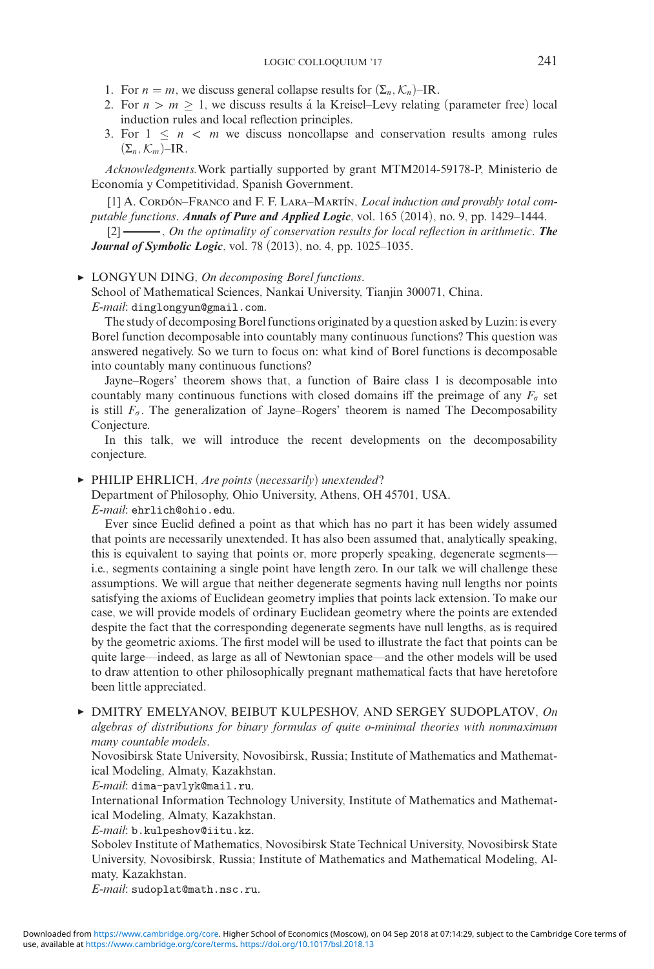- 1. For  $n = m$ , we discuss general collapse results for  $(\Sigma_n, \mathcal{K}_n)$ –IR.
- 2. For  $n > m \geq 1$ , we discuss results a la Kreisel–Levy relating (parameter free) local induction rules and local reflection principles.
- 3. For  $1 \leq n \leq m$  we discuss noncollapse and conservation results among rules  $(\Sigma_n, \mathcal{K}_m)$ –IR.

*Acknowledgments.*Work partially supported by grant MTM2014-59178-P, Ministerio de Economía y Competitividad, Spanish Government.

[1] A. CORDÓN-FRANCO and F. F. LARA-MARTÍN, *Local induction and provably total computable functions*. *Annals of Pure and Applied Logic*, vol. 165 (2014), no. 9, pp. 1429–1444.

[2] , *On the optimality of conservation results for local reflection in arithmetic*. *The Journal of Symbolic Logic*, vol. 78 (2013), no. 4, pp. 1025–1035.

- LONGYUN DING, *On decomposing Borel functions*.

School of Mathematical Sciences, Nankai University, Tianjin 300071, China. *E-mail*: dinglongyun@gmail.com.

The study of decomposing Borel functions originated by a question asked by Luzin: is every Borel function decomposable into countably many continuous functions? This question was answered negatively. So we turn to focus on: what kind of Borel functions is decomposable into countably many continuous functions?

Jayne–Rogers' theorem shows that, a function of Baire class 1 is decomposable into countably many continuous functions with closed domains iff the preimage of any  $F_{\sigma}$  set is still  $F_{\sigma}$ . The generalization of Jayne–Rogers' theorem is named The Decomposability Conjecture.

In this talk, we will introduce the recent developments on the decomposability conjecture.

- PHILIP EHRLICH, *Are points* (*necessarily*) *unextended*?

Department of Philosophy, Ohio University, Athens, OH 45701, USA.

*E-mail*: ehrlich@ohio.edu.

Ever since Euclid defined a point as that which has no part it has been widely assumed that points are necessarily unextended. It has also been assumed that, analytically speaking, this is equivalent to saying that points or, more properly speaking, degenerate segments i.e., segments containing a single point have length zero. In our talk we will challenge these assumptions. We will argue that neither degenerate segments having null lengths nor points satisfying the axioms of Euclidean geometry implies that points lack extension. To make our case, we will provide models of ordinary Euclidean geometry where the points are extended despite the fact that the corresponding degenerate segments have null lengths, as is required by the geometric axioms. The first model will be used to illustrate the fact that points can be quite large—indeed, as large as all of Newtonian space—and the other models will be used to draw attention to other philosophically pregnant mathematical facts that have heretofore been little appreciated.

- DMITRY EMELYANOV, BEIBUT KULPESHOV, AND SERGEY SUDOPLATOV, *On algebras of distributions for binary formulas of quite o-minimal theories with nonmaximum many countable models*.

Novosibirsk State University, Novosibirsk, Russia; Institute of Mathematics and Mathematical Modeling, Almaty, Kazakhstan.

*E-mail*: dima-pavlyk@mail.ru.

International Information Technology University, Institute of Mathematics and Mathematical Modeling, Almaty, Kazakhstan.

*E-mail*: b.kulpeshov@iitu.kz.

Sobolev Institute of Mathematics, Novosibirsk State Technical University, Novosibirsk State University, Novosibirsk, Russia; Institute of Mathematics and Mathematical Modeling, Almaty, Kazakhstan.

*E-mail*: sudoplat@math.nsc.ru.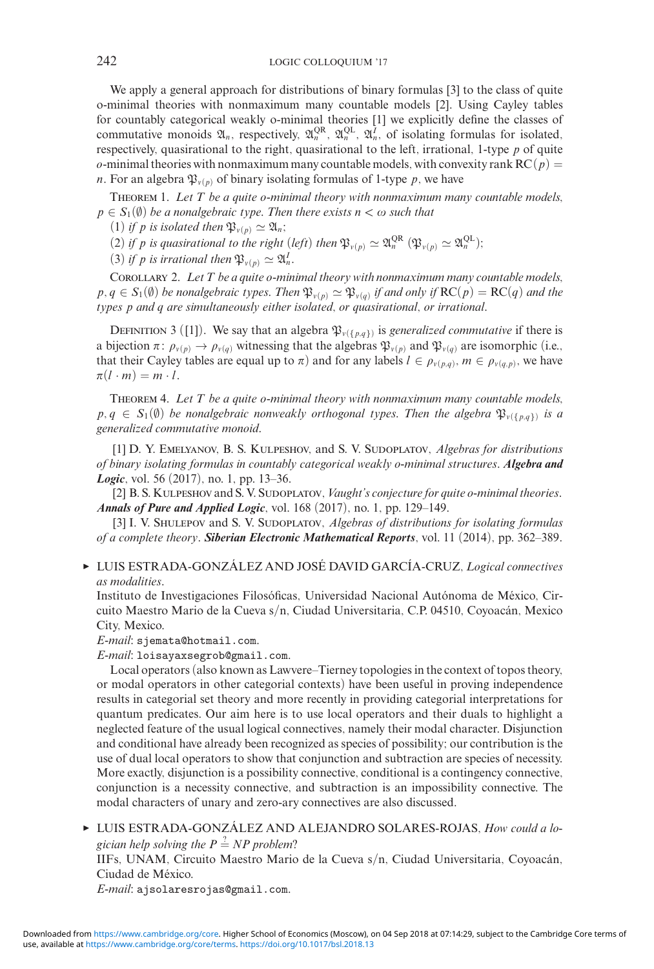We apply a general approach for distributions of binary formulas [3] to the class of quite o-minimal theories with nonmaximum many countable models [2]. Using Cayley tables for countably categorical weakly o-minimal theories [1] we explicitly define the classes of commutative monoids  $\mathfrak{A}_n$ , respectively,  $\mathfrak{A}_n^{\text{QR}}$ ,  $\mathfrak{A}_n^{\text{QL}}$ ,  $\mathfrak{A}_n^I$ , of isolating formulas for isolated, respectively, quasirational to the right, quasirational to the left, irrational, 1-type *p* of quite *o*-minimal theories with nonmaximum many countable models, with convexity rank  $RC(p)$  = *n*. For an algebra  $\mathfrak{P}_{\nu(p)}$  of binary isolating formulas of 1-type *p*, we have

Theorem 1. *Let T be a quite o-minimal theory with nonmaximum many countable models,*  $p \in S_1(\emptyset)$  *be a nonalgebraic type. Then there exists*  $n < \omega$  *such that* 

 $(1)$  *if p is isolated then*  $\mathfrak{P}_{\nu(p)} \simeq \mathfrak{A}_n$ ;

(2) *if p is quasirational to the right* (*left*) *then*  $\mathfrak{P}_{\nu(p)} \simeq \mathfrak{A}_n^{\text{QR}}$  ( $\mathfrak{P}_{\nu(p)} \simeq \mathfrak{A}_n^{\text{QL}}$ );

(3) *if p is irrational then*  $\mathfrak{P}_{\nu(p)} \simeq \mathfrak{A}_n^I$ .

Corollary 2. *LetT be a quite o-minimal theory with nonmaximum many countable models,*  $p, q \in S_1(\emptyset)$  *be nonalgebraic types. Then*  $\mathfrak{P}_{\nu(p)} \simeq \mathfrak{P}_{\nu(q)}$  *if and only if*  $RC(p) = RC(q)$  *and the types p and q are simultaneously either isolated, or quasirational, or irrational.*

DEFINITION 3 ([1]). We say that an algebra  $\mathfrak{P}_{\nu(\lbrace p,q \rbrace)}$  is *generalized commutative* if there is a bijection  $\pi$ :  $\rho_{\nu(p)} \to \rho_{\nu(q)}$  witnessing that the algebras  $\mathfrak{P}_{\nu(p)}$  and  $\mathfrak{P}_{\nu(q)}$  are isomorphic (i.e., that their Cayley tables are equal up to  $\pi$ ) and for any labels  $l \in \rho_{\nu(p,q)}, m \in \rho_{\nu(q,p)},$  we have  $\pi(l \cdot m) = m \cdot l$ .

Theorem 4. *Let T be a quite o-minimal theory with nonmaximum many countable models,*  $p, q \in S_1(\emptyset)$  *be nonalgebraic nonweakly orthogonal types. Then the algebra*  $\mathfrak{P}_{\nu({f, p, q})}$  *is a generalized commutative monoid.*

[1] D. Y. Emelyanov, B. S. Kulpeshov, and S. V. Sudoplatov, *Algebras for distributions of binary isolating formulas in countably categorical weakly o-minimal structures*. *Algebra and Logic*, vol. 56 (2017), no. 1, pp. 13–36.

[2] B. S. Kulpeshov and S. V. Sudoplatov, *Vaught's conjecture for quite o-minimal theories*. *Annals of Pure and Applied Logic*, vol. 168 (2017), no. 1, pp. 129–149.

[3] I. V. Shulepov and S. V. Sudoplatov, *Algebras of distributions for isolating formulas of a complete theory*. *Siberian Electronic Mathematical Reports*, vol. 11 (2014), pp. 362–389.

► LUIS ESTRADA-GONZÁLEZ AND JOSÉ DAVID GARCÍA-CRUZ, *Logical connectives as modalities*.

Instituto de Investigaciones Filosóficas, Universidad Nacional Autónoma de México, Circuito Maestro Mario de la Cueva s/n, Ciudad Universitaria, C.P. 04510, Coyoacan, Mexico ´ City, Mexico.

*E-mail*: sjemata@hotmail.com.

*E-mail*: loisayaxsegrob@gmail.com.

Local operators (also known as Lawvere–Tierney topologies in the context of topos theory, or modal operators in other categorial contexts) have been useful in proving independence results in categorial set theory and more recently in providing categorial interpretations for quantum predicates. Our aim here is to use local operators and their duals to highlight a neglected feature of the usual logical connectives, namely their modal character. Disjunction and conditional have already been recognized as species of possibility; our contribution is the use of dual local operators to show that conjunction and subtraction are species of necessity. More exactly, disjunction is a possibility connective, conditional is a contingency connective, conjunction is a necessity connective, and subtraction is an impossibility connective. The modal characters of unary and zero-ary connectives are also discussed.

**EUIS ESTRADA-GONZÁLEZ AND ALEJANDRO SOLARES-ROJAS**, How could a logician help solving the  $P \stackrel{?}{=} NP$  problem?

IIFs, UNAM, Circuito Maestro Mario de la Cueva s/n, Ciudad Universitaria, Coyoacan, ´ Ciudad de México.

*E-mail*: ajsolaresrojas@gmail.com.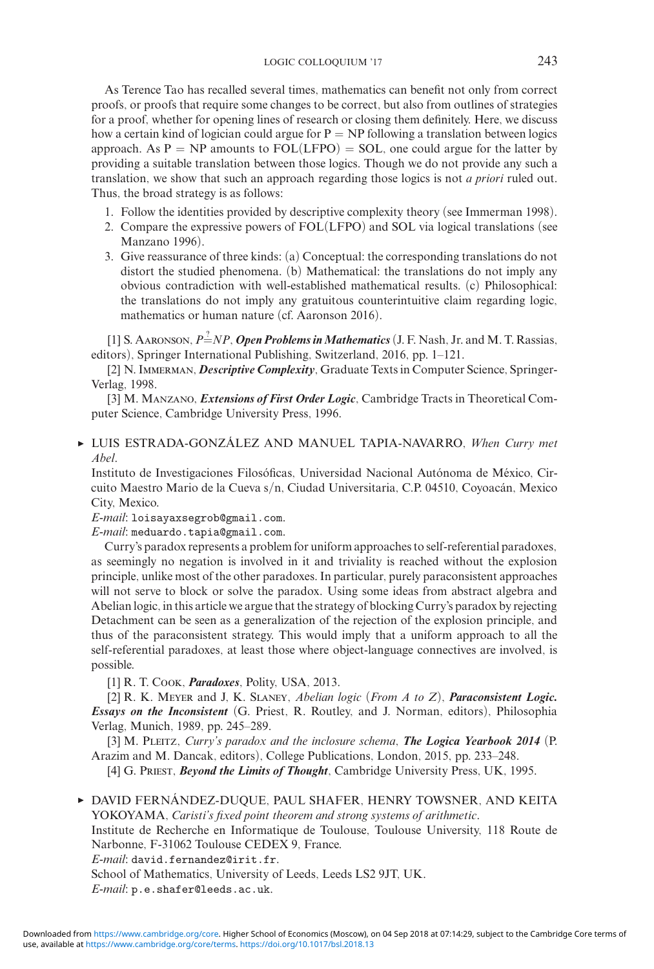As Terence Tao has recalled several times, mathematics can benefit not only from correct proofs, or proofs that require some changes to be correct, but also from outlines of strategies for a proof, whether for opening lines of research or closing them definitely. Here, we discuss how a certain kind of logician could argue for  $P = NP$  following a translation between logics approach. As  $P = NP$  amounts to  $FOL(LFPO) = SOL$ , one could argue for the latter by providing a suitable translation between those logics. Though we do not provide any such a translation, we show that such an approach regarding those logics is not *a priori* ruled out. Thus, the broad strategy is as follows:

- 1. Follow the identities provided by descriptive complexity theory (see Immerman 1998).
- 2. Compare the expressive powers of FOL(LFPO) and SOL via logical translations (see Manzano 1996).
- 3. Give reassurance of three kinds: (a) Conceptual: the corresponding translations do not distort the studied phenomena. (b) Mathematical: the translations do not imply any obvious contradiction with well-established mathematical results. (c) Philosophical: the translations do not imply any gratuitous counterintuitive claim regarding logic, mathematics or human nature (cf. Aaronson 2016).

[1] S. AARONSON,  $P = NP$ , **Open Problems in Mathematics** (J. F. Nash, Jr. and M. T. Rassias, editors), Springer International Publishing, Switzerland, 2016, pp. 1–121.

[2] N. Immerman, *Descriptive Complexity*, Graduate Texts in Computer Science, Springer-Verlag, 1998.

[3] M. Manzano, *Extensions of First Order Logic*, Cambridge Tracts in Theoretical Computer Science, Cambridge University Press, 1996.

 $\triangleright$  LUIS ESTRADA-GONZÁLEZ AND MANUEL TAPIA-NAVARRO, When Curry met *Abel*.

Instituto de Investigaciones Filosóficas, Universidad Nacional Autónoma de México, Circuito Maestro Mario de la Cueva s/n, Ciudad Universitaria, C.P. 04510, Coyoacan, Mexico ´ City, Mexico.

*E-mail*: loisayaxsegrob@gmail.com.

*E-mail*: meduardo.tapia@gmail.com.

Curry's paradox represents a problem for uniform approaches to self-referential paradoxes, as seemingly no negation is involved in it and triviality is reached without the explosion principle, unlike most of the other paradoxes. In particular, purely paraconsistent approaches will not serve to block or solve the paradox. Using some ideas from abstract algebra and Abelian logic, in this article we argue that the strategy of blocking Curry's paradox by rejecting Detachment can be seen as a generalization of the rejection of the explosion principle, and thus of the paraconsistent strategy. This would imply that a uniform approach to all the self-referential paradoxes, at least those where object-language connectives are involved, is possible.

[1] R. T. Cook, *Paradoxes*, Polity, USA, 2013.

[2] R. K. Meyer and J, K. Slaney, *Abelian logic* (*From A to Z*), *Paraconsistent Logic. Essays on the Inconsistent* (G. Priest, R. Routley, and J. Norman, editors), Philosophia Verlag, Munich, 1989, pp. 245–289.

[3] M. Pleitz, *Curry's paradox and the inclosure schema*, *The Logica Yearbook 2014* (P. Arazim and M. Dancak, editors), College Publications, London, 2015, pp. 233–248.

[4] G. Priest, *Beyond the Limits of Thought*, Cambridge University Press, UK, 1995.

**DAVID FERNÁNDEZ-DUQUE, PAUL SHAFER, HENRY TOWSNER, AND KEITA** YOKOYAMA, *Caristi's fixed point theorem and strong systems of arithmetic*.

Institute de Recherche en Informatique de Toulouse, Toulouse University, 118 Route de Narbonne, F-31062 Toulouse CEDEX 9, France.

*E-mail*: david.fernandez@irit.fr.

School of Mathematics, University of Leeds, Leeds LS2 9JT, UK.

*E-mail*: p.e.shafer@leeds.ac.uk.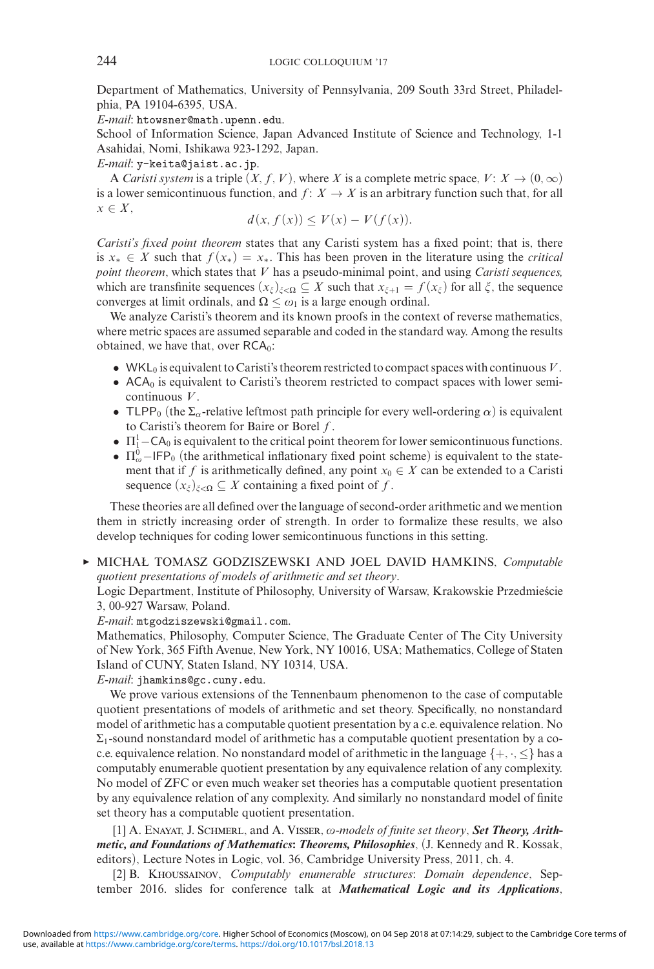Department of Mathematics, University of Pennsylvania, 209 South 33rd Street, Philadelphia, PA 19104-6395, USA.

*E-mail*: htowsner@math.upenn.edu.

School of Information Science, Japan Advanced Institute of Science and Technology, 1-1 Asahidai, Nomi, Ishikawa 923-1292, Japan.

*E-mail*: y-keita@jaist.ac.jp.

A *Caristi system* is a triple  $(X, f, V)$ , where *X* is a complete metric space,  $V: X \to (0, \infty)$ is a lower semicontinuous function, and  $f: X \to X$  is an arbitrary function such that, for all *x* ∈ *X*,<br> $d(x, f(x)) \le V(x) - V(f(x))$ .

$$
d(x, f(x)) \le V(x) - V(f(x)).
$$

*Caristi's fixed point theorem* states that any Caristi system has a fixed point; that is, there is  $x_* \in X$  such that  $f(x_*) = x_*$ . This has been proven in the literature using the *critical point theorem*, which states that *V* has a pseudo-minimal point, and using *Caristi sequences,* which are transfinite sequences  $(x_{\xi})_{\xi \leq \Omega} \subseteq X$  such that  $x_{\xi+1} = f(x_{\xi})$  for all  $\xi$ , the sequence converges at limit ordinals, and  $\Omega \leq \omega_1$  is a large enough ordinal.

We analyze Caristi's theorem and its known proofs in the context of reverse mathematics, where metric spaces are assumed separable and coded in the standard way. Among the results obtained, we have that, over RCA0:

- WKL<sub>0</sub> is equivalent to Caristi's theorem restricted to compact spaces with continuous  $V$ .
- $ACA<sub>0</sub>$  is equivalent to Caristi's theorem restricted to compact spaces with lower semicontinuous *V* .
- TLPP<sub>0</sub> (the  $\Sigma_{\alpha}$ -relative leftmost path principle for every well-ordering  $\alpha$ ) is equivalent to Caristi's theorem for Baire or Borel *f*.
- $\Pi_1^1$  CA<sub>0</sub> is equivalent to the critical point theorem for lower semicontinuous functions.
- $\Pi_{\omega}^{0}$ −IFP<sub>0</sub> (the arithmetical inflationary fixed point scheme) is equivalent to the statement that if *f* is arithmetically defined, any point  $x_0 \in X$  can be extended to a Caristi sequence  $(x_{\xi})_{\xi \leq \Omega} \subseteq X$  containing a fixed point of f.

These theories are all defined over the language of second-order arithmetic and we mention them in strictly increasing order of strength. In order to formalize these results, we also develop techniques for coding lower semicontinuous functions in this setting.

- MICHAŁ TOMASZ GODZISZEWSKI AND JOEL DAVID HAMKINS, *Computable quotient presentations of models of arithmetic and set theory*.

Logic Department, Institute of Philosophy, University of Warsaw, Krakowskie Przedmiescie ´ 3, 00-927 Warsaw, Poland.

*E-mail*: mtgodziszewski@gmail.com.

Mathematics, Philosophy, Computer Science, The Graduate Center of The City University of New York, 365 Fifth Avenue, New York, NY 10016, USA; Mathematics, College of Staten Island of CUNY, Staten Island, NY 10314, USA.

*E-mail*: jhamkins@gc.cuny.edu.

We prove various extensions of the Tennenbaum phenomenon to the case of computable quotient presentations of models of arithmetic and set theory. Specifically, no nonstandard model of arithmetic has a computable quotient presentation by a c.e. equivalence relation. No  $\Sigma_1$ -sound nonstandard model of arithmetic has a computable quotient presentation by a coc.e. equivalence relation. No nonstandard model of arithmetic in the language  $\{+, \cdot, \leq\}$  has a computably enumerable quotient presentation by any equivalence relation of any complexity. No model of ZFC or even much weaker set theories has a computable quotient presentation by any equivalence relation of any complexity. And similarly no nonstandard model of finite set theory has a computable quotient presentation.

[1] A. ENAYAT, J. SCHMERL, and A. VISSER,  $\omega$ -models of finite set theory, Set Theory, Arith*metic, and Foundations of Mathematics***:** *Theorems, Philosophies*, (J. Kennedy and R. Kossak, editors), Lecture Notes in Logic, vol. 36, Cambridge University Press, 2011, ch. 4.

[2] B. Khoussainov, *Computably enumerable structures*: *Domain dependence*, September 2016. slides for conference talk at *Mathematical Logic and its Applications*,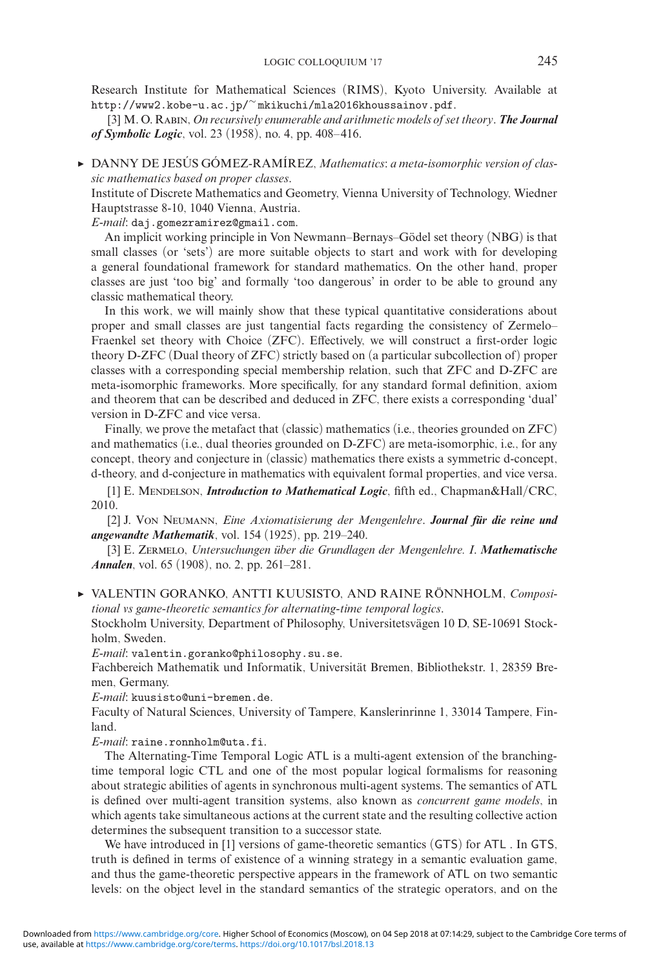Research Institute for Mathematical Sciences (RIMS), Kyoto University. Available at http://www2.kobe-u.ac.jp/<sup>∼</sup> mkikuchi/mla2016khoussainov.pdf.

[3] M. O. Rabin, *On recursively enumerable and arithmetic models of set theory*. *The Journal of Symbolic Logic*, vol. 23 (1958), no. 4, pp. 408–416.

**DANNY DE JESÚS GÓMEZ-RAMÍREZ**, Mathematics: a meta-isomorphic version of clas*sic mathematics based on proper classes*.

Institute of Discrete Mathematics and Geometry, Vienna University of Technology, Wiedner Hauptstrasse 8-10, 1040 Vienna, Austria.

*E-mail*: daj.gomezramirez@gmail.com.

An implicit working principle in Von Newmann–Bernays–Gödel set theory (NBG) is that small classes (or 'sets') are more suitable objects to start and work with for developing a general foundational framework for standard mathematics. On the other hand, proper classes are just 'too big' and formally 'too dangerous' in order to be able to ground any classic mathematical theory.

In this work, we will mainly show that these typical quantitative considerations about proper and small classes are just tangential facts regarding the consistency of Zermelo– Fraenkel set theory with Choice (ZFC). Effectively, we will construct a first-order logic theory D-ZFC (Dual theory of ZFC) strictly based on (a particular subcollection of) proper classes with a corresponding special membership relation, such that ZFC and D-ZFC are meta-isomorphic frameworks. More specifically, for any standard formal definition, axiom and theorem that can be described and deduced in ZFC, there exists a corresponding 'dual' version in D-ZFC and vice versa.

Finally, we prove the metafact that (classic) mathematics (i.e., theories grounded on ZFC) and mathematics (i.e., dual theories grounded on D-ZFC) are meta-isomorphic, i.e., for any concept, theory and conjecture in (classic) mathematics there exists a symmetric d-concept, d-theory, and d-conjecture in mathematics with equivalent formal properties, and vice versa.

[1] E. MENDELSON, *Introduction to Mathematical Logic*, fifth ed., Chapman&Hall/CRC, 2010.

[2] J. Von Neumann, *Eine Axiomatisierung der Mengenlehre*. *Journal fur die reine und ¨ angewandte Mathematik*, vol. 154 (1925), pp. 219–240.

[3] E. Zermelo, *Untersuchungen ¨uber die Grundlagen der Mengenlehre. I*. *Mathematische Annalen*, vol. 65 (1908), no. 2, pp. 261–281.

▶ VALENTIN GORANKO, ANTTI KUUSISTO, AND RAINE RÖNNHOLM, Composi*tional vs game-theoretic semantics for alternating-time temporal logics*.

Stockholm University, Department of Philosophy, Universitetsvägen 10 D, SE-10691 Stockholm, Sweden.

*E-mail*: valentin.goranko@philosophy.su.se.

Fachbereich Mathematik und Informatik, Universität Bremen, Bibliothekstr. 1, 28359 Bremen, Germany.

*E-mail*: kuusisto@uni-bremen.de.

Faculty of Natural Sciences, University of Tampere, Kanslerinrinne 1, 33014 Tampere, Finland.

*E-mail*: raine.ronnholm@uta.fi.

The Alternating-Time Temporal Logic ATL is a multi-agent extension of the branchingtime temporal logic CTL and one of the most popular logical formalisms for reasoning about strategic abilities of agents in synchronous multi-agent systems. The semantics of ATL is defined over multi-agent transition systems, also known as *concurrent game models*, in which agents take simultaneous actions at the current state and the resulting collective action determines the subsequent transition to a successor state.

We have introduced in [1] versions of game-theoretic semantics (GTS) for ATL . In GTS, truth is defined in terms of existence of a winning strategy in a semantic evaluation game, and thus the game-theoretic perspective appears in the framework of ATL on two semantic levels: on the object level in the standard semantics of the strategic operators, and on the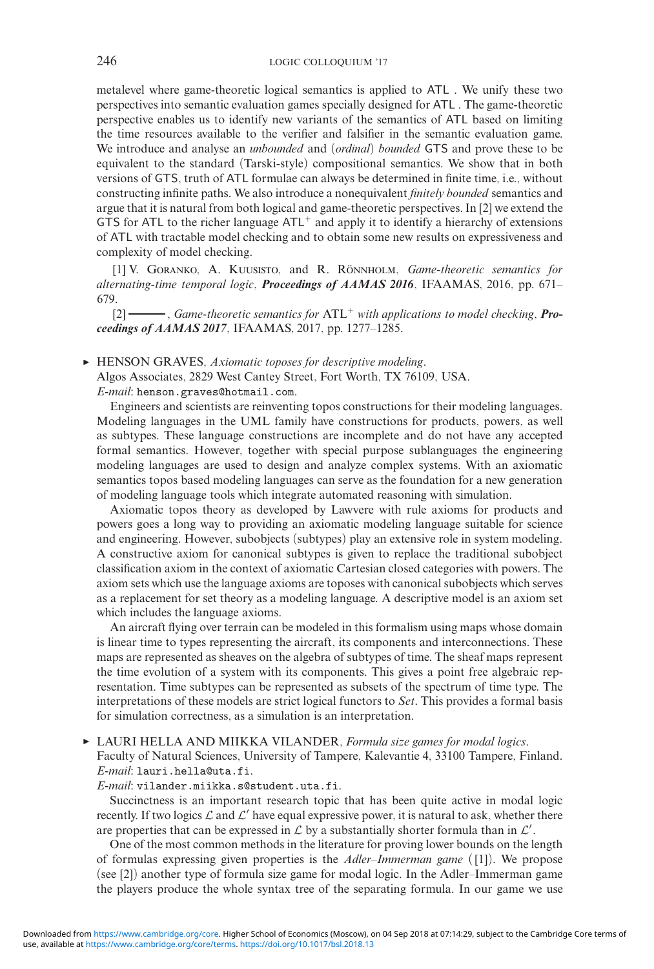metalevel where game-theoretic logical semantics is applied to ATL . We unify these two perspectives into semantic evaluation games specially designed for ATL . The game-theoretic perspective enables us to identify new variants of the semantics of ATL based on limiting the time resources available to the verifier and falsifier in the semantic evaluation game. We introduce and analyse an *unbounded* and (*ordinal*) *bounded* GTS and prove these to be equivalent to the standard (Tarski-style) compositional semantics. We show that in both versions of GTS, truth of ATL formulae can always be determined in finite time, i.e., without constructing infinite paths. We also introduce a nonequivalent *finitely bounded* semantics and argue that it is natural from both logical and game-theoretic perspectives. In [2] we extend the GTS for ATL to the richer language  $ATL<sup>+</sup>$  and apply it to identify a hierarchy of extensions of ATL with tractable model checking and to obtain some new results on expressiveness and complexity of model checking.

[1] V. GORANKO, A. KUUSISTO, and R. RÖNNHOLM, *Game-theoretic semantics for alternating-time temporal logic*, *Proceedings of AAMAS 2016*, IFAAMAS, 2016, pp. 671– 679.

[2] , *Game-theoretic semantics for* ATL<sup>+</sup> *with applications to model checking*, *Proceedings of AAMAS 2017*, IFAAMAS, 2017, pp. 1277–1285.

- HENSON GRAVES, *Axiomatic toposes for descriptive modeling*.

Algos Associates, 2829 West Cantey Street, Fort Worth, TX 76109, USA.

*E-mail*: henson.graves@hotmail.com.

Engineers and scientists are reinventing topos constructions for their modeling languages. Modeling languages in the UML family have constructions for products, powers, as well as subtypes. These language constructions are incomplete and do not have any accepted formal semantics. However, together with special purpose sublanguages the engineering modeling languages are used to design and analyze complex systems. With an axiomatic semantics topos based modeling languages can serve as the foundation for a new generation of modeling language tools which integrate automated reasoning with simulation.

Axiomatic topos theory as developed by Lawvere with rule axioms for products and powers goes a long way to providing an axiomatic modeling language suitable for science and engineering. However, subobjects (subtypes) play an extensive role in system modeling. A constructive axiom for canonical subtypes is given to replace the traditional subobject classification axiom in the context of axiomatic Cartesian closed categories with powers. The axiom sets which use the language axioms are toposes with canonical subobjects which serves as a replacement for set theory as a modeling language. A descriptive model is an axiom set which includes the language axioms.

An aircraft flying over terrain can be modeled in this formalism using maps whose domain is linear time to types representing the aircraft, its components and interconnections. These maps are represented as sheaves on the algebra of subtypes of time. The sheaf maps represent the time evolution of a system with its components. This gives a point free algebraic representation. Time subtypes can be represented as subsets of the spectrum of time type. The interpretations of these models are strict logical functors to *Set*. This provides a formal basis for simulation correctness, as a simulation is an interpretation.

#### - LAURI HELLA AND MIIKKA VILANDER, *Formula size games for modal logics*.

Faculty of Natural Sciences, University of Tampere, Kalevantie 4, 33100 Tampere, Finland. *E-mail*: lauri.hella@uta.fi.

*E-mail*: vilander.miikka.s@student.uta.fi.

Succinctness is an important research topic that has been quite active in modal logic recently. If two logics  $\mathcal L$  and  $\mathcal L'$  have equal expressive power, it is natural to ask, whether there are properties that can be expressed in  $\mathcal L$  by a substantially shorter formula than in  $\mathcal L'$ .

One of the most common methods in the literature for proving lower bounds on the length of formulas expressing given properties is the *Adler–Immerman game* ( [1]). We propose (see [2]) another type of formula size game for modal logic. In the Adler–Immerman game the players produce the whole syntax tree of the separating formula. In our game we use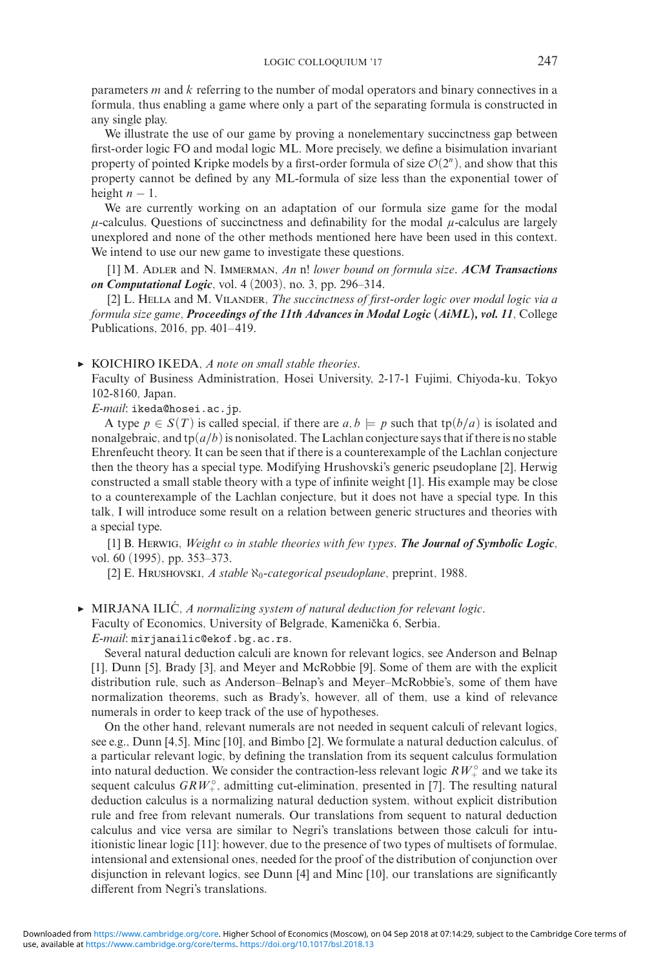parameters *m* and *k* referring to the number of modal operators and binary connectives in a formula, thus enabling a game where only a part of the separating formula is constructed in any single play.

We illustrate the use of our game by proving a nonelementary succinctness gap between first-order logic FO and modal logic ML. More precisely, we define a bisimulation invariant property of pointed Kripke models by a first-order formula of size  $\mathcal{O}(2^n)$ , and show that this property cannot be defined by any ML-formula of size less than the exponential tower of height  $n - 1$ .

We are currently working on an adaptation of our formula size game for the modal  $\mu$ -calculus. Questions of succinctness and definability for the modal  $\mu$ -calculus are largely unexplored and none of the other methods mentioned here have been used in this context. We intend to use our new game to investigate these questions.

[1] M. Adler and N. Immerman, *An* n! *lower bound on formula size*. *ACM Transactions on Computational Logic*, vol. 4 (2003), no. 3, pp. 296–314.

[2] L. HELLA and M. VILANDER, *The succinctness of first-order logic over modal logic via a formula size game*, *Proceedings of the 11th Advances in Modal Logic* **(***AiML***)***, vol. 11*, College Publications, 2016, pp. 401–419.

#### - KOICHIRO IKEDA, *A note on small stable theories*.

Faculty of Business Administration, Hosei University, 2-17-1 Fujimi, Chiyoda-ku, Tokyo 102-8160, Japan.

*E-mail*: ikeda@hosei.ac.jp.

A type  $p \in S(T)$  is called special, if there are  $a, b \models p$  such that tp( $b/a$ ) is isolated and nonalgebraic, and tp $(a/b)$  is nonisolated. The Lachlan conjecture says that if there is no stable Ehrenfeucht theory. It can be seen that if there is a counterexample of the Lachlan conjecture then the theory has a special type. Modifying Hrushovski's generic pseudoplane [2], Herwig constructed a small stable theory with a type of infinite weight [1]. His example may be close to a counterexample of the Lachlan conjecture, but it does not have a special type. In this talk, I will introduce some result on a relation between generic structures and theories with a special type.

[1] B. HERWIG, Weight  $\omega$  in stable theories with few types. The Journal of Symbolic Logic, vol. 60 (1995), pp. 353–373.

[2] E. Hrushovski, *A stable* ℵ0*-categorical pseudoplane*, preprint, 1988.

 $\blacktriangleright$  MIRJANA ILIĆ, A normalizing system of natural deduction for relevant logic. Faculty of Economics, University of Belgrade, Kamenička 6, Serbia. *E-mail*: mirjanailic@ekof.bg.ac.rs.

Several natural deduction calculi are known for relevant logics, see Anderson and Belnap [1], Dunn [5], Brady [3], and Meyer and McRobbie [9]. Some of them are with the explicit distribution rule, such as Anderson–Belnap's and Meyer–McRobbie's, some of them have normalization theorems, such as Brady's, however, all of them, use a kind of relevance numerals in order to keep track of the use of hypotheses.

On the other hand, relevant numerals are not needed in sequent calculi of relevant logics, see e.g., Dunn [4,5], Minc [10], and Bimbo [2]. We formulate a natural deduction calculus, of a particular relevant logic, by defining the translation from its sequent calculus formulation into natural deduction. We consider the contraction-less relevant logic  $RW^{\circ}_{+}$  and we take its sequent calculus  $GRW_+^{\circ}$ , admitting cut-elimination, presented in [7]. The resulting natural deduction calculus is a normalizing natural deduction system, without explicit distribution rule and free from relevant numerals. Our translations from sequent to natural deduction calculus and vice versa are similar to Negri's translations between those calculi for intuitionistic linear logic [11]; however, due to the presence of two types of multisets of formulae, intensional and extensional ones, needed for the proof of the distribution of conjunction over disjunction in relevant logics, see Dunn [4] and Minc [10], our translations are significantly different from Negri's translations.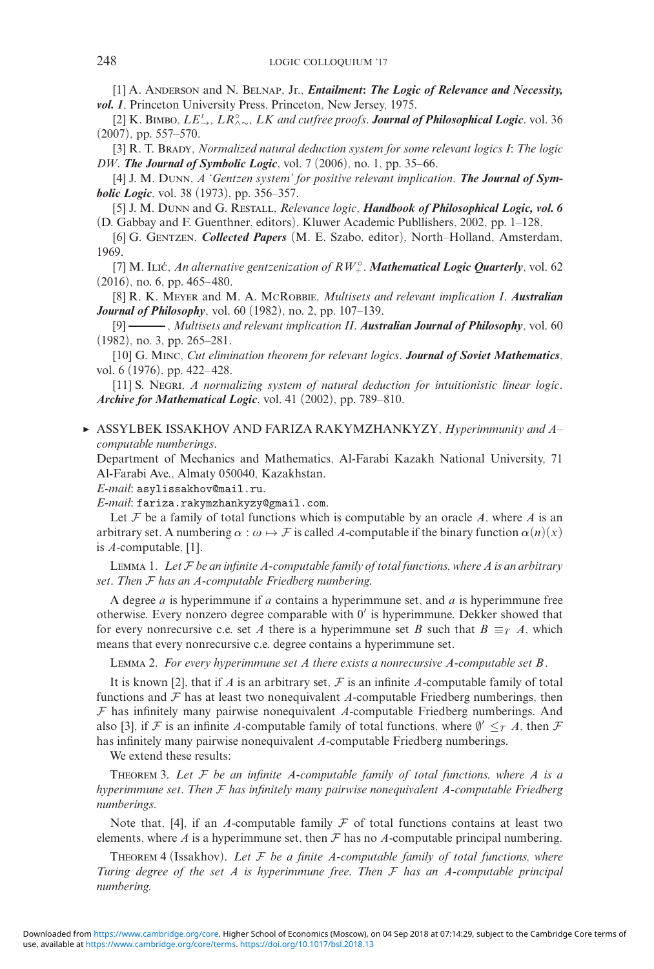[1] A. Anderson and N. Belnap, Jr., *Entailment***:** *The Logic of Relevance and Necessity, vol. 1*, Princeton University Press, Princeton, New Jersey, 1975.

[2] K. Bimbo, *LE<sup>t</sup>* <sup>→</sup>*, LR*◦ ∧∼*, LK and cutfree proofs*. *Journal of Philosophical Logic*. vol. 36 (2007), pp. 557–570.

[3] R. T. Brady, *Normalized natural deduction system for some relevant logics I*: *The logic DW*. *The Journal of Symbolic Logic*, vol. 7 (2006), no. 1, pp. 35–66.

[4] J. M. Dunn, *A 'Gentzen system' for positive relevant implication*. *The Journal of Symbolic Logic*, vol. 38 (1973), pp. 356–357.

[5] J. M. Dunn and G. Restall, *Relevance logic*, *Handbook of Philosophical Logic, vol. 6* (D. Gabbay and F. Guenthner, editors), Kluwer Academic Publlishers, 2002, pp. 1–128.

[6] G. Gentzen, *Collected Papers* (M. E. Szabo, editor), North–Holland, Amsterdam, 1969.

[7] M. ILIĆ, An alternative gentzenization of  $RW^{\circ}_+$ . Mathematical Logic Quarterly, vol. 62 (2016), no. 6, pp. 465–480.

[8] R. K. Meyer and M. A. McRobbie, *Multisets and relevant implication I*. *Australian Journal of Philosophy*, vol. 60 (1982), no. 2, pp. 107–139.

[9] , *Multisets and relevant implication II*. *Australian Journal of Philosophy*, vol. 60 (1982), no. 3, pp. 265–281.

[10] G. Minc, *Cut elimination theorem for relevant logics*. *Journal of Soviet Mathematics*, vol. 6 (1976), pp. 422–428.

[11] S. Negri, *A normalizing system of natural deduction for intuitionistic linear logic*. *Archive for Mathematical Logic*, vol. 41 (2002), pp. 789–810.

- ASSYLBEK ISSAKHOV AND FARIZA RAKYMZHANKYZY, *Hyperimmunity and A– computable numberings*.

Department of Mechanics and Mathematics, Al-Farabi Kazakh National University, 71 Al-Farabi Ave., Almaty 050040, Kazakhstan.

*E-mail*: asylissakhov@mail.ru.

*E-mail*: fariza.rakymzhankyzy@gmail.com.

Let  $\mathcal F$  be a family of total functions which is computable by an oracle  $\mathcal A$ , where  $\mathcal A$  is an arbitrary set. A numbering  $\alpha : \omega \mapsto \mathcal{F}$  is called A-computable if the binary function  $\alpha(n)(x)$ is *A*-computable, [1].

Lemma 1. *Let* F *be an infinite A-computable family of total functions, where A is an arbitrary set. Then* F *has an A-computable Friedberg numbering.*

A degree *a* is hyperimmune if *a* contains a hyperimmune set, and *a* is hyperimmune free otherwise. Every nonzero degree comparable with  $0'$  is hyperimmune. Dekker showed that for every nonrecursive c.e. set *A* there is a hyperimmune set *B* such that  $B \equiv_T A$ , which means that every nonrecursive c.e. degree contains a hyperimmune set.

Lemma 2. *For every hyperimmune set A there exists a nonrecursive A-computable set B.*

It is known [2], that if  $A$  is an arbitrary set,  $F$  is an infinite  $A$ -computable family of total functions and  $F$  has at least two nonequivalent  $A$ -computable Friedberg numberings, then F has infinitely many pairwise nonequivalent *A*-computable Friedberg numberings. And also [3], if F is an infinite A-computable family of total functions, where  $\phi' <_{T} A$ , then F has infinitely many pairwise nonequivalent *A*-computable Friedberg numberings.

We extend these results:

Theorem 3. *Let* F *be an infinite A-computable family of total functions, where A is a hyperimmune set. Then* F *has infinitely many pairwise nonequivalent A-computable Friedberg numberings.*

Note that, [4], if an *A*-computable family  $F$  of total functions contains at least two elements, where  $\vec{A}$  is a hyperimmune set, then  $\vec{F}$  has no  $\vec{A}$ -computable principal numbering.

Theorem 4 (Issakhov). *Let* F *be a finite A-computable family of total functions, where Turing degree of the set A is hyperimmune free. Then* F *has an A-computable principal numbering.*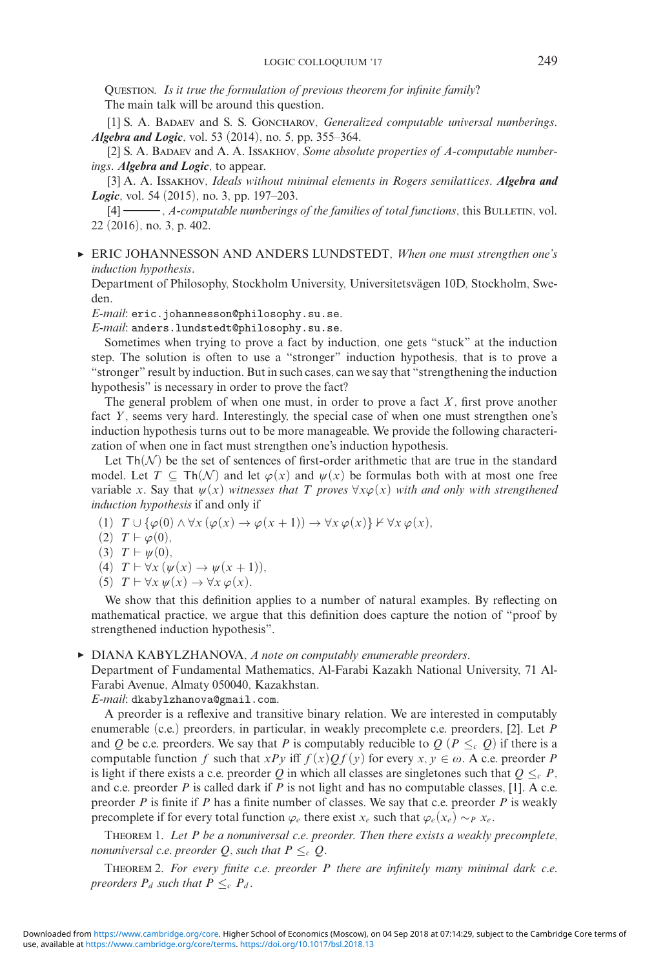Question*. Is it true the formulation of previous theorem for infinite family*? The main talk will be around this question.

[1] S. A. Badaev and S. S. Goncharov, *Generalized computable universal numberings*. *Algebra and Logic*, vol. 53 (2014), no. 5, pp. 355–364.

[2] S. A. Badaev and A. A. Issakhov, *Some absolute properties of A-computable numberings*. *Algebra and Logic*, to appear.

[3] A. A. Issakhov, *Ideals without minimal elements in Rogers semilattices*. *Algebra and Logic*, vol. 54 (2015), no. 3, pp. 197–203.

[4]  $\longrightarrow$ , *A*-computable numberings of the families of total functions, this BULLETIN, vol. 22 (2016), no. 3, p. 402.

- ERIC JOHANNESSON AND ANDERS LUNDSTEDT, *When one must strengthen one's induction hypothesis*.

Department of Philosophy, Stockholm University, Universitetsvagen 10D, Stockholm, Swe- ¨ den.

*E-mail*: eric.johannesson@philosophy.su.se.

*E-mail*: anders.lundstedt@philosophy.su.se.

Sometimes when trying to prove a fact by induction, one gets "stuck" at the induction step. The solution is often to use a "stronger" induction hypothesis, that is to prove a "stronger" result by induction. But in such cases, can we say that "strengthening the induction hypothesis" is necessary in order to prove the fact?

The general problem of when one must, in order to prove a fact *X* , first prove another fact *Y* , seems very hard. Interestingly, the special case of when one must strengthen one's induction hypothesis turns out to be more manageable. We provide the following characterization of when one in fact must strengthen one's induction hypothesis.

Let  $Th(\mathcal{N})$  be the set of sentences of first-order arithmetic that are true in the standard model. Let  $T \subseteq Th(\mathcal{N})$  and let  $\varphi(x)$  and  $\psi(x)$  be formulas both with at most one free variable *x*. Say that  $\psi(x)$  *witnesses that T proves*  $\forall x \varphi(x)$  *with and only with strengthened induction hypothesis* if and only if

(1)  $T \cup \{\varphi(0) \land \forall x (\varphi(x) \to \varphi(x+1)) \to \forall x \varphi(x)\} \nvdash \forall x \varphi(x),$ 

(2)  $T \vdash \varphi(0)$ ,

 $(3)$   $T \vdash \psi(0)$ ,

$$
(4) T \vdash \forall x (\psi(x) \to \psi(x+1)),
$$

(5)  $T \vdash \forall x \ \psi(x) \rightarrow \forall x \ \varphi(x)$ .

We show that this definition applies to a number of natural examples. By reflecting on mathematical practice, we argue that this definition does capture the notion of "proof by strengthened induction hypothesis".

#### - DIANA KABYLZHANOVA, *A note on computably enumerable preorders*.

Department of Fundamental Mathematics, Al-Farabi Kazakh National University, 71 Al-Farabi Avenue, Almaty 050040, Kazakhstan.

*E-mail*: dkabylzhanova@gmail.com.

A preorder is a reflexive and transitive binary relation. We are interested in computably enumerable (c.e.) preorders, in particular, in weakly precomplete c.e. preorders, [2]. Let *P* and *Q* be c.e. preorders. We say that *P* is computably reducible to  $Q(P \leq_c Q)$  if there is a computable function *f* such that *xPy* iff  $f(x)Qf(y)$  for every  $x, y \in \omega$ . A c.e. preorder *P* is light if there exists a c.e. preorder Q in which all classes are singletones such that  $Q \leq_c P$ , and c.e. preorder  $P$  is called dark if  $P$  is not light and has no computable classes, [1]. A c.e. preorder *P* is finite if *P* has a finite number of classes. We say that c.e. preorder *P* is weakly precomplete if for every total function  $\varphi_e$  there exist  $x_e$  such that  $\varphi_e(x_e) \sim_P x_e$ .

Theorem 1. *Let P be a nonuniversal c.e. preorder. Then there exists a weakly precomplete, nonuniversal c.e. preorder*  $Q_i$  *such that*  $P \leq_c Q_i$ *.* 

Theorem 2. *For every finite c.e. preorder P there are infinitely many minimal dark c.e. preorders*  $P_d$  *such that*  $P \leq_c P_d$ *.*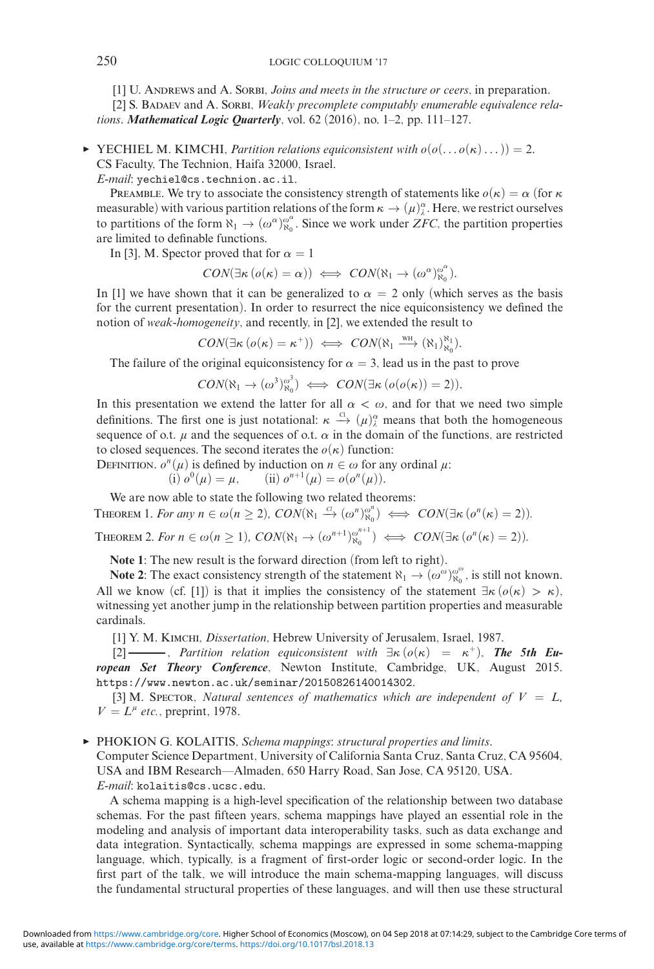[1] U. ANDREWS and A. SORBI, *Joins and meets in the structure or ceers*, in preparation.

[2] S. BADAEV and A. SORBI, *Weakly precomplete computably enumerable equivalence relations*. *Mathematical Logic Quarterly*, vol. 62 (2016), no. 1–2, pp. 111–127.

► YECHIEL M. KIMCHI, *Partition relations equiconsistent with*  $o(o(... o(\kappa) ...)) = 2$ . CS Faculty, The Technion, Haifa 32000, Israel.

*E-mail*: yechiel@cs.technion.ac.il.

PREAMBLE. We try to associate the consistency strength of statements like  $o(\kappa) = \alpha$  (for  $\kappa$ ) measurable) with various partition relations of the form  $\kappa \to (\mu)^{\alpha}_{\lambda}$ . Here, we restrict ourselves to partitions of the form  $\aleph_1 \to (\omega^\alpha)_{\aleph_0}^{\omega^\alpha}$ . Since we work under *ZFC*, the partition properties are limited to definable functions.

In [3], M. Spector proved that for  $\alpha = 1$ 

$$
\text{CON}(\exists \kappa\, (\text{o}(\kappa)=\alpha)) \iff \text{CON}(\aleph_1 \to (\omega^\alpha)_{\aleph_0}^{\omega^\alpha}).
$$

In [1] we have shown that it can be generalized to  $\alpha = 2$  only (which serves as the basis for the current presentation). In order to resurrect the nice equiconsistency we defined the notion of *weak-homogeneity*, and recently, in [2], we extended the result to

 $CON(\exists \kappa (o(\kappa) = \kappa^+)) \iff CON(\aleph_1 \xrightarrow{\text{WH}} (\aleph_1)_{\aleph_0}^{\aleph_1}).$ 

The failure of the original equiconsistency for  $\alpha = 3$ , lead us in the past to prove

 $CON(\aleph_1 \to (\omega^3)_{\aleph_0}^{\omega^3}) \iff CON(\exists \kappa \, (o(o(\kappa)) = 2)).$ 

In this presentation we extend the latter for all  $\alpha < \omega$ , and for that we need two simple definitions. The first one is just notational:  $\kappa \stackrel{Cl}{\to} (\mu)^{\alpha}_{\lambda}$  means that both the homogeneous sequence of o.t.  $\mu$  and the sequences of o.t.  $\alpha$  in the domain of the functions, are restricted to closed sequences. The second iterates the  $o(\kappa)$  function:

DEFINITION. 
$$
o^n(\mu)
$$
 is defined by induction on  $n \in \omega$  for any ordinal  $\mu$ :

(i) 
$$
o^0(\mu) = \mu
$$
, (ii)  $o^{n+1}(\mu) = o(o^n(\mu))$ .

We are now able to state the following two related theorems: **THEOREM 1.** For any  $n \in \omega (n \ge 2)$ ,  $CON(\aleph_1 \xrightarrow{Cl} (\omega^n)_{\aleph_0}^{\omega^n}) \iff CON(\exists \kappa (\omega^n(\kappa) = 2))$ .

THEOREM 2. For  $n \in \omega(n \ge 1)$ ,  $CON(\aleph_1 \to (\omega^{n+1})^{\omega^{n+1}}_{\aleph_0}) \iff CON(\exists \kappa (\triangle^n(\kappa) = 2))$ .

**Note 1**: The new result is the forward direction (from left to right).

**Note 2:** The exact consistency strength of the statement  $\aleph_1 \to (\omega^\omega)_{\aleph_0}^{\omega^\omega}$ , is still not known. All we know (cf. [1]) is that it implies the consistency of the statement  $\exists \kappa$  ( $o(\kappa) > \kappa$ ), witnessing yet another jump in the relationship between partition properties and measurable cardinals.

[1] Y. M. Kimchi, *Dissertation*, Hebrew University of Jerusalem, Israel, 1987.

 $[2]$  , *Partition relation equiconsistent with*  $\exists \kappa$   $(o(\kappa) = \kappa^+)$ , **The 5th Eu***ropean Set Theory Conference*, Newton Institute, Cambridge, UK, August 2015. https://www.newton.ac.uk/seminar/20150826140014302.

[3] M. SPECTOR, *Natural sentences of mathematics which are independent of*  $V = L$ *,*  $V = L^{\mu}$  *etc.*, preprint, 1978.

#### - PHOKION G. KOLAITIS, *Schema mappings*: *structural properties and limits*.

Computer Science Department, University of California Santa Cruz, Santa Cruz, CA 95604, USA and IBM Research—Almaden, 650 Harry Road, San Jose, CA 95120, USA. *E-mail*: kolaitis@cs.ucsc.edu.

A schema mapping is a high-level specification of the relationship between two database schemas. For the past fifteen years, schema mappings have played an essential role in the modeling and analysis of important data interoperability tasks, such as data exchange and data integration. Syntactically, schema mappings are expressed in some schema-mapping language, which, typically, is a fragment of first-order logic or second-order logic. In the first part of the talk, we will introduce the main schema-mapping languages, will discuss the fundamental structural properties of these languages, and will then use these structural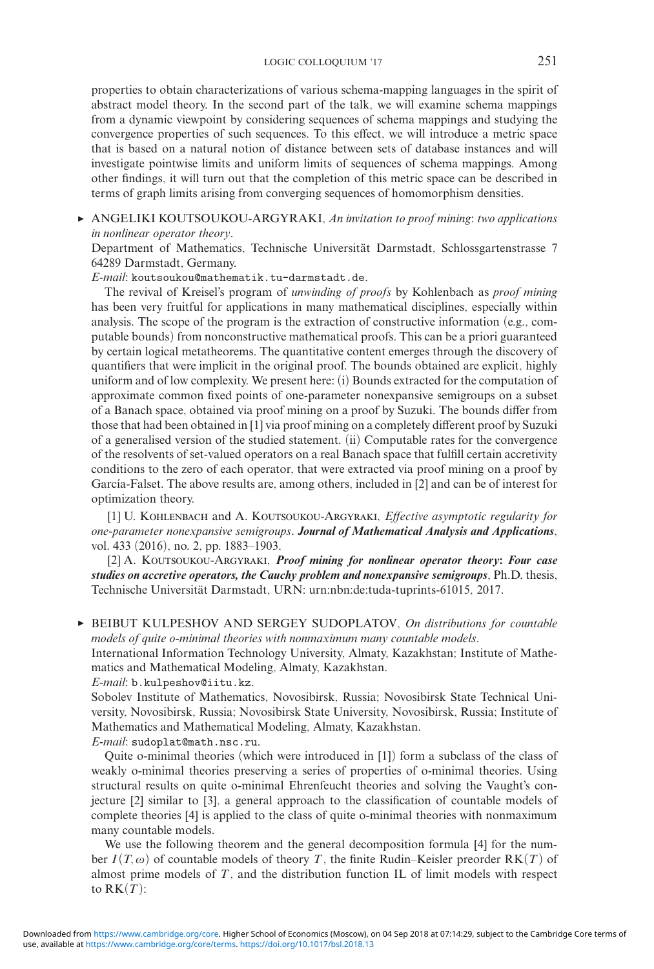properties to obtain characterizations of various schema-mapping languages in the spirit of abstract model theory. In the second part of the talk, we will examine schema mappings from a dynamic viewpoint by considering sequences of schema mappings and studying the convergence properties of such sequences. To this effect, we will introduce a metric space that is based on a natural notion of distance between sets of database instances and will investigate pointwise limits and uniform limits of sequences of schema mappings. Among other findings, it will turn out that the completion of this metric space can be described in terms of graph limits arising from converging sequences of homomorphism densities.

- ANGELIKI KOUTSOUKOU-ARGYRAKI, *An invitation to proof mining*: *two applications in nonlinear operator theory*.

Department of Mathematics, Technische Universität Darmstadt, Schlossgartenstrasse 7 64289 Darmstadt, Germany.

*E-mail*: koutsoukou@mathematik.tu-darmstadt.de.

The revival of Kreisel's program of *unwinding of proofs* by Kohlenbach as *proof mining* has been very fruitful for applications in many mathematical disciplines, especially within analysis. The scope of the program is the extraction of constructive information (e.g., computable bounds) from nonconstructive mathematical proofs. This can be a priori guaranteed by certain logical metatheorems. The quantitative content emerges through the discovery of quantifiers that were implicit in the original proof. The bounds obtained are explicit, highly uniform and of low complexity. We present here: (i) Bounds extracted for the computation of approximate common fixed points of one-parameter nonexpansive semigroups on a subset of a Banach space, obtained via proof mining on a proof by Suzuki. The bounds differ from those that had been obtained in [1] via proof mining on a completely different proof by Suzuki of a generalised version of the studied statement. (ii) Computable rates for the convergence of the resolvents of set-valued operators on a real Banach space that fulfill certain accretivity conditions to the zero of each operator, that were extracted via proof mining on a proof by García-Falset. The above results are, among others, included in [2] and can be of interest for optimization theory.

[1] U. Kohlenbach and A. Koutsoukou-Argyraki, *Effective asymptotic regularity for one-parameter nonexpansive semigroups*. *Journal of Mathematical Analysis and Applications*, vol. 433 (2016), no. 2, pp. 1883–1903.

[2] A. Koutsoukou-Argyraki, *Proof mining for nonlinear operator theory***:** *Four case studies on accretive operators, the Cauchy problem and nonexpansive semigroups*, Ph.D. thesis, Technische Universitat Darmstadt, URN: urn:nbn:de:tuda-tuprints-61015, 2017. ¨

- BEIBUT KULPESHOV AND SERGEY SUDOPLATOV, *On distributions for countable models of quite o-minimal theories with nonmaximum many countable models*.

International Information Technology University, Almaty, Kazakhstan; Institute of Mathematics and Mathematical Modeling, Almaty, Kazakhstan.

*E-mail*: b.kulpeshov@iitu.kz.

Sobolev Institute of Mathematics, Novosibirsk, Russia; Novosibirsk State Technical University, Novosibirsk, Russia; Novosibirsk State University, Novosibirsk, Russia; Institute of Mathematics and Mathematical Modeling, Almaty, Kazakhstan.

*E-mail*: sudoplat@math.nsc.ru.

Quite o-minimal theories (which were introduced in [1]) form a subclass of the class of weakly o-minimal theories preserving a series of properties of o-minimal theories. Using structural results on quite o-minimal Ehrenfeucht theories and solving the Vaught's conjecture [2] similar to [3], a general approach to the classification of countable models of complete theories [4] is applied to the class of quite o-minimal theories with nonmaximum many countable models.

We use the following theorem and the general decomposition formula [4] for the number  $I(T, \omega)$  of countable models of theory T, the finite Rudin–Keisler preorder RK(T) of almost prime models of *T*, and the distribution function IL of limit models with respect to RK(*T*):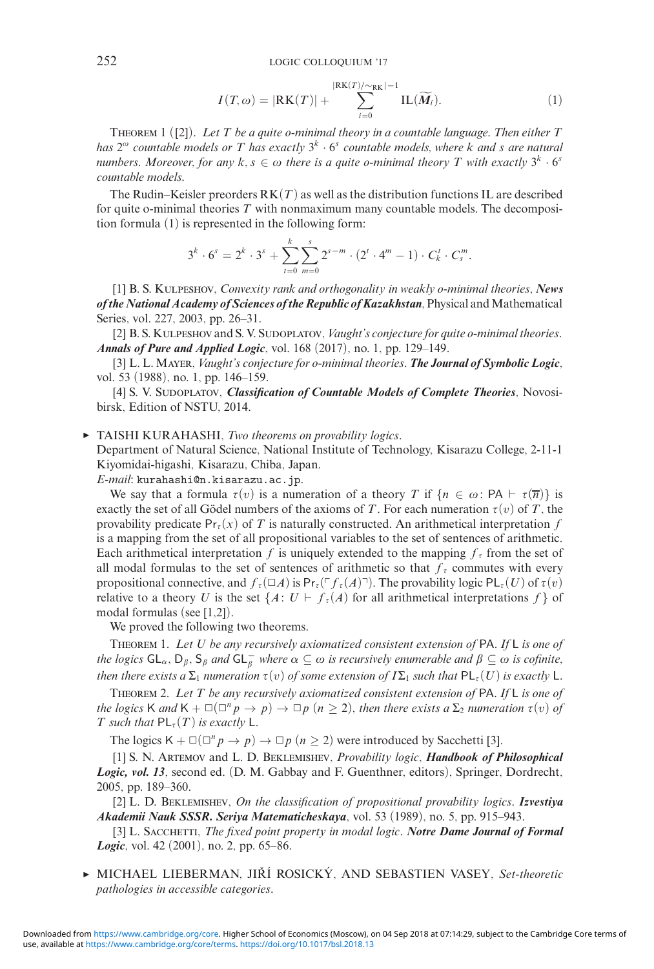$$
I(T,\omega) = |\mathbf{R}\mathbf{K}(T)| + \sum_{i=0}^{|\mathbf{R}\mathbf{K}(T)|-\epsilon} \mathbf{IL}(\widetilde{\mathbf{M}}_i). \tag{1}
$$

Theorem 1 ( [2]). *Let T be a quite o-minimal theory in a countable language. Then either T has* 2*- countable models or T has exactly* 3*<sup>k</sup>* · 6*<sup>s</sup> countable models, where k and s are natural numbers. Moreover, for any*  $k, s \in \omega$  there is a quite o-minimal theory T with exactly  $3^k \cdot 6^s$ *countable models.*

The Rudin–Keisler preorders  $RK(T)$  as well as the distribution functions IL are described for quite o-minimal theories *T* with nonmaximum many countable models. The decomposition formula (1) is represented in the following form:

$$
3^{k} \cdot 6^{s} = 2^{k} \cdot 3^{s} + \sum_{t=0}^{k} \sum_{m=0}^{s} 2^{s-m} \cdot (2^{t} \cdot 4^{m} - 1) \cdot C_{k}^{t} \cdot C_{s}^{m}.
$$

[1] B. S. Kulpeshov, *Convexity rank and orthogonality in weakly o-minimal theories*, *News* of the National Academy of Sciences of the Republic of Kazakhstan, Physical and Mathematical Series, vol. 227, 2003, pp. 26–31.

[2] B. S. KULPESHOV and S. V. SUDOPLATOV, *Vaught's conjecture for quite o-minimal theories*. *Annals of Pure and Applied Logic*, vol. 168 (2017), no. 1, pp. 129–149.

[3] L. L. Mayer, *Vaught's conjecture for o-minimal theories*. *The Journal of Symbolic Logic*, vol. 53 (1988), no. 1, pp. 146–159.

[4] S. V. SUDOPLATOV, *Classification of Countable Models of Complete Theories*, Novosibirsk, Edition of NSTU, 2014.

- TAISHI KURAHASHI, *Two theorems on provability logics*.

Department of Natural Science, National Institute of Technology, Kisarazu College, 2-11-1 Kiyomidai-higashi, Kisarazu, Chiba, Japan.

*E-mail*: kurahashi@n.kisarazu.ac.jp.

We say that a formula  $\tau(v)$  is a numeration of a theory *T* if  $\{n \in \omega : PA \vdash \tau(\overline{n})\}$  is exactly the set of all Gödel numbers of the axioms of T. For each numeration  $\tau(v)$  of T, the provability predicate  $Pr_{\tau}(x)$  of *T* is naturally constructed. An arithmetical interpretation *f* is a mapping from the set of all propositional variables to the set of sentences of arithmetic. Each arithmetical interpretation  $f$  is uniquely extended to the mapping  $f_\tau$  from the set of all modal formulas to the set of sentences of arithmetic so that  $f<sub>\tau</sub>$  commutes with every propositional connective, and  $f_{\tau}(\Box A)$  is  $Pr_{\tau}(\Gamma f_{\tau}(A)^{\neg})$ . The provability logic PL<sub> $\tau$ </sub>(*U*) of  $\tau(v)$ relative to a theory *U* is the set  $\{A: U \vdash f_\tau(A) \text{ for all arithmetical interpretations } f\}$  of modal formulas (see [1,2]).

We proved the following two theorems.

Theorem 1. *Let U be any recursively axiomatized consistent extension of* PA*. If* L *is one of the logics*  $GL_\alpha$ ,  $D_\beta$ ,  $S_\beta$  and  $GL_\beta^-$  where  $\alpha \subseteq \omega$  is recursively enumerable and  $\beta \subseteq \omega$  is cofinite, *then there exists a*  $\Sigma_1$  *numeration*  $\tau(v)$  *of some extension of*  $I\Sigma_1$  *such that*  $PL_{\tau}(U)$  *is exactly* L.

Theorem 2. *Let T be any recursively axiomatized consistent extension of* PA*. If* L *is one of the logics* K *and*  $K + \Box(\Box^n p \to p) \to \Box p$  ( $n \geq 2$ ), then there exists a  $\Sigma_2$  numeration  $\tau(v)$  of *T* such that  $PL_{\tau}(T)$  *is exactly* L.

The logics  $K + \Box(\Box^n p \to p) \to \Box p$  ( $n \ge 2$ ) were introduced by Sacchetti [3].

[1] S. N. Artemov and L. D. Beklemishev, *Provability logic*, *Handbook of Philosophical Logic, vol. 13*, second ed. (D. M. Gabbay and F. Guenthner, editors), Springer, Dordrecht, 2005, pp. 189–360.

[2] L. D. Beklemishev, *On the classification of propositional provability logics*. *Izvestiya Akademii Nauk SSSR. Seriya Matematicheskaya*, vol. 53 (1989), no. 5, pp. 915–943.

[3] L. Sacchetti, *The fixed point property in modal logic*. *Notre Dame Journal of Formal Logic*, vol. 42 (2001), no. 2, pp. 65–86.

▶ MICHAEL LIEBERMAN, JIŘÍ ROSICKÝ, AND SEBASTIEN VASEY, Set-theoretic *pathologies in accessible categories*.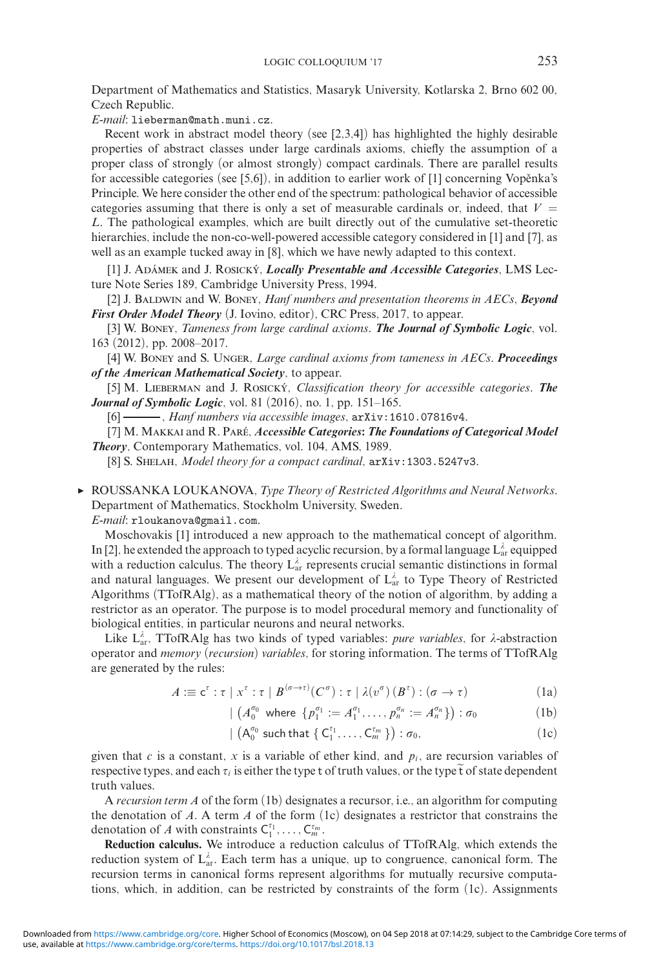Department of Mathematics and Statistics, Masaryk University, Kotlarska 2, Brno 602 00, Czech Republic.

*E-mail*: lieberman@math.muni.cz.

Recent work in abstract model theory (see [2,3,4]) has highlighted the highly desirable properties of abstract classes under large cardinals axioms, chiefly the assumption of a proper class of strongly (or almost strongly) compact cardinals. There are parallel results for accessible categories (see [5,6]), in addition to earlier work of [1] concerning Vopěnka's Principle. We here consider the other end of the spectrum: pathological behavior of accessible categories assuming that there is only a set of measurable cardinals or, indeed, that  $V =$ *L*. The pathological examples, which are built directly out of the cumulative set-theoretic hierarchies, include the non-co-well-powered accessible category considered in [1] and [7], as well as an example tucked away in [8], which we have newly adapted to this context.

[1] J. ADÁMEK and J. ROSICKÝ, *Locally Presentable and Accessible Categories*, LMS Lecture Note Series 189, Cambridge University Press, 1994.

[2] J. Baldwin and W. Boney, *Hanf numbers and presentation theorems in AECs*, *Beyond First Order Model Theory* (J. Iovino, editor), CRC Press, 2017, to appear.

[3] W. Boney, *Tameness from large cardinal axioms*. *The Journal of Symbolic Logic*, vol. 163 (2012), pp. 2008–2017.

[4] W. Boney and S. Unger, *Large cardinal axioms from tameness in AECs*. *Proceedings of the American Mathematical Society*, to appear.

[5] M. Lieberman and J. Rosicky´, *Classification theory for accessible categories*. *The Journal of Symbolic Logic*, vol. 81 (2016), no. 1, pp. 151–165.

[6] , *Hanf numbers via accessible images*, arXiv:1610.07816v4.

[7] M. Makkai and R. Pare´, *Accessible Categories***:** *The Foundations of Categorical Model Theory*, Contemporary Mathematics, vol. 104, AMS, 1989.

[8] S. Shelah, *Model theory for a compact cardinal*, arXiv:1303.5247v3.

► ROUSSANKA LOUKANOVA, *Type Theory of Restricted Algorithms and Neural Networks*. Department of Mathematics, Stockholm University, Sweden.

*E-mail*: rloukanova@gmail.com.

Moschovakis [1] introduced a new approach to the mathematical concept of algorithm. In [2], he extended the approach to typed acyclic recursion, by a formal language  $L^{\lambda}_{ar}$  equipped with a reduction calculus. The theory  $L_{ar}^{\lambda}$  represents crucial semantic distinctions in formal and natural languages. We present our development of  $L<sub>ar</sub><sup>\lambda</sup>$  to Type Theory of Restricted Algorithms (TTofRAlg), as a mathematical theory of the notion of algorithm, by adding a restrictor as an operator. The purpose is to model procedural memory and functionality of biological entities, in particular neurons and neural networks.

Like  $L_{ar}^{\lambda}$ , TTofRAlg has two kinds of typed variables: *pure variables*, for  $\lambda$ -abstraction operator and *memory* (*recursion*) *variables*, for storing information. The terms of TTofRAlg are generated by the rules:

$$
A \coloneqq \mathbf{c}^{\tau} : \tau \mid x^{\tau} : \tau \mid B^{(\sigma \to \tau)}(C^{\sigma}) : \tau \mid \lambda(v^{\sigma}) (B^{\tau}) : (\sigma \to \tau)
$$
 (1a)

$$
| (A_0^{\sigma_0} \text{ where } \{ p_1^{\sigma_1} := A_1^{\sigma_1}, \dots, p_n^{\sigma_n} := A_n^{\sigma_n} \} ) : \sigma_0
$$
 (1b)

$$
| \left( A_0^{\sigma_0} \text{ such that } \{ C_1^{\tau_1}, \dots, C_m^{\tau_m} \} \right) : \sigma_0,
$$
 (1c)

given that  $c$  is a constant,  $x$  is a variable of ether kind, and  $p_i$ , are recursion variables of respective types, and each  $\tau_i$  is either the type t of truth values, or the type t of state dependent truth values.

A *recursion term A* of the form (1b) designates a recursor, i.e., an algorithm for computing the denotation of *A*. A term *A* of the form (1c) designates a restrictor that constrains the denotation of *A* with constraints  $C_1^{\tau_1}, \ldots, C_m^{\tau_m}$ .

**Reduction calculus.** We introduce a reduction calculus of TTofRAlg, which extends the reduction system of  $L<sub>ar</sub><sup>\lambda</sup>$ . Each term has a unique, up to congruence, canonical form. The recursion terms in canonical forms represent algorithms for mutually recursive computations, which, in addition, can be restricted by constraints of the form (1c). Assignments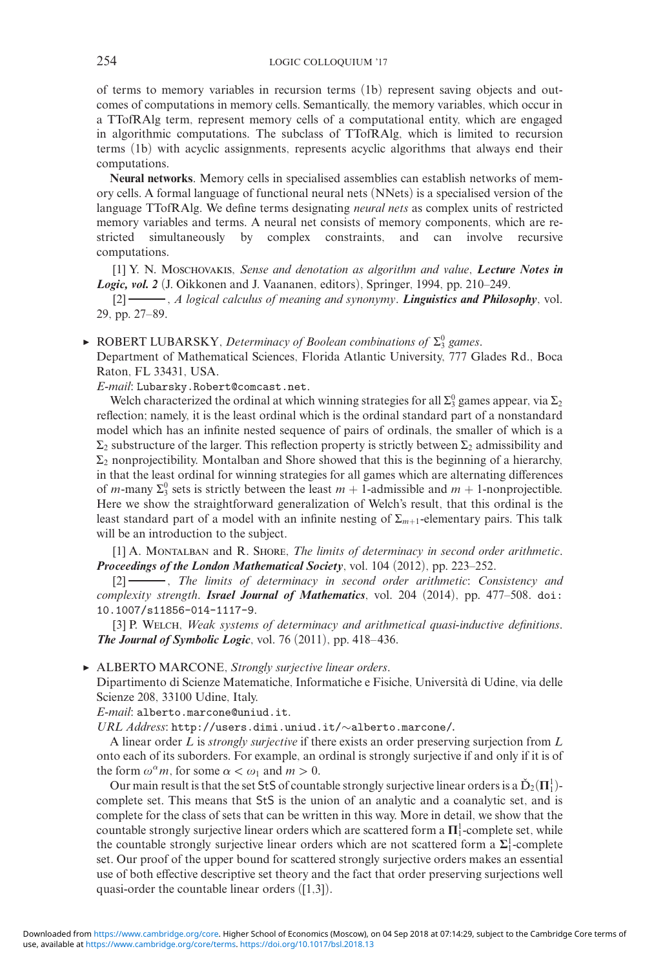of terms to memory variables in recursion terms (1b) represent saving objects and outcomes of computations in memory cells. Semantically, the memory variables, which occur in a TTofRAlg term, represent memory cells of a computational entity, which are engaged in algorithmic computations. The subclass of TTofRAlg, which is limited to recursion terms (1b) with acyclic assignments, represents acyclic algorithms that always end their computations.

**Neural networks**. Memory cells in specialised assemblies can establish networks of memory cells. A formal language of functional neural nets (NNets) is a specialised version of the language TTofRAlg. We define terms designating *neural nets* as complex units of restricted memory variables and terms. A neural net consists of memory components, which are restricted simultaneously by complex constraints, and can involve recursive computations.

[1] Y. N. Moschovakis, *Sense and denotation as algorithm and value*, *Lecture Notes in Logic, vol. 2* (J. Oikkonen and J. Vaananen, editors), Springer, 1994, pp. 210–249.

[2] , *A logical calculus of meaning and synonymy*. *Linguistics and Philosophy*, vol. 29, pp. 27–89.

# $\blacktriangleright$  ROBERT LUBARSKY, *Determinacy of Boolean combinations of*  $\Sigma_3^0$  games.

Department of Mathematical Sciences, Florida Atlantic University, 777 Glades Rd., Boca Raton, FL 33431, USA.

*E-mail*: Lubarsky.Robert@comcast.net.

Welch characterized the ordinal at which winning strategies for all  $\Sigma_3^0$  games appear, via  $\Sigma_2$ reflection; namely, it is the least ordinal which is the ordinal standard part of a nonstandard model which has an infinite nested sequence of pairs of ordinals, the smaller of which is a  $\Sigma_2$  substructure of the larger. This reflection property is strictly between  $\Sigma_2$  admissibility and  $\Sigma_2$  nonprojectibility. Montalban and Shore showed that this is the beginning of a hierarchy, in that the least ordinal for winning strategies for all games which are alternating differences of *m*-many  $\Sigma_3^0$  sets is strictly between the least  $m + 1$ -admissible and  $m + 1$ -nonprojectible. Here we show the straightforward generalization of Welch's result, that this ordinal is the least standard part of a model with an infinite nesting of Σ*m*+1-elementary pairs. This talk will be an introduction to the subject.

[1] A. Montalban and R. Shore, *The limits of determinacy in second order arithmetic*. *Proceedings of the London Mathematical Society*, vol. 104 (2012), pp. 223–252.

[2] , *The limits of determinacy in second order arithmetic*: *Consistency and complexity strength*. *Israel Journal of Mathematics*, vol. 204 (2014), pp. 477–508. doi: 10.1007/s11856-014-1117-9.

[3] P. Welch, *Weak systems of determinacy and arithmetical quasi-inductive definitions*. *The Journal of Symbolic Logic*, vol. 76 (2011), pp. 418–436.

#### - ALBERTO MARCONE, *Strongly surjective linear orders*.

Dipartimento di Scienze Matematiche, Informatiche e Fisiche, Universita di Udine, via delle ` Scienze 208, 33100 Udine, Italy.

*E-mail*: alberto.marcone@uniud.it.

*URL Address*: http://users.dimi.uniud.it/∼alberto.marcone/.

A linear order *L* is *strongly surjective* if there exists an order preserving surjection from *L* onto each of its suborders. For example, an ordinal is strongly surjective if and only if it is of the form  $\omega^{\alpha}m$ , for some  $\alpha < \omega_1$  and  $m > 0$ .

Our main result is that the set StS of countable strongly surjective linear orders is a  $\check{D}_2(\Pi_1^1)$ complete set. This means that StS is the union of an analytic and a coanalytic set, and is complete for the class of sets that can be written in this way. More in detail, we show that the countable strongly surjective linear orders which are scattered form a **Π**<sup>1</sup> 1-complete set, while the countable strongly surjective linear orders which are not scattered form a  $\Sigma^1$ -complete set. Our proof of the upper bound for scattered strongly surjective orders makes an essential use of both effective descriptive set theory and the fact that order preserving surjections well quasi-order the countable linear orders ([1,3]).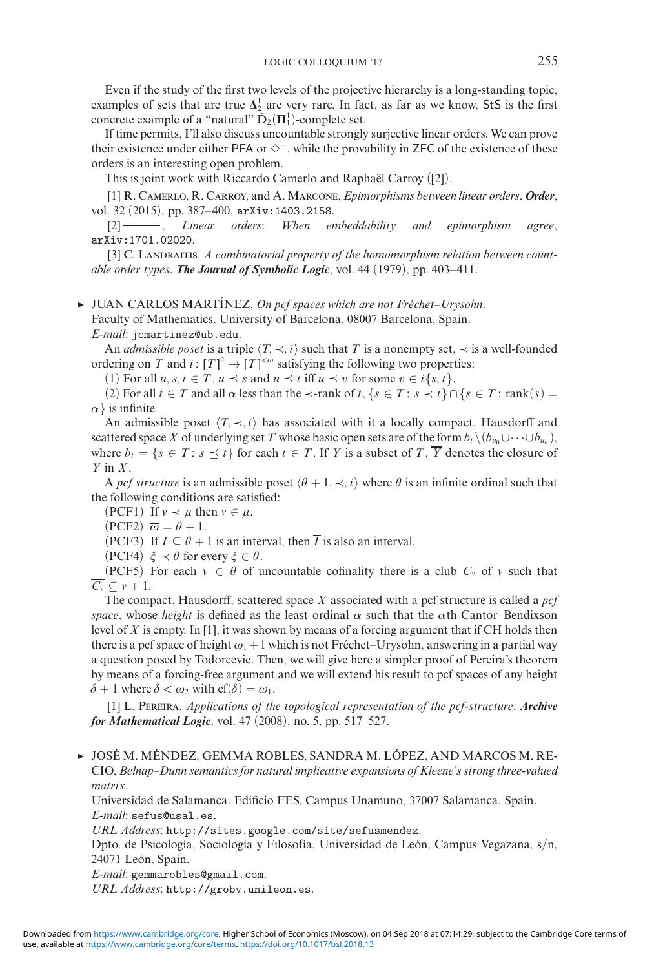Even if the study of the first two levels of the projective hierarchy is a long-standing topic, examples of sets that are true  $\Delta_2^1$  are very rare. In fact, as far as we know, StS is the first concrete example of a "natural"  $\check{D}_2(\Pi_1)$ -complete set.

If time permits, I'll also discuss uncountable strongly surjective linear orders. We can prove their existence under either PFA or  $\diamond^+$ , while the provability in ZFC of the existence of these orders is an interesting open problem.

This is joint work with Riccardo Camerlo and Raphaël Carroy ([2]).

[1] R. Camerlo, R. Carroy, and A. Marcone, *Epimorphisms between linear orders*. *Order*, vol. 32 (2015), pp. 387–400, arXiv:1403.2158.

[2] , *Linear orders*: *When embeddability and epimorphism agree*, arXiv:1701.02020.

[3] C. LANDRAITIS, A combinatorial property of the homomorphism relation between count*able order types*. *The Journal of Symbolic Logic*, vol. 44 (1979), pp. 403–411.

► JUAN CARLOS MARTÍNEZ, *On pcf spaces which are not Fréchet–Urysohn*. Faculty of Mathematics, University of Barcelona, 08007 Barcelona, Spain. *E-mail*: jcmartinez@ub.edu.

An *admissible poset* is a triple  $\langle T, \prec, i \rangle$  such that *T* is a nonempty set,  $\prec$  is a well-founded ordering on *T* and *i* :  $[T]^2 \rightarrow [T]^{<\omega}$  satisfying the following two properties:

(1) For all  $u, s, t \in T$ ,  $u \leq s$  and  $u \leq t$  iff  $u \leq v$  for some  $v \in i\{s, t\}$ .

(2) For all  $t \in T$  and all  $\alpha$  less than the  $\prec$ -rank of  $t, \{s \in T : s \prec t\} \cap \{s \in T : \text{rank}(s) =$  $\alpha$ } is infinite.

An admissible poset  $\langle T, \prec, i \rangle$  has associated with it a locally compact, Hausdorff and scattered space *X* of underlying set *T* whose basic open sets are of the form  $b_t \setminus (b_{u_0} \cup \cdots \cup b_{u_n})$ , where  $b_t = \{s \in T : s \preceq t\}$  for each  $t \in T$ . If *Y* is a subset of *T*,  $\overline{Y}$  denotes the closure of *Y* in *X* .

A *pcf structure* is an admissible poset  $(\theta + 1, \prec, i)$  where  $\theta$  is an infinite ordinal such that the following conditions are satisfied:

(PCF1) If  $v \prec \mu$  then  $v \in \mu$ .

 $(PCF2)$   $\overline{\omega} = \theta + 1$ .

(PCF3) If  $I \subseteq \theta + 1$  is an interval, then  $\overline{I}$  is also an interval.

(PCF4)  $\xi \prec \theta$  for every  $\xi \in \theta$ .

(PCF5) For each  $v \in \theta$  of uncountable cofinality there is a club  $C_v$  of  $v$  such that  $\overline{C_v} \subseteq \nu + 1.$ 

The compact, Hausdorff, scattered space *X* associated with a pcf structure is called a *pcf space*, whose *height* is defined as the least ordinal *α* such that the *α*th Cantor–Bendixson level of *X* is empty. In [1], it was shown by means of a forcing argument that if CH holds then there is a pcf space of height  $\omega_1 + 1$  which is not Fréchet–Urysohn, answering in a partial way a question posed by Todorcevic. Then, we will give here a simpler proof of Pereira's theorem by means of a forcing-free argument and we will extend his result to pcf spaces of any height  $\delta + 1$  where  $\delta < \omega_2$  with  $cf(\delta) = \omega_1$ .

[1] L. Pereira, *Applications of the topological representation of the pcf-structure*. *Archive for Mathematical Logic*, vol. 47 (2008), no. 5, pp. 517–527.

### $\blacktriangleright$  JOSÉ M. MÉNDEZ, GEMMA ROBLES, SANDRA M. LÓPEZ, AND MARCOS M. RE-CIO, *Belnap–Dunn semantics for natural implicative expansions of Kleene's strong three-valued matrix*.

Universidad de Salamanca. Edificio FES, Campus Unamuno, 37007 Salamanca, Spain. *E-mail*: sefus@usal.es.

*URL Address*: http://sites.google.com/site/sefusmendez.

Dpto. de Psicología, Sociología y Filosofía, Universidad de León, Campus Vegazana, s/n, 24071 León, Spain.

*E-mail*: gemmarobles@gmail.com.

*URL Address*: http://grobv.unileon.es.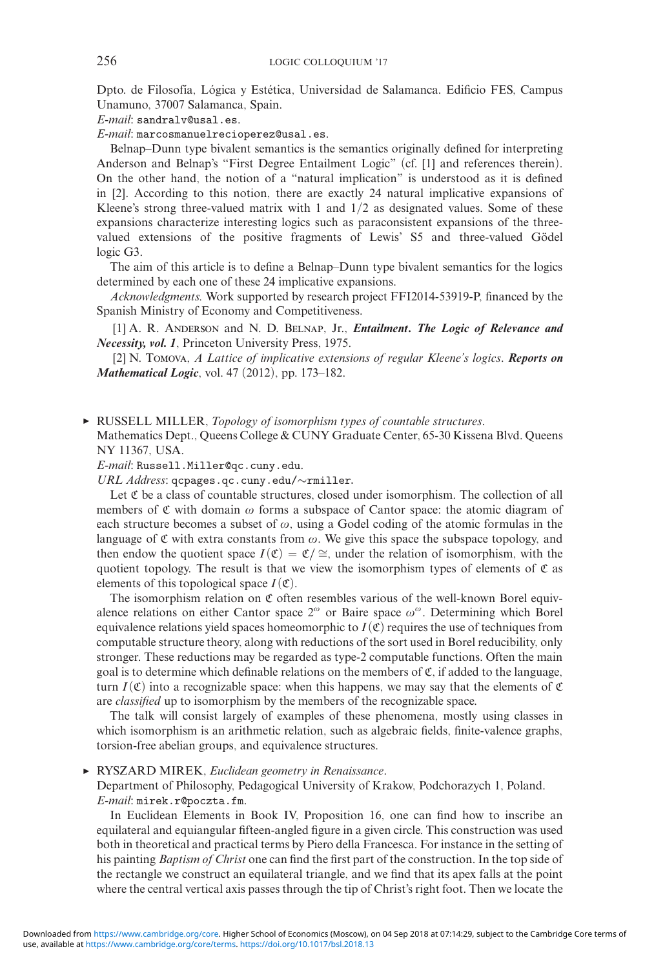Dpto. de Filosofía, Lógica y Estética, Universidad de Salamanca. Edificio FES, Campus Unamuno, 37007 Salamanca, Spain.

*E-mail*: sandralv@usal.es.

*E-mail*: marcosmanuelrecioperez@usal.es.

Belnap–Dunn type bivalent semantics is the semantics originally defined for interpreting Anderson and Belnap's "First Degree Entailment Logic" (cf. [1] and references therein). On the other hand, the notion of a "natural implication" is understood as it is defined in [2]. According to this notion, there are exactly 24 natural implicative expansions of Kleene's strong three-valued matrix with 1 and  $1/2$  as designated values. Some of these expansions characterize interesting logics such as paraconsistent expansions of the threevalued extensions of the positive fragments of Lewis' S5 and three-valued Gödel logic G3.

The aim of this article is to define a Belnap–Dunn type bivalent semantics for the logics determined by each one of these 24 implicative expansions.

*Acknowledgments.* Work supported by research project FFI2014-53919-P, financed by the Spanish Ministry of Economy and Competitiveness.

[1] A. R. Anderson and N. D. Belnap, Jr., *Entailment***.** *The Logic of Relevance and Necessity, vol. 1*, Princeton University Press, 1975.

[2] N. Tomova, *A Lattice of implicative extensions of regular Kleene's logics*. *Reports on Mathematical Logic*, vol. 47 (2012), pp. 173–182.

- RUSSELL MILLER, *Topology of isomorphism types of countable structures*.

Mathematics Dept., Queens College & CUNY Graduate Center, 65-30 Kissena Blvd. Queens NY 11367, USA.

*E-mail*: Russell.Miller@qc.cuny.edu.

*URL Address*: qcpages.qc.cuny.edu/∼rmiller.

Let  $E$  be a class of countable structures, closed under isomorphism. The collection of all members of  $C$  with domain  $\omega$  forms a subspace of Cantor space: the atomic diagram of each structure becomes a subset of  $\omega$ , using a Godel coding of the atomic formulas in the language of  $\mathfrak C$  with extra constants from  $\omega$ . We give this space the subspace topology, and then endow the quotient space  $I(\mathfrak{C}) = \mathfrak{C}/\cong$ , under the relation of isomorphism, with the quotient topology. The result is that we view the isomorphism types of elements of  $\mathfrak C$  as elements of this topological space  $I(\mathfrak{C})$ .

The isomorphism relation on  $C$  often resembles various of the well-known Borel equivalence relations on either Cantor space  $2^{\omega}$  or Baire space  $\omega^{\omega}$ . Determining which Borel equivalence relations yield spaces homeomorphic to  $I(\mathfrak{C})$  requires the use of techniques from computable structure theory, along with reductions of the sort used in Borel reducibility, only stronger. These reductions may be regarded as type-2 computable functions. Often the main goal is to determine which definable relations on the members of  $\mathfrak{C}$ , if added to the language, turn  $I(\mathfrak{C})$  into a recognizable space: when this happens, we may say that the elements of  $\mathfrak{C}$ are *classified* up to isomorphism by the members of the recognizable space.

The talk will consist largely of examples of these phenomena, mostly using classes in which isomorphism is an arithmetic relation, such as algebraic fields, finite-valence graphs, torsion-free abelian groups, and equivalence structures.

#### - RYSZARD MIREK, *Euclidean geometry in Renaissance*.

Department of Philosophy, Pedagogical University of Krakow, Podchorazych 1, Poland. *E-mail*: mirek.r@poczta.fm.

In Euclidean Elements in Book IV, Proposition 16, one can find how to inscribe an equilateral and equiangular fifteen-angled figure in a given circle. This construction was used both in theoretical and practical terms by Piero della Francesca. For instance in the setting of his painting *Baptism of Christ* one can find the first part of the construction. In the top side of the rectangle we construct an equilateral triangle, and we find that its apex falls at the point where the central vertical axis passes through the tip of Christ's right foot. Then we locate the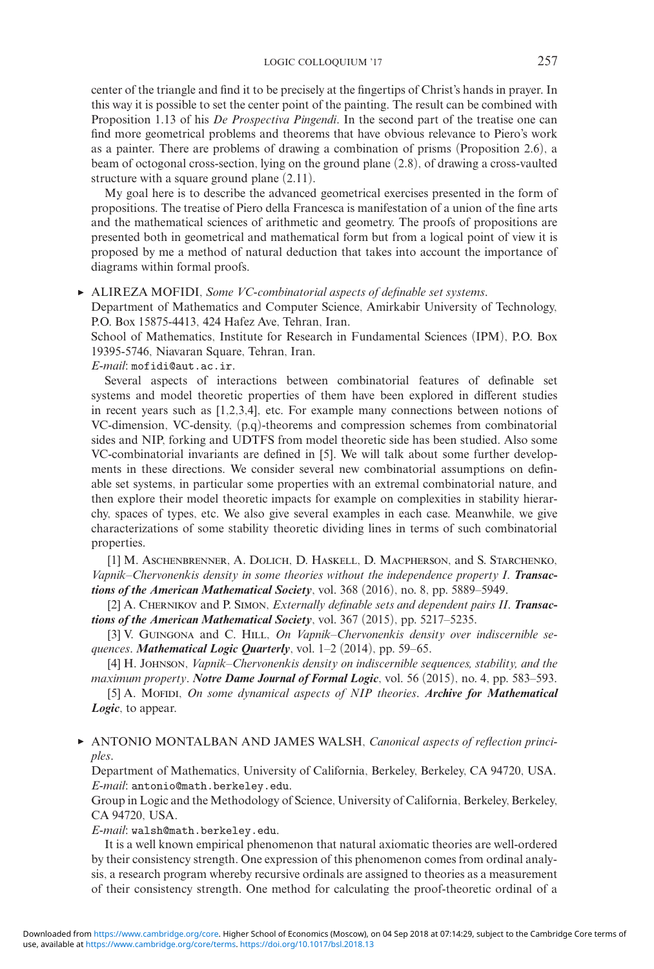center of the triangle and find it to be precisely at the fingertips of Christ's hands in prayer. In this way it is possible to set the center point of the painting. The result can be combined with Proposition 1.13 of his *De Prospectiva Pingendi*. In the second part of the treatise one can find more geometrical problems and theorems that have obvious relevance to Piero's work as a painter. There are problems of drawing a combination of prisms (Proposition 2.6), a beam of octogonal cross-section, lying on the ground plane (2.8), of drawing a cross-vaulted structure with a square ground plane  $(2.11)$ .

My goal here is to describe the advanced geometrical exercises presented in the form of propositions. The treatise of Piero della Francesca is manifestation of a union of the fine arts and the mathematical sciences of arithmetic and geometry. The proofs of propositions are presented both in geometrical and mathematical form but from a logical point of view it is proposed by me a method of natural deduction that takes into account the importance of diagrams within formal proofs.

#### - ALIREZA MOFIDI, *Some VC-combinatorial aspects of definable set systems*.

Department of Mathematics and Computer Science, Amirkabir University of Technology, P.O. Box 15875-4413, 424 Hafez Ave, Tehran, Iran.

School of Mathematics, Institute for Research in Fundamental Sciences (IPM), P.O. Box 19395-5746, Niavaran Square, Tehran, Iran.

*E-mail*: mofidi@aut.ac.ir.

Several aspects of interactions between combinatorial features of definable set systems and model theoretic properties of them have been explored in different studies in recent years such as [1,2,3,4], etc. For example many connections between notions of VC-dimension, VC-density, (p,q)-theorems and compression schemes from combinatorial sides and NIP, forking and UDTFS from model theoretic side has been studied. Also some VC-combinatorial invariants are defined in [5]. We will talk about some further developments in these directions. We consider several new combinatorial assumptions on definable set systems, in particular some properties with an extremal combinatorial nature, and then explore their model theoretic impacts for example on complexities in stability hierarchy, spaces of types, etc. We also give several examples in each case. Meanwhile, we give characterizations of some stability theoretic dividing lines in terms of such combinatorial properties.

[1] M. Aschenbrenner, A. Dolich, D. Haskell, D. Macpherson, and S. Starchenko, *Vapnik–Chervonenkis density in some theories without the independence property I*. *Transactions of the American Mathematical Society*, vol. 368 (2016), no. 8, pp. 5889–5949.

[2] A. Chernikov and P. Simon, *Externally definable sets and dependent pairs II*. *Transactions of the American Mathematical Society*, vol. 367 (2015), pp. 5217–5235.

[3] V. GUINGONA and C. HILL, *On Vapnik–Chervonenkis density over indiscernible sequences*. *Mathematical Logic Quarterly*, vol. 1–2 (2014), pp. 59–65.

[4] H. Johnson, *Vapnik–Chervonenkis density on indiscernible sequences, stability, and the maximum property*. *Notre Dame Journal of Formal Logic*, vol. 56 (2015), no. 4, pp. 583–593.

[5] A. Mofidi, *On some dynamical aspects of NIP theories*. *Archive for Mathematical Logic*, to appear.

### ► ANTONIO MONTALBAN AND JAMES WALSH, *Canonical aspects of reflection principles*.

Department of Mathematics, University of California, Berkeley, Berkeley, CA 94720, USA. *E-mail*: antonio@math.berkeley.edu.

Group in Logic and the Methodology of Science, University of California, Berkeley, Berkeley, CA 94720, USA.

*E-mail*: walsh@math.berkeley.edu.

It is a well known empirical phenomenon that natural axiomatic theories are well-ordered by their consistency strength. One expression of this phenomenon comes from ordinal analysis, a research program whereby recursive ordinals are assigned to theories as a measurement of their consistency strength. One method for calculating the proof-theoretic ordinal of a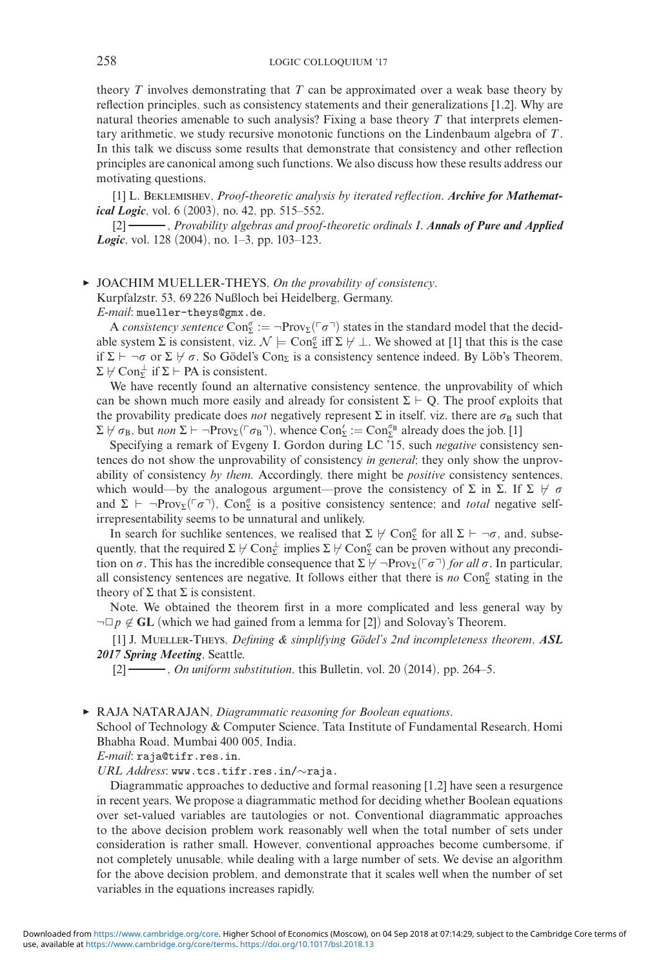theory *T* involves demonstrating that *T* can be approximated over a weak base theory by reflection principles, such as consistency statements and their generalizations [1,2]. Why are natural theories amenable to such analysis? Fixing a base theory *T* that interprets elementary arithmetic, we study recursive monotonic functions on the Lindenbaum algebra of *T*. In this talk we discuss some results that demonstrate that consistency and other reflection principles are canonical among such functions. We also discuss how these results address our motivating questions.

[1] L. Beklemishev, *Proof-theoretic analysis by iterated reflection*. *Archive for Mathematical Logic*, vol. 6 (2003), no. 42, pp. 515–552.

[2] , *Provability algebras and proof-theoretic ordinals I*. *Annals of Pure and Applied Logic*, vol. 128 (2004), no. 1–3, pp. 103–123.

- JOACHIM MUELLER-THEYS, *On the provability of consistency*.

Kurpfalzstr. 53, 69 226 Nußloch bei Heidelberg, Germany.

*E-mail*: mueller-theys@gmx.de.

A *consistency sentence*  $Con_{\Sigma}^{\sigma} := \neg Prov_{\Sigma}(\ulcorner \sigma \urcorner)$  states in the standard model that the decidable system  $\Sigma$  is consistent, viz.  $\mathcal{N} \models \mathrm{Con}_{\Sigma}^{\sigma}$  iff  $\Sigma \neq \bot$ . We showed at [1] that this is the case if  $\Sigma \vdash \neg \sigma$  or  $\Sigma \not\vdash \sigma$ . So Gödel's Con<sub> $\Sigma$ </sub> is a consistency sentence indeed. By Löb's Theorem,  $\Sigma \nvDash \text{Con}_{\Sigma}^{\perp}$  if  $\Sigma \vdash \text{PA}$  is consistent.

We have recently found an alternative consistency sentence, the unprovability of which can be shown much more easily and already for consistent  $\Sigma \vdash Q$ . The proof exploits that the provability predicate does *not* negatively represent  $\Sigma$  in itself, viz. there are  $\sigma_{\rm B}$  such that  $\Sigma \nvdash \sigma_B$ , but *non*  $\Sigma \vdash \neg Prov_{\Sigma}(\ulcorner \sigma_B \urcorner)$ , whence  $Con'_{\Sigma} := Con_{\Sigma}^{\sigma_B}$  already does the job. [1]

Specifying a remark of Evgeny I. Gordon during LC '15, such *negative* consistency sentences do not show the unprovability of consistency *in general*; they only show the unprovability of consistency *by them.* Accordingly, there might be *positive* consistency sentences, which would—by the analogous argument—prove the consistency of  $\Sigma$  in  $\Sigma$ . If  $\Sigma \not\vdash \sigma$ and  $\Sigma$   $\vdash$   $\neg Prov_{\Sigma}(\ulcorner \sigma \urcorner)$ ,  $Con_{\Sigma}^{\sigma}$  is a positive consistency sentence; and *total* negative selfirrepresentability seems to be unnatural and unlikely.

In search for suchlike sentences, we realised that  $\Sigma \nvdash \text{Con}_{\Sigma}^{\sigma}$  for all  $\Sigma \vdash \neg \sigma$ , and, subsequently, that the required  $\Sigma \not\vdash \mathrm{Con}^{\perp}_{\Sigma}$  implies  $\Sigma \not\vdash \mathrm{Con}^{\sigma}_{\Sigma}$  can be proven without any precondition on  $\sigma$ . This has the incredible consequence that  $\Sigma \nvdash \neg Prov_{\Sigma}(\ulcorner \sigma \urcorner)$  *for all*  $\sigma$ . In particular, all consistency sentences are negative. It follows either that there is  $no\ Con<sub>2</sub><sup>σ</sup>$  stating in the theory of  $\Sigma$  that  $\Sigma$  is consistent.

Note. We obtained the theorem first in a more complicated and less general way by ¬□*p*  $\notin$  **GL** (which we had gained from a lemma for [2]) and Solovay's Theorem.

[1] J. MUELLER-THEYS, *Defining & simplifying Gödel's 2nd incompleteness theorem*, *ASL 2017 Spring Meeting*, Seattle.

[2] *- On uniform substitution*, this Bulletin, vol. 20 (2014), pp. 264–5.

#### - RAJA NATARAJAN, *Diagrammatic reasoning for Boolean equations*.

School of Technology & Computer Science, Tata Institute of Fundamental Research, Homi Bhabha Road, Mumbai 400 005, India.

*E-mail*: raja@tifr.res.in.

*URL Address*: www.tcs.tifr.res.in/∼raja.

Diagrammatic approaches to deductive and formal reasoning [1,2] have seen a resurgence in recent years. We propose a diagrammatic method for deciding whether Boolean equations over set-valued variables are tautologies or not. Conventional diagrammatic approaches to the above decision problem work reasonably well when the total number of sets under consideration is rather small. However, conventional approaches become cumbersome, if not completely unusable, while dealing with a large number of sets. We devise an algorithm for the above decision problem, and demonstrate that it scales well when the number of set variables in the equations increases rapidly.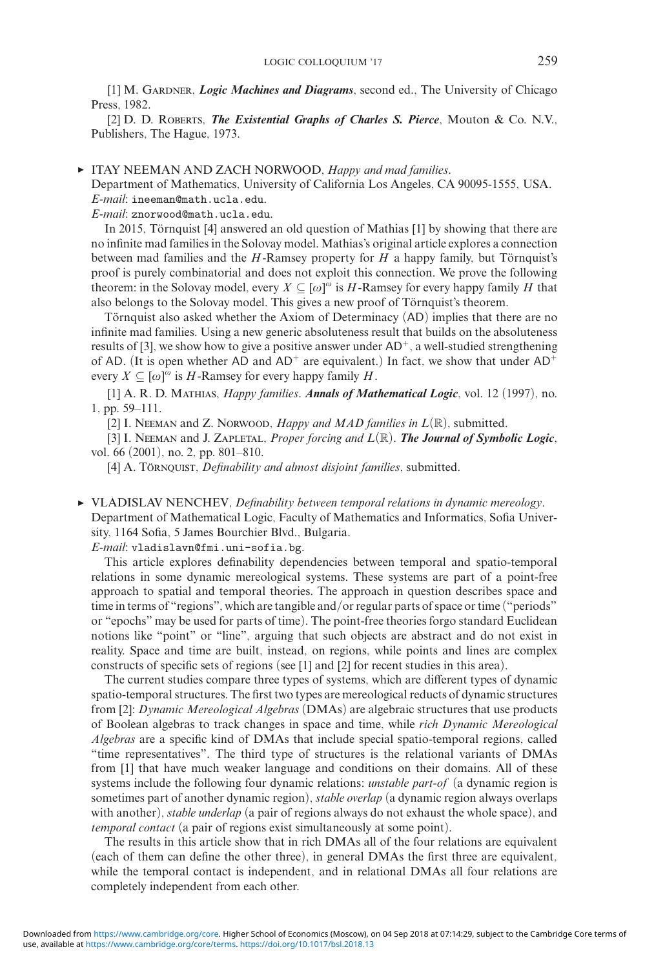[1] M. Gardner, *Logic Machines and Diagrams*, second ed., The University of Chicago Press, 1982.

[2] D. D. Roberts, *The Existential Graphs of Charles S. Pierce*, Mouton & Co. N.V., Publishers, The Hague, 1973.

- ITAY NEEMAN AND ZACH NORWOOD, *Happy and mad families*.

Department of Mathematics, University of California Los Angeles, CA 90095-1555, USA. *E-mail*: ineeman@math.ucla.edu.

*E-mail*: znorwood@math.ucla.edu.

In 2015, Törnquist  $[4]$  answered an old question of Mathias  $[1]$  by showing that there are no infinite mad families in the Solovay model. Mathias's original article explores a connection between mad families and the  $H$ -Ramsey property for  $H$  a happy family, but Törnquist's proof is purely combinatorial and does not exploit this connection. We prove the following theorem: in the Solovay model, every  $X \subseteq [\omega]^{\omega}$  is *H*-Ramsey for every happy family *H* that also belongs to the Solovay model. This gives a new proof of Törnquist's theorem.

Törnquist also asked whether the Axiom of Determinacy (AD) implies that there are no infinite mad families. Using a new generic absoluteness result that builds on the absoluteness results of [3], we show how to give a positive answer under  $AD^+$ , a well-studied strengthening of AD. (It is open whether AD and  $AD^+$  are equivalent.) In fact, we show that under  $AD^+$ every  $X \subseteq [\omega]^\omega$  is *H*-Ramsey for every happy family *H*.

[1] A. R. D. Mathias, *Happy families*. *Annals of Mathematical Logic*, vol. 12 (1997), no. 1, pp. 59–111.

[2] I. Neeman and Z. Norwood, *Happy and MAD families in L*(R), submitted.

[3] I. Neeman and J. Zapletal, *Proper forcing and L*(R). *The Journal of Symbolic Logic*, vol. 66 (2001), no. 2, pp. 801–810.

[4] A. Törnquist, *Definability and almost disjoint families*, submitted.

► VLADISLAV NENCHEV, *Definability between temporal relations in dynamic mereology*. Department of Mathematical Logic, Faculty of Mathematics and Informatics, Sofia University, 1164 Sofia, 5 James Bourchier Blvd., Bulgaria.

*E-mail*: vladislavn@fmi.uni-sofia.bg.

This article explores definability dependencies between temporal and spatio-temporal relations in some dynamic mereological systems. These systems are part of a point-free approach to spatial and temporal theories. The approach in question describes space and time in terms of "regions", which are tangible and/or regular parts of space or time ("periods" or "epochs" may be used for parts of time). The point-free theories forgo standard Euclidean notions like "point" or "line", arguing that such objects are abstract and do not exist in reality. Space and time are built, instead, on regions, while points and lines are complex constructs of specific sets of regions (see [1] and [2] for recent studies in this area).

The current studies compare three types of systems, which are different types of dynamic spatio-temporal structures. The first two types are mereological reducts of dynamic structures from [2]: *Dynamic Mereological Algebras* (DMAs) are algebraic structures that use products of Boolean algebras to track changes in space and time, while *rich Dynamic Mereological Algebras* are a specific kind of DMAs that include special spatio-temporal regions, called "time representatives". The third type of structures is the relational variants of DMAs from [1] that have much weaker language and conditions on their domains. All of these systems include the following four dynamic relations: *unstable part-of* (a dynamic region is sometimes part of another dynamic region), *stable overlap* (a dynamic region always overlaps with another), *stable underlap* (a pair of regions always do not exhaust the whole space), and *temporal contact* (a pair of regions exist simultaneously at some point).

The results in this article show that in rich DMAs all of the four relations are equivalent (each of them can define the other three), in general DMAs the first three are equivalent, while the temporal contact is independent, and in relational DMAs all four relations are completely independent from each other.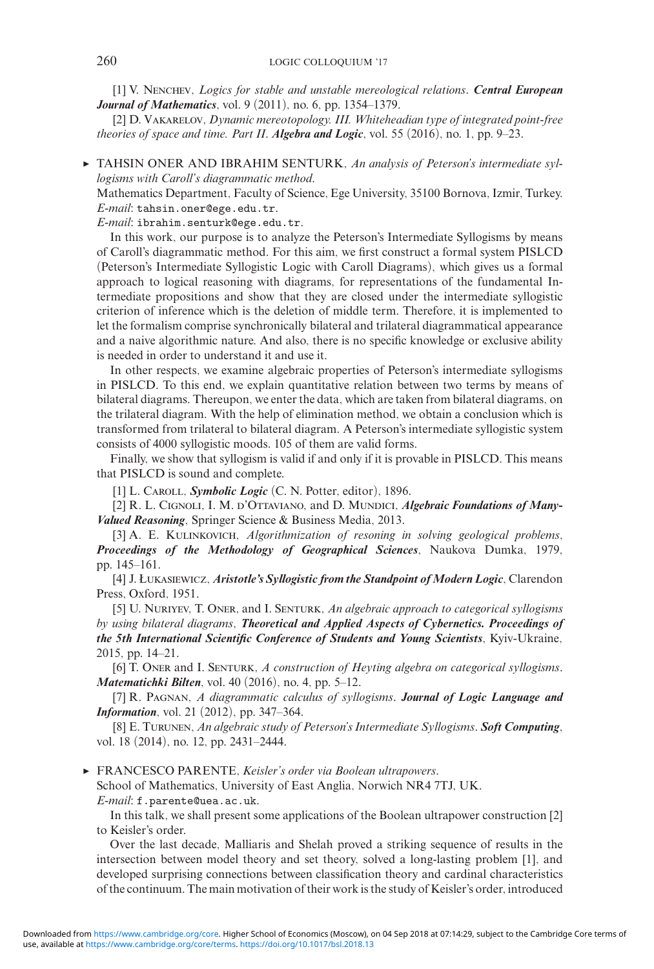[1] V. Nenchev, *Logics for stable and unstable mereological relations*. *Central European Journal of Mathematics*, vol. 9 (2011), no. 6, pp. 1354–1379.

[2] D. Vakarelov, *Dynamic mereotopology. III. Whiteheadian type of integrated point-free theories of space and time. Part II*. *Algebra and Logic*, vol. 55 (2016), no. 1, pp. 9–23.

► TAHSIN ONER AND IBRAHIM SENTURK, An analysis of Peterson's intermediate syl*logisms with Caroll's diagrammatic method*.

Mathematics Department, Faculty of Science, Ege University, 35100 Bornova, Izmir, Turkey. *E-mail*: tahsin.oner@ege.edu.tr.

*E-mail*: ibrahim.senturk@ege.edu.tr.

In this work, our purpose is to analyze the Peterson's Intermediate Syllogisms by means of Caroll's diagrammatic method. For this aim, we first construct a formal system PISLCD (Peterson's Intermediate Syllogistic Logic with Caroll Diagrams), which gives us a formal approach to logical reasoning with diagrams, for representations of the fundamental Intermediate propositions and show that they are closed under the intermediate syllogistic criterion of inference which is the deletion of middle term. Therefore, it is implemented to let the formalism comprise synchronically bilateral and trilateral diagrammatical appearance and a naive algorithmic nature. And also, there is no specific knowledge or exclusive ability is needed in order to understand it and use it.

In other respects, we examine algebraic properties of Peterson's intermediate syllogisms in PISLCD. To this end, we explain quantitative relation between two terms by means of bilateral diagrams. Thereupon, we enter the data, which are taken from bilateral diagrams, on the trilateral diagram. With the help of elimination method, we obtain a conclusion which is transformed from trilateral to bilateral diagram. A Peterson's intermediate syllogistic system consists of 4000 syllogistic moods. 105 of them are valid forms.

Finally, we show that syllogism is valid if and only if it is provable in PISLCD. This means that PISLCD is sound and complete.

[1] L. CAROLL, *Symbolic Logic* (C. N. Potter, editor), 1896.

[2] R. L. CIGNOLI, I. M. D'OTTAVIANO, and D. MUNDICI, *Algebraic Foundations of Many-Valued Reasoning*, Springer Science & Business Media, 2013.

[3] A. E. KULINKOVICH, *Algorithmization of resoning in solving geological problems*, *Proceedings of the Methodology of Geographical Sciences*, Naukova Dumka, 1979, pp. 145–161.

[4] J. Łukasiewicz, *Aristotle's Syllogistic from the Standpoint of Modern Logic*, Clarendon Press, Oxford, 1951.

[5] U. Nuriyev, T. Oner, and I. Senturk, *An algebraic approach to categorical syllogisms by using bilateral diagrams*, *Theoretical and Applied Aspects of Cybernetics. Proceedings of the 5th International Scientific Conference of Students and Young Scientists*, Kyiv-Ukraine, 2015, pp. 14–21.

[6] T. Oner and I. Senturk, *A construction of Heyting algebra on categorical syllogisms*. *Matematichki Bilten*, vol. 40 (2016), no. 4, pp. 5–12.

[7] R. Pagnan, *A diagrammatic calculus of syllogisms*. *Journal of Logic Language and Information*, vol. 21 (2012), pp. 347–364.

[8] E. Turunen, *An algebraic study of Peterson's Intermediate Syllogisms*. *Soft Computing*, vol. 18 (2014), no. 12, pp. 2431–2444.

- FRANCESCO PARENTE, *Keisler's order via Boolean ultrapowers*.

School of Mathematics, University of East Anglia, Norwich NR4 7TJ, UK. *E-mail*: f.parente@uea.ac.uk.

In this talk, we shall present some applications of the Boolean ultrapower construction [2] to Keisler's order.

Over the last decade, Malliaris and Shelah proved a striking sequence of results in the intersection between model theory and set theory, solved a long-lasting problem [1], and developed surprising connections between classification theory and cardinal characteristics of the continuum. The main motivation of their work is the study of Keisler's order, introduced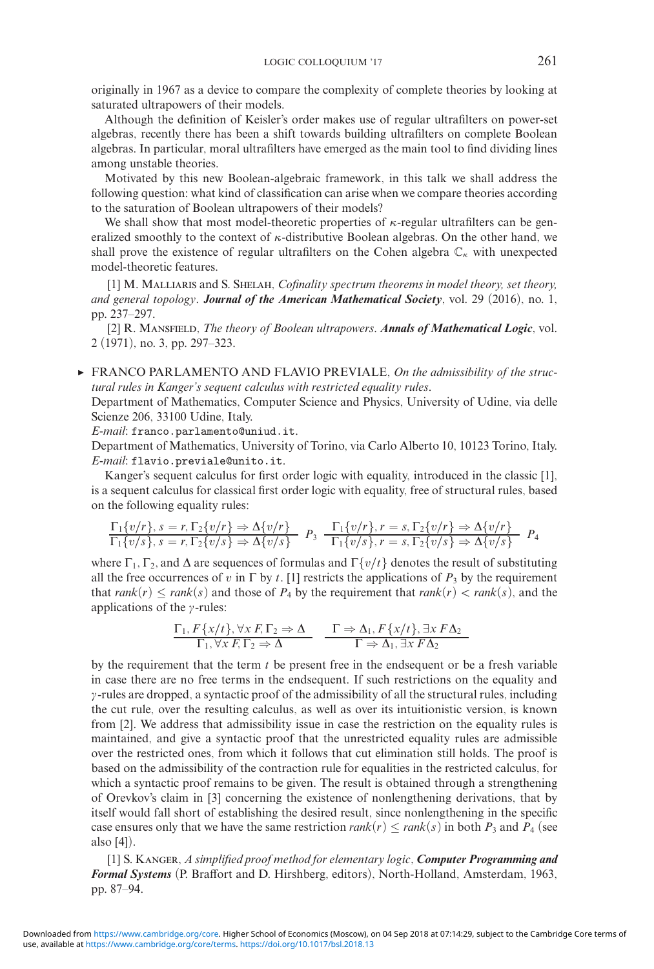originally in 1967 as a device to compare the complexity of complete theories by looking at saturated ultrapowers of their models.

Although the definition of Keisler's order makes use of regular ultrafilters on power-set algebras, recently there has been a shift towards building ultrafilters on complete Boolean algebras. In particular, moral ultrafilters have emerged as the main tool to find dividing lines among unstable theories.

Motivated by this new Boolean-algebraic framework, in this talk we shall address the following question: what kind of classification can arise when we compare theories according to the saturation of Boolean ultrapowers of their models?

We shall show that most model-theoretic properties of *κ*-regular ultrafilters can be generalized smoothly to the context of *κ*-distributive Boolean algebras. On the other hand, we shall prove the existence of regular ultrafilters on the Cohen algebra  $\mathbb{C}_{\kappa}$  with unexpected model-theoretic features.

[1] M. Malliaris and S. Shelah, *Cofinality spectrum theorems in model theory, set theory, and general topology*. *Journal of the American Mathematical Society*, vol. 29 (2016), no. 1, pp. 237–297.

[2] R. Mansfield, *The theory of Boolean ultrapowers*. *Annals of Mathematical Logic*, vol. 2 (1971), no. 3, pp. 297–323.

► FRANCO PARLAMENTO AND FLAVIO PREVIALE, *On the admissibility of the structural rules in Kanger's sequent calculus with restricted equality rules*.

Department of Mathematics, Computer Science and Physics, University of Udine, via delle Scienze 206, 33100 Udine, Italy.

*E-mail*: franco.parlamento@uniud.it.

Department of Mathematics, University of Torino, via Carlo Alberto 10, 10123 Torino, Italy. *E-mail*: flavio.previale@unito.it.

Kanger's sequent calculus for first order logic with equality, introduced in the classic [1], is a sequent calculus for classical first order logic with equality, free of structural rules, based on the following equality rules:

$$
\frac{\Gamma_1\{v/r\}, s = r, \Gamma_2\{v/r\} \Rightarrow \Delta\{v/r\}}{\Gamma_1\{v/s\}, s = r, \Gamma_2\{v/s\} \Rightarrow \Delta\{v/s\}} \quad P_3 \quad \frac{\Gamma_1\{v/r\}, r = s, \Gamma_2\{v/r\} \Rightarrow \Delta\{v/r\}}{\Gamma_1\{v/s\}, r = s, \Gamma_2\{v/s\} \Rightarrow \Delta\{v/s\}} \quad P_4
$$

where  $\Gamma_1, \Gamma_2$ , and  $\Delta$  are sequences of formulas and  $\Gamma\{v/t\}$  denotes the result of substituting all the free occurrences of *v* in  $\Gamma$  by *t*. [1] restricts the applications of  $P_3$  by the requirement that  $rank(r) \leq rank(s)$  and those of  $P_4$  by the requirement that  $rank(r) < rank(s)$ , and the applications of the -rules:

$$
\frac{\Gamma_1, F\{x/t\}, \forall x F, \Gamma_2 \Rightarrow \Delta}{\Gamma_1, \forall x F, \Gamma_2 \Rightarrow \Delta} \quad \frac{\Gamma \Rightarrow \Delta_1, F\{x/t\}, \exists x F \Delta_2}{\Gamma \Rightarrow \Delta_1, \exists x F \Delta_2}
$$

by the requirement that the term *t* be present free in the endsequent or be a fresh variable in case there are no free terms in the endsequent. If such restrictions on the equality and  $\gamma$ -rules are dropped, a syntactic proof of the admissibility of all the structural rules, including the cut rule, over the resulting calculus, as well as over its intuitionistic version, is known from [2]. We address that admissibility issue in case the restriction on the equality rules is maintained, and give a syntactic proof that the unrestricted equality rules are admissible over the restricted ones, from which it follows that cut elimination still holds. The proof is based on the admissibility of the contraction rule for equalities in the restricted calculus, for which a syntactic proof remains to be given. The result is obtained through a strengthening of Orevkov's claim in [3] concerning the existence of nonlengthening derivations, that by itself would fall short of establishing the desired result, since nonlengthening in the specific case ensures only that we have the same restriction  $rank(r) \leq rank(s)$  in both  $P_3$  and  $P_4$  (see also [4]).

[1] S. Kanger, *A simplified proof method for elementary logic*, *Computer Programming and Formal Systems* (P. Braffort and D. Hirshberg, editors), North-Holland, Amsterdam, 1963, pp. 87–94.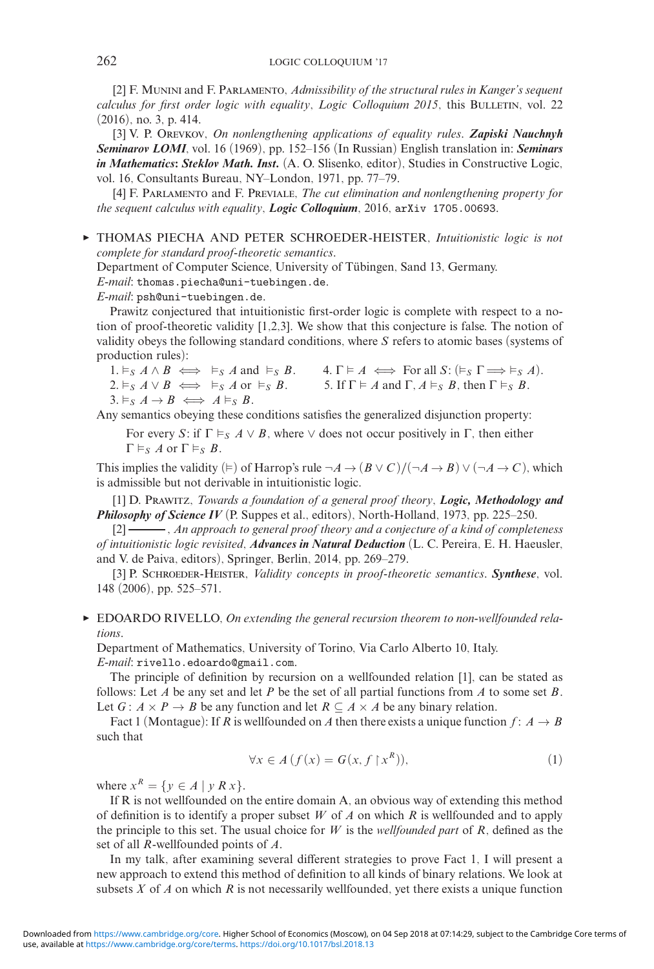[2] F. Munini and F. Parlamento, *Admissibility of the structural rules in Kanger's sequent calculus for first order logic with equality, Logic Colloquium 2015, this BULLETIN, vol. 22* (2016), no. 3, p. 414.

[3] V. P. Orevkov, *On nonlengthening applications of equality rules*. *Zapiski Nauchnyh Seminarov LOMI*, vol. 16 (1969), pp. 152–156 (In Russian) English translation in: *Seminars in Mathematics***:** *Steklov Math. Inst.* (A. O. Slisenko, editor), Studies in Constructive Logic, vol. 16, Consultants Bureau, NY–London, 1971, pp. 77–79.

[4] F. Parlamento and F. Previale, *The cut elimination and nonlengthening property for the sequent calculus with equality*, *Logic Colloquium*, 2016, arXiv 1705.00693.

- THOMAS PIECHA AND PETER SCHROEDER-HEISTER, *Intuitionistic logic is not complete for standard proof-theoretic semantics*.

Department of Computer Science, University of Tübingen, Sand 13, Germany.

*E-mail*: thomas.piecha@uni-tuebingen.de.

*E-mail*: psh@uni-tuebingen.de.

Prawitz conjectured that intuitionistic first-order logic is complete with respect to a notion of proof-theoretic validity [1,2,3]. We show that this conjecture is false. The notion of validity obeys the following standard conditions, where *S* refers to atomic bases (systems of production rules):

 $1. \vDash_S A \wedge B \iff \vDash_S A \text{ and } \vDash_S B$ .  $4. \Gamma \vDash A \iff \text{For all } S: (\vDash_S \Gamma \Longrightarrow \vDash_S A)$ . 2.  $\vDash_S A \lor B \iff \vDash_S A \text{ or } \vDash_S B$ . 5. If  $\Gamma \vDash A$  and  $\Gamma, A \vDash_S B$ , then  $\Gamma \vDash_S B$ .

$$
3. \vDash_S A \to B \iff A \vDash_S B.
$$

Any semantics obeying these conditions satisfies the generalized disjunction property:

For every *S*: if  $\Gamma \vDash_S A \vee B$ , where  $\vee$  does not occur positively in  $\Gamma$ , then either  $\Gamma \vDash_S A$  or  $\Gamma \vDash_S B$ .

This implies the validity ( $\models$ ) of Harrop's rule  $\neg A \rightarrow (B \lor C)/(\neg A \rightarrow B) \lor (\neg A \rightarrow C)$ , which is admissible but not derivable in intuitionistic logic.

[1] D. Prawitz, *Towards a foundation of a general proof theory*, *Logic, Methodology and Philosophy of Science IV* (P. Suppes et al., editors), North-Holland, 1973, pp. 225–250.

[2] , *An approach to general proof theory and a conjecture of a kind of completeness of intuitionistic logic revisited*, *Advances in Natural Deduction* (L. C. Pereira, E. H. Haeusler, and V. de Paiva, editors), Springer, Berlin, 2014, pp. 269–279.

[3] P. Schroeder-Heister, *Validity concepts in proof-theoretic semantics*. *Synthese*, vol. 148 (2006), pp. 525–571.

### ► EDOARDO RIVELLO, *On extending the general recursion theorem to non-wellfounded relations*.

Department of Mathematics, University of Torino, Via Carlo Alberto 10, Italy. *E-mail*: rivello.edoardo@gmail.com.

The principle of definition by recursion on a wellfounded relation [1], can be stated as follows: Let *A* be any set and let *P* be the set of all partial functions from *A* to some set *B*. Let *G* :  $A \times P \rightarrow B$  be any function and let  $R \subseteq A \times A$  be any binary relation.

Fact 1 (Montague): If *R* is wellfounded on *A* then there exists a unique function  $f: A \rightarrow B$ such that

$$
\forall x \in A \left( f(x) = G(x, f \upharpoonright x^R) \right), \tag{1}
$$

where  $x^R = \{y \in A \mid y R x\}.$ 

If R is not wellfounded on the entire domain A, an obvious way of extending this method of definition is to identify a proper subset *W* of *A* on which *R* is wellfounded and to apply the principle to this set. The usual choice for *W* is the *wellfounded part* of *R*, defined as the set of all *R*-wellfounded points of *A*.

In my talk, after examining several different strategies to prove Fact 1, I will present a new approach to extend this method of definition to all kinds of binary relations. We look at subsets *X* of *A* on which *R* is not necessarily wellfounded, yet there exists a unique function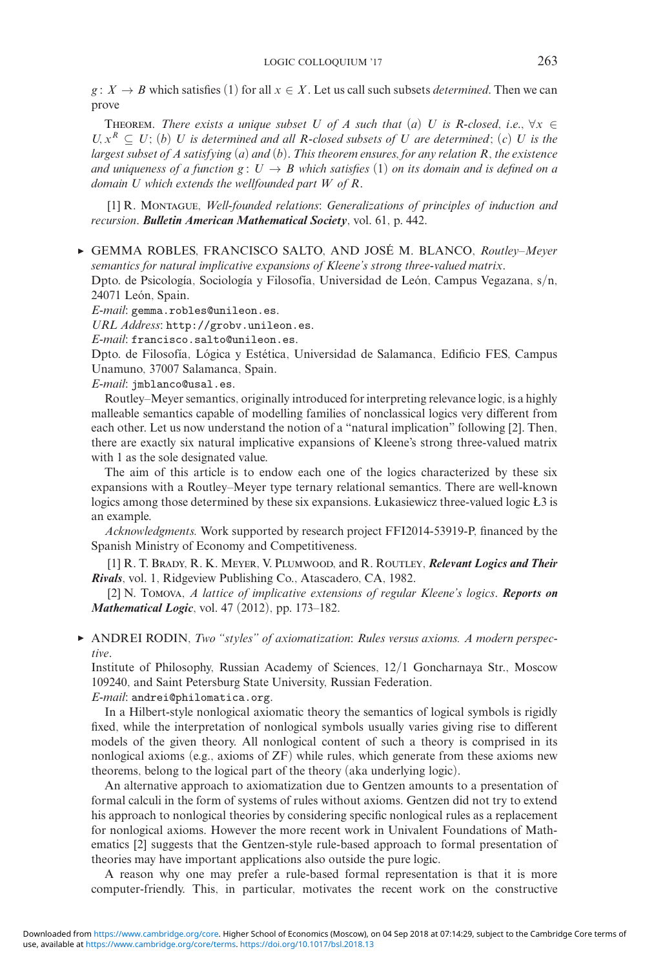$g: X \to B$  which satisfies (1) for all  $x \in X$ . Let us call such subsets *determined*. Then we can prove

**THEOREM.** There exists a unique subset U of A such that (a) U is R-closed, i.e.,  $\forall x \in$  $U, x^R \subseteq U$ ; (b) *U is determined and all R-closed subsets of U are determined*; (c) *U is the largest subset of A satisfying (a) and (b). This theorem ensures, for any relation R, the existence and uniqueness of a function*  $g: U \to B$  *which satisfies* (1) *on its domain and is defined on a domain U which extends the wellfounded part W of R.*

[1] R. Montague, *Well-founded relations*: *Generalizations of principles of induction and recursion*. *Bulletin American Mathematical Society*, vol. 61, p. 442.

► GEMMA ROBLES, FRANCISCO SALTO, AND JOSÉ M. BLANCO, Routley-Meyer *semantics for natural implicative expansions of Kleene's strong three-valued matrix*.

Dpto. de Psicología, Sociología y Filosofía, Universidad de León, Campus Vegazana, s/n, 24071 León, Spain.

*E-mail*: gemma.robles@unileon.es.

*URL Address*: http://grobv.unileon.es.

*E-mail*: francisco.salto@unileon.es.

Dpto. de Filosofía, Lógica y Estética, Universidad de Salamanca, Edificio FES, Campus Unamuno, 37007 Salamanca, Spain.

*E-mail*: jmblanco@usal.es.

Routley–Meyer semantics, originally introduced for interpreting relevance logic, is a highly malleable semantics capable of modelling families of nonclassical logics very different from each other. Let us now understand the notion of a "natural implication" following [2]. Then, there are exactly six natural implicative expansions of Kleene's strong three-valued matrix with 1 as the sole designated value.

The aim of this article is to endow each one of the logics characterized by these six expansions with a Routley–Meyer type ternary relational semantics. There are well-known logics among those determined by these six expansions. Łukasiewicz three-valued logic Ł3 is an example.

*Acknowledgments.* Work supported by research project FFI2014-53919-P, financed by the Spanish Ministry of Economy and Competitiveness.

[1] R. T. Brady, R. K. Meyer, V. Plumwood, and R. Routley, *Relevant Logics and Their Rivals*, vol. 1, Ridgeview Publishing Co., Atascadero, CA, 1982.

[2] N. Tomova, *A lattice of implicative extensions of regular Kleene's logics*. *Reports on Mathematical Logic*, vol. 47 (2012), pp. 173–182.

- ANDREI RODIN, *Two "styles" of axiomatization*: *Rules versus axioms. A modern perspective*.

Institute of Philosophy, Russian Academy of Sciences, 12/1 Goncharnaya Str., Moscow 109240, and Saint Petersburg State University, Russian Federation.

*E-mail*: andrei@philomatica.org.

In a Hilbert-style nonlogical axiomatic theory the semantics of logical symbols is rigidly fixed, while the interpretation of nonlogical symbols usually varies giving rise to different models of the given theory. All nonlogical content of such a theory is comprised in its nonlogical axioms (e.g., axioms of ZF) while rules, which generate from these axioms new theorems, belong to the logical part of the theory (aka underlying logic).

An alternative approach to axiomatization due to Gentzen amounts to a presentation of formal calculi in the form of systems of rules without axioms. Gentzen did not try to extend his approach to nonlogical theories by considering specific nonlogical rules as a replacement for nonlogical axioms. However the more recent work in Univalent Foundations of Mathematics [2] suggests that the Gentzen-style rule-based approach to formal presentation of theories may have important applications also outside the pure logic.

A reason why one may prefer a rule-based formal representation is that it is more computer-friendly. This, in particular, motivates the recent work on the constructive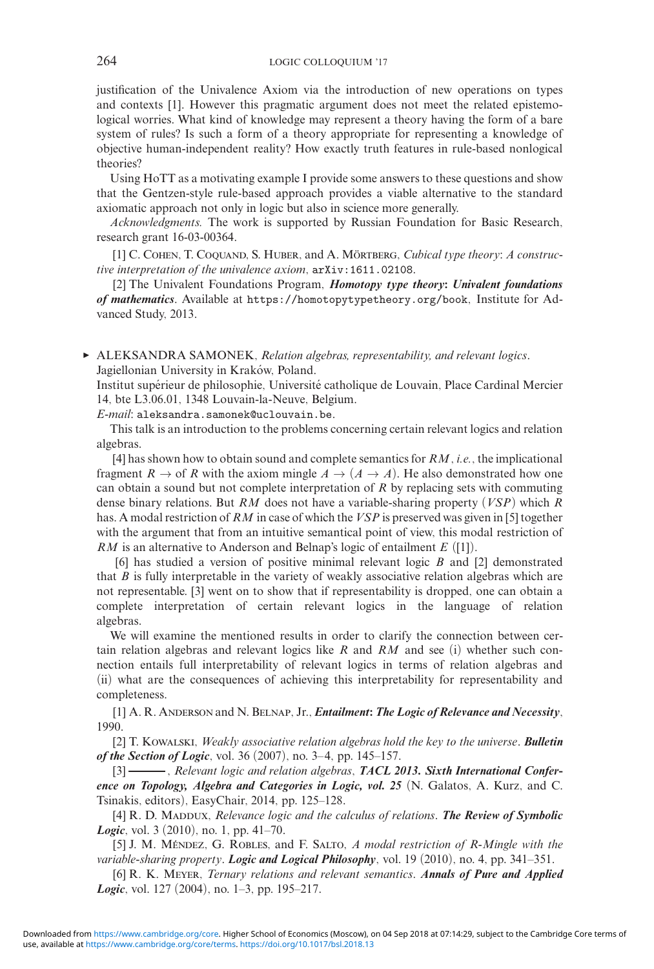justification of the Univalence Axiom via the introduction of new operations on types and contexts [1]. However this pragmatic argument does not meet the related epistemological worries. What kind of knowledge may represent a theory having the form of a bare system of rules? Is such a form of a theory appropriate for representing a knowledge of objective human-independent reality? How exactly truth features in rule-based nonlogical theories?

Using HoTT as a motivating example I provide some answers to these questions and show that the Gentzen-style rule-based approach provides a viable alternative to the standard axiomatic approach not only in logic but also in science more generally.

*Acknowledgments.* The work is supported by Russian Foundation for Basic Research, research grant 16-03-00364.

[1] C. COHEN, T. COQUAND, S. HUBER, and A. MÖRTBERG, *Cubical type theory: A constructive interpretation of the univalence axiom*, arXiv:1611.02108.

[2] The Univalent Foundations Program, *Homotopy type theory***:** *Univalent foundations of mathematics*. Available at https://homotopytypetheory.org/book, Institute for Advanced Study, 2013.

► ALEKSANDRA SAMONEK, *Relation algebras, representability, and relevant logics*. Jagiellonian University in Kraków, Poland.

Institut supérieur de philosophie, Université catholique de Louvain, Place Cardinal Mercier 14, bte L3.06.01, 1348 Louvain-la-Neuve, Belgium.

*E-mail*: aleksandra.samonek@uclouvain.be.

This talk is an introduction to the problems concerning certain relevant logics and relation algebras.

[4] has shown how to obtain sound and complete semantics for *RM*, *i.e.*, the implicational fragment  $R \to \text{of } R$  with the axiom mingle  $A \to (A \to A)$ . He also demonstrated how one can obtain a sound but not complete interpretation of *R* by replacing sets with commuting dense binary relations. But *RM* does not have a variable-sharing property (*VSP*) which *R* has. A modal restriction of *RM* in case of which the *VSP* is preserved was given in [5] together with the argument that from an intuitive semantical point of view, this modal restriction of *RM* is an alternative to Anderson and Belnap's logic of entailment *E* ([1]).

[6] has studied a version of positive minimal relevant logic *B* and [2] demonstrated that *B* is fully interpretable in the variety of weakly associative relation algebras which are not representable. [3] went on to show that if representability is dropped, one can obtain a complete interpretation of certain relevant logics in the language of relation algebras.

We will examine the mentioned results in order to clarify the connection between certain relation algebras and relevant logics like *R* and *RM* and see (i) whether such connection entails full interpretability of relevant logics in terms of relation algebras and (ii) what are the consequences of achieving this interpretability for representability and completeness.

[1] A. R. Anderson and N. Belnap, Jr., *Entailment***:** *The Logic of Relevance and Necessity*, 1990.

[2] T. Kowalski, *Weakly associative relation algebras hold the key to the universe*. *Bulletin of the Section of Logic*, vol. 36 (2007), no. 3–4, pp. 145–157.

[3]  $\longrightarrow$ , *Relevant logic and relation algebras*, *TACL 2013. Sixth International Conference on Topology, Algebra and Categories in Logic, vol. 25* (N. Galatos, A. Kurz, and C. Tsinakis, editors), EasyChair, 2014, pp. 125–128.

[4] R. D. MADDUX, *Relevance logic and the calculus of relations*. *The Review of Symbolic Logic*, vol. 3 (2010), no. 1, pp. 41–70.

[5] J. M. Méndez, G. Robles, and F. Salto, *A modal restriction of R-Mingle with the variable-sharing property*. *Logic and Logical Philosophy*, vol. 19 (2010), no. 4, pp. 341–351.

[6] R. K. Meyer, *Ternary relations and relevant semantics*. *Annals of Pure and Applied Logic*, vol. 127 (2004), no. 1–3, pp. 195–217.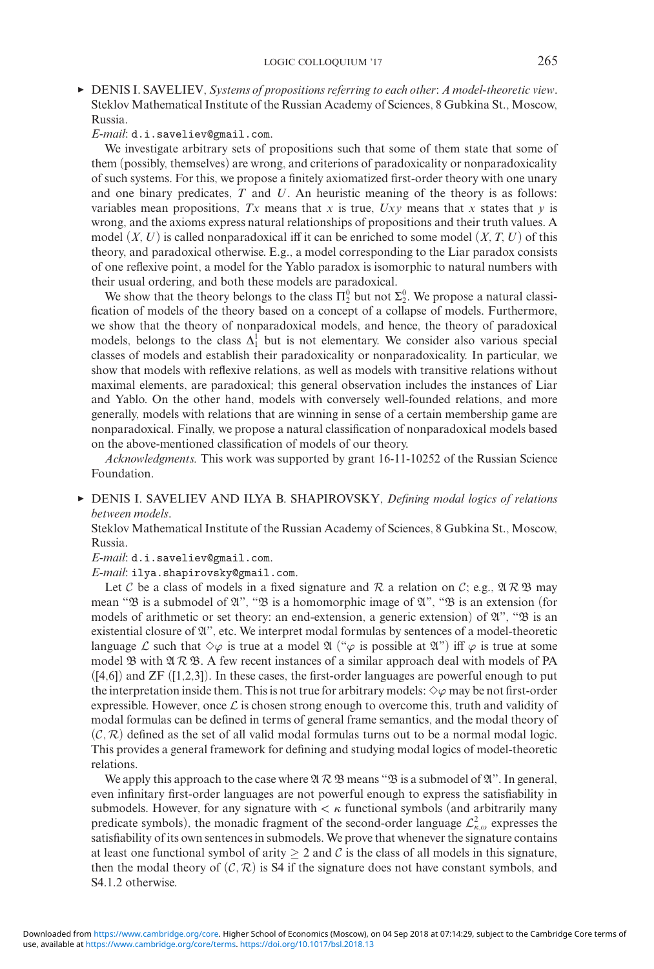- DENIS I. SAVELIEV, *Systems of propositions referring to each other*: *A model-theoretic view*. Steklov Mathematical Institute of the Russian Academy of Sciences, 8 Gubkina St., Moscow, Russia.

*E-mail*: d.i.saveliev@gmail.com.

We investigate arbitrary sets of propositions such that some of them state that some of them (possibly, themselves) are wrong, and criterions of paradoxicality or nonparadoxicality of such systems. For this, we propose a finitely axiomatized first-order theory with one unary and one binary predicates, *T* and *U*. An heuristic meaning of the theory is as follows: variables mean propositions,  $Tx$  means that  $x$  is true,  $Uxy$  means that  $x$  states that  $y$  is wrong, and the axioms express natural relationships of propositions and their truth values. A model  $(X, U)$  is called nonparadoxical iff it can be enriched to some model  $(X, T, U)$  of this theory, and paradoxical otherwise. E.g., a model corresponding to the Liar paradox consists of one reflexive point, a model for the Yablo paradox is isomorphic to natural numbers with their usual ordering, and both these models are paradoxical.

We show that the theory belongs to the class  $\Pi_2^0$  but not  $\Sigma_2^0$ . We propose a natural classification of models of the theory based on a concept of a collapse of models. Furthermore, we show that the theory of nonparadoxical models, and hence, the theory of paradoxical models, belongs to the class  $\Delta_1^1$  but is not elementary. We consider also various special classes of models and establish their paradoxicality or nonparadoxicality. In particular, we show that models with reflexive relations, as well as models with transitive relations without maximal elements, are paradoxical; this general observation includes the instances of Liar and Yablo. On the other hand, models with conversely well-founded relations, and more generally, models with relations that are winning in sense of a certain membership game are nonparadoxical. Finally, we propose a natural classification of nonparadoxical models based on the above-mentioned classification of models of our theory.

*Acknowledgments.* This work was supported by grant 16-11-10252 of the Russian Science Foundation.

- DENIS I. SAVELIEV AND ILYA B. SHAPIROVSKY, *Defining modal logics of relations between models*.

Steklov Mathematical Institute of the Russian Academy of Sciences, 8 Gubkina St., Moscow, Russia.

*E-mail*: d.i.saveliev@gmail.com.

*E-mail*: ilya.shapirovsky@gmail.com.

Let C be a class of models in a fixed signature and R a relation on C; e.g.,  $\mathfrak{A} \mathcal{R} \mathfrak{B}$  may mean " $\mathfrak B$  is a submodel of  $\mathfrak A$ ", " $\mathfrak B$  is a homomorphic image of  $\mathfrak A$ ", " $\mathfrak B$  is an extension (for models of arithmetic or set theory: an end-extension, a generic extension) of  $\mathfrak{A}$ ", " $\mathfrak{B}$  is an existential closure of  $\mathfrak{A}$ ", etc. We interpret modal formulas by sentences of a model-theoretic language L such that  $\diamond\varphi$  is true at a model  $\mathfrak A$  (" $\varphi$  is possible at  $\mathfrak A$ ") iff  $\varphi$  is true at some model  $\mathfrak B$  with  $\mathfrak A \mathcal R \mathfrak B$ . A few recent instances of a similar approach deal with models of PA  $([4,6])$  and ZF  $([1,2,3])$ . In these cases, the first-order languages are powerful enough to put the interpretation inside them. This is not true for arbitrary models:  $\diamond\varphi$  may be not first-order expressible. However, once  $\mathcal L$  is chosen strong enough to overcome this, truth and validity of modal formulas can be defined in terms of general frame semantics, and the modal theory of  $(C, \mathcal{R})$  defined as the set of all valid modal formulas turns out to be a normal modal logic. This provides a general framework for defining and studying modal logics of model-theoretic relations.

We apply this approach to the case where  $\mathfrak{A} \mathcal{R} \mathfrak{B}$  means " $\mathfrak{B}$  is a submodel of  $\mathfrak{A}$ ". In general, even infinitary first-order languages are not powerful enough to express the satisfiability in submodels. However, for any signature with  $\lt \kappa$  functional symbols (and arbitrarily many predicate symbols), the monadic fragment of the second-order language  $\mathcal{L}^2_{\kappa,\omega}$  expresses the satisfiability of its own sentences in submodels. We prove that whenever the signature contains at least one functional symbol of arity  $\geq 2$  and C is the class of all models in this signature, then the modal theory of  $(C, \mathcal{R})$  is S4 if the signature does not have constant symbols, and S4*.*1*.*2 otherwise.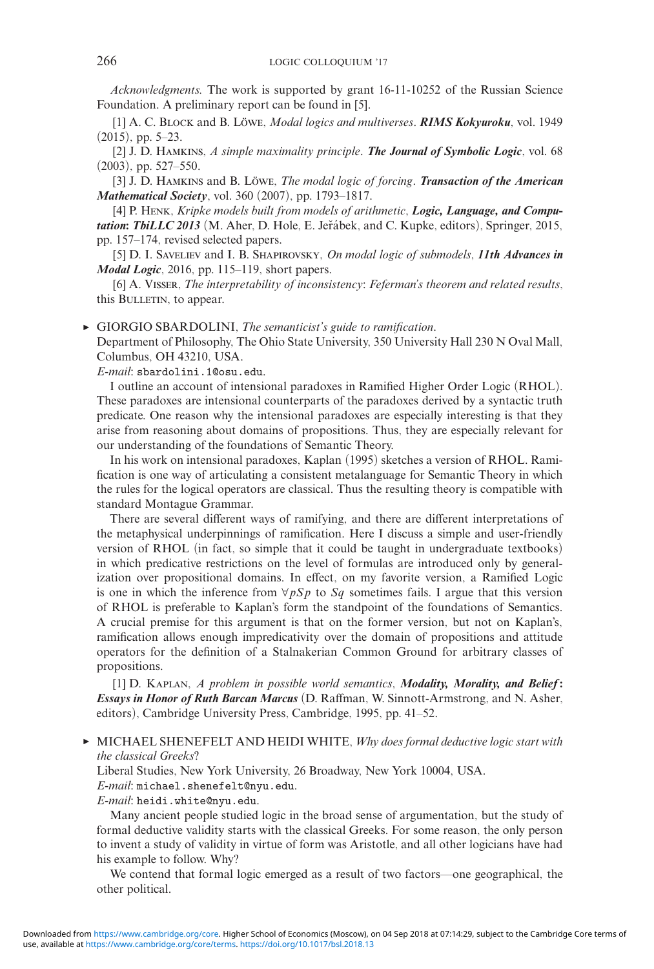*Acknowledgments.* The work is supported by grant 16-11-10252 of the Russian Science Foundation. A preliminary report can be found in [5].

[1] A. C. BLOCK and B. Löwe, *Modal logics and multiverses*. *RIMS Kokyuroku*, vol. 1949 (2015), pp. 5–23.

[2] J. D. Hamkins, *A simple maximality principle*. *The Journal of Symbolic Logic*, vol. 68 (2003), pp. 527–550.

[3] J. D. HAMKINS and B. Löwe. *The modal logic of forcing*. *Transaction of the American Mathematical Society*, vol. 360 (2007), pp. 1793–1817.

[4] P. Henk, *Kripke models built from models of arithmetic*, *Logic, Language, and Computation*: *TbiLLC 2013* (M. Aher, D. Hole, E. Jeřábek, and C. Kupke, editors), Springer, 2015, pp. 157–174, revised selected papers.

[5] D. I. Saveliev and I. B. Shapirovsky, *On modal logic of submodels*, *11th Advances in Modal Logic*, 2016, pp. 115–119, short papers.

[6] A. Visser, *The interpretability of inconsistency*: *Feferman's theorem and related results*, this BULLETIN, to appear.

- GIORGIO SBARDOLINI, *The semanticist's guide to ramification*.

Department of Philosophy, The Ohio State University, 350 University Hall 230 N Oval Mall, Columbus, OH 43210, USA.

*E-mail*: sbardolini.1@osu.edu.

I outline an account of intensional paradoxes in Ramified Higher Order Logic (RHOL). These paradoxes are intensional counterparts of the paradoxes derived by a syntactic truth predicate. One reason why the intensional paradoxes are especially interesting is that they arise from reasoning about domains of propositions. Thus, they are especially relevant for our understanding of the foundations of Semantic Theory.

In his work on intensional paradoxes, Kaplan (1995) sketches a version of RHOL. Ramification is one way of articulating a consistent metalanguage for Semantic Theory in which the rules for the logical operators are classical. Thus the resulting theory is compatible with standard Montague Grammar.

There are several different ways of ramifying, and there are different interpretations of the metaphysical underpinnings of ramification. Here I discuss a simple and user-friendly version of RHOL (in fact, so simple that it could be taught in undergraduate textbooks) in which predicative restrictions on the level of formulas are introduced only by generalization over propositional domains. In effect, on my favorite version, a Ramified Logic is one in which the inference from ∀*pSp* to *Sq* sometimes fails. I argue that this version of RHOL is preferable to Kaplan's form the standpoint of the foundations of Semantics. A crucial premise for this argument is that on the former version, but not on Kaplan's, ramification allows enough impredicativity over the domain of propositions and attitude operators for the definition of a Stalnakerian Common Ground for arbitrary classes of propositions.

[1] D. Kaplan, *A problem in possible world semantics*, *Modality, Morality, and Belief* **:** *Essays in Honor of Ruth Barcan Marcus* (D. Raffman, W. Sinnott-Armstrong, and N. Asher, editors), Cambridge University Press, Cambridge, 1995, pp. 41–52.

- MICHAEL SHENEFELT AND HEIDI WHITE, *Why does formal deductive logic start with the classical Greeks*?

Liberal Studies, New York University, 26 Broadway, New York 10004, USA.

*E-mail*: michael.shenefelt@nyu.edu.

*E-mail*: heidi.white@nyu.edu.

Many ancient people studied logic in the broad sense of argumentation, but the study of formal deductive validity starts with the classical Greeks. For some reason, the only person to invent a study of validity in virtue of form was Aristotle, and all other logicians have had his example to follow. Why?

We contend that formal logic emerged as a result of two factors—one geographical, the other political.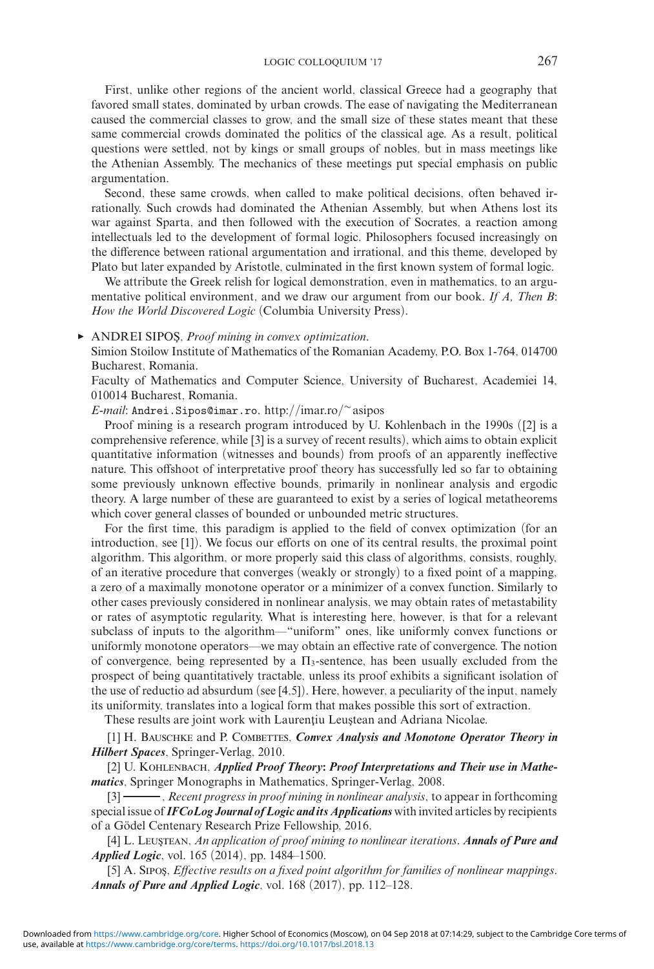LOGIC COLLOQUIUM '17 267

First, unlike other regions of the ancient world, classical Greece had a geography that favored small states, dominated by urban crowds. The ease of navigating the Mediterranean caused the commercial classes to grow, and the small size of these states meant that these same commercial crowds dominated the politics of the classical age. As a result, political questions were settled, not by kings or small groups of nobles, but in mass meetings like the Athenian Assembly. The mechanics of these meetings put special emphasis on public argumentation.

Second, these same crowds, when called to make political decisions, often behaved irrationally. Such crowds had dominated the Athenian Assembly, but when Athens lost its war against Sparta, and then followed with the execution of Socrates, a reaction among intellectuals led to the development of formal logic. Philosophers focused increasingly on the difference between rational argumentation and irrational, and this theme, developed by Plato but later expanded by Aristotle, culminated in the first known system of formal logic.

We attribute the Greek relish for logical demonstration, even in mathematics, to an argumentative political environment, and we draw our argument from our book. *If A, Then B*: *How the World Discovered Logic* (Columbia University Press).

- ANDREI SIPOS¸, *Proof mining in convex optimization*.

Simion Stoilow Institute of Mathematics of the Romanian Academy, P.O. Box 1-764, 014700 Bucharest, Romania.

Faculty of Mathematics and Computer Science, University of Bucharest, Academiei 14, 010014 Bucharest, Romania.

*E-mail*: Andrei.Sipos@imar.ro. http://imar.ro/<sup>∼</sup>asipos

Proof mining is a research program introduced by U. Kohlenbach in the 1990s ([2] is a comprehensive reference, while [3] is a survey of recent results), which aims to obtain explicit quantitative information (witnesses and bounds) from proofs of an apparently ineffective nature. This offshoot of interpretative proof theory has successfully led so far to obtaining some previously unknown effective bounds, primarily in nonlinear analysis and ergodic theory. A large number of these are guaranteed to exist by a series of logical metatheorems which cover general classes of bounded or unbounded metric structures.

For the first time, this paradigm is applied to the field of convex optimization (for an introduction, see [1]). We focus our efforts on one of its central results, the proximal point algorithm. This algorithm, or more properly said this class of algorithms, consists, roughly, of an iterative procedure that converges (weakly or strongly) to a fixed point of a mapping, a zero of a maximally monotone operator or a minimizer of a convex function. Similarly to other cases previously considered in nonlinear analysis, we may obtain rates of metastability or rates of asymptotic regularity. What is interesting here, however, is that for a relevant subclass of inputs to the algorithm—"uniform" ones, like uniformly convex functions or uniformly monotone operators—we may obtain an effective rate of convergence. The notion of convergence, being represented by a  $\Pi_3$ -sentence, has been usually excluded from the prospect of being quantitatively tractable, unless its proof exhibits a significant isolation of the use of reductio ad absurdum (see [4,5]). Here, however, a peculiarity of the input, namely its uniformity, translates into a logical form that makes possible this sort of extraction.

These results are joint work with Laurențiu Leuștean and Adriana Nicolae.

[1] H. Bauschke and P. Combettes, *Convex Analysis and Monotone Operator Theory in Hilbert Spaces*, Springer-Verlag, 2010.

[2] U. Kohlenbach, *Applied Proof Theory***:** *Proof Interpretations and Their use in Mathematics*, Springer Monographs in Mathematics, Springer-Verlag, 2008.

[3] , *Recent progress in proof mining in nonlinear analysis*, to appear in forthcoming special issue of*IFCoLog Journal of Logic and its Applications* with invited articles by recipients of a Gödel Centenary Research Prize Fellowship, 2016.

[4] L. Leusxen, An application of proof mining to nonlinear iterations. **Annals of Pure and** *Applied Logic*, vol. 165 (2014), pp. 1484–1500.

[5] A. Sipos¸, *Effective results on a fixed point algorithm for families of nonlinear mappings*. *Annals of Pure and Applied Logic*, vol. 168 (2017), pp. 112–128.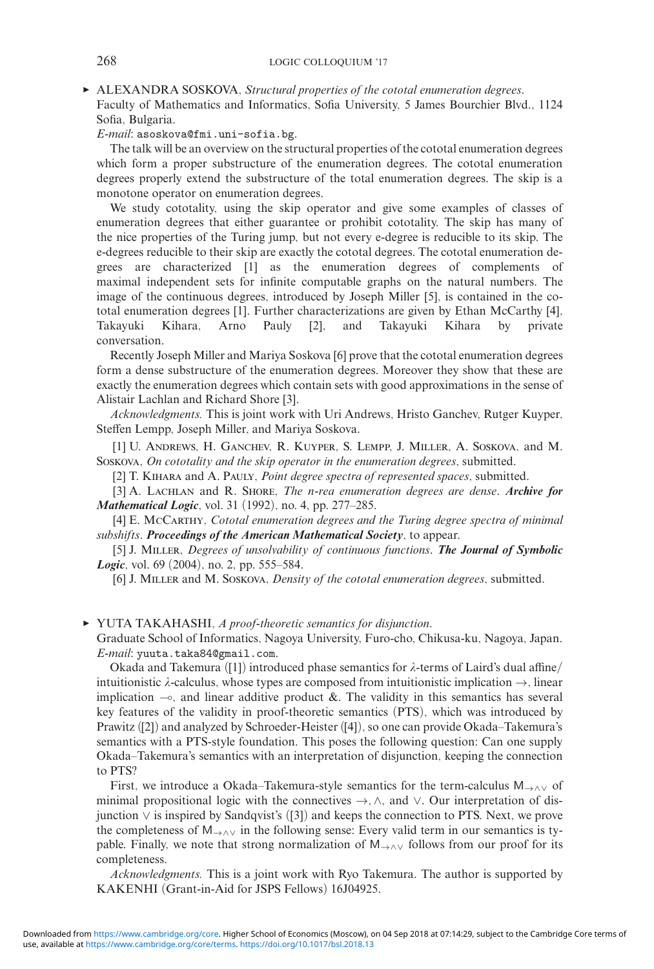- ALEXANDRA SOSKOVA, *Structural properties of the cototal enumeration degrees*.

Faculty of Mathematics and Informatics, Sofia University, 5 James Bourchier Blvd., 1124 Sofia, Bulgaria.

*E-mail*: asoskova@fmi.uni-sofia.bg.

The talk will be an overview on the structural properties of the cototal enumeration degrees which form a proper substructure of the enumeration degrees. The cototal enumeration degrees properly extend the substructure of the total enumeration degrees. The skip is a monotone operator on enumeration degrees.

We study cototality, using the skip operator and give some examples of classes of enumeration degrees that either guarantee or prohibit cototality. The skip has many of the nice properties of the Turing jump, but not every e-degree is reducible to its skip. The e-degrees reducible to their skip are exactly the cototal degrees. The cototal enumeration degrees are characterized [1] as the enumeration degrees of complements of maximal independent sets for infinite computable graphs on the natural numbers. The image of the continuous degrees, introduced by Joseph Miller [5], is contained in the cototal enumeration degrees [1]. Further characterizations are given by Ethan McCarthy [4], Takayuki Kihara, Arno Pauly [2], and Takayuki Kihara by private conversation.

Recently Joseph Miller and Mariya Soskova [6] prove that the cototal enumeration degrees form a dense substructure of the enumeration degrees. Moreover they show that these are exactly the enumeration degrees which contain sets with good approximations in the sense of Alistair Lachlan and Richard Shore [3].

*Acknowledgments.* This is joint work with Uri Andrews, Hristo Ganchev, Rutger Kuyper, Steffen Lempp, Joseph Miller, and Mariya Soskova.

[1] U. ANDREWS, H. GANCHEV, R. KUYPER, S. LEMPP, J. MILLER, A. SOSKOVA, and M. Soskova, *On cototality and the skip operator in the enumeration degrees*, submitted.

[2] T. Kihara and A. Pauly, *Point degree spectra of represented spaces*, submitted.

[3] A. Lachlan and R. Shore, *The n-rea enumeration degrees are dense*. *Archive for Mathematical Logic*, vol. 31 (1992), no. 4, pp. 277–285.

[4] E. McCarthy, *Cototal enumeration degrees and the Turing degree spectra of minimal subshifts*. *Proceedings of the American Mathematical Society*, to appear.

[5] J. Miller, *Degrees of unsolvability of continuous functions*. *The Journal of Symbolic Logic*, vol. 69 (2004), no. 2, pp. 555–584.

[6] J. Miller and M. Soskova, *Density of the cototal enumeration degrees*, submitted.

#### - YUTA TAKAHASHI, *A proof-theoretic semantics for disjunction*.

Graduate School of Informatics, Nagoya University, Furo-cho, Chikusa-ku, Nagoya, Japan. *E-mail*: yuuta.taka84@gmail.com.

Okada and Takemura ([1]) introduced phase semantics for  $\lambda$ -terms of Laird's dual affine/ intuitionistic  $\lambda$ -calculus, whose types are composed from intuitionistic implication  $\rightarrow$ , linear implication  $\sim$ , and linear additive product &. The validity in this semantics has several key features of the validity in proof-theoretic semantics (PTS), which was introduced by Prawitz ([2]) and analyzed by Schroeder-Heister ([4]), so one can provide Okada–Takemura's semantics with a PTS-style foundation. This poses the following question: Can one supply Okada–Takemura's semantics with an interpretation of disjunction, keeping the connection to PTS?

First, we introduce a Okada–Takemura-style semantics for the term-calculus  $M_{\rightarrow\wedge\vee}$  of minimal propositional logic with the connectives →*,*∧, and ∨. Our interpretation of disjunction ∨ is inspired by Sandqvist's ([3]) and keeps the connection to PTS. Next, we prove the completeness of M→∧∨ in the following sense: Every valid term in our semantics is typable. Finally, we note that strong normalization of M→∧∨ follows from our proof for its completeness.

*Acknowledgments.* This is a joint work with Ryo Takemura. The author is supported by KAKENHI (Grant-in-Aid for JSPS Fellows) 16J04925.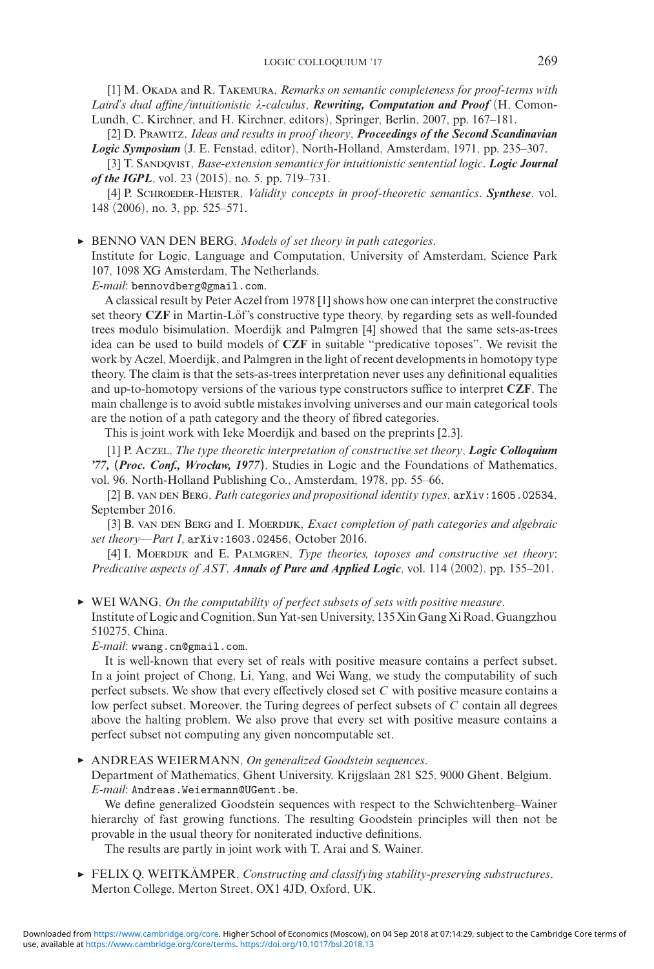[1] M. Okada and R. Takemura, *Remarks on semantic completeness for proof-terms with Laird's dual affine/intuitionistic -calculus*, *Rewriting, Computation and Proof* (H. Comon-Lundh, C. Kirchner, and H. Kirchner, editors), Springer, Berlin, 2007, pp. 167–181.

[2] D. Prawitz, *Ideas and results in proof theory*, *Proceedings of the Second Scandinavian Logic Symposium* (J. E. Fenstad, editor), North-Holland, Amsterdam, 1971, pp. 235–307.

[3] T. SANDQVIST, *Base-extension semantics for intuitionistic sentential logic*. *Logic Journal of the IGPL*, vol. 23 (2015), no. 5, pp. 719–731.

[4] P. Schroeder-Heister, *Validity concepts in proof-theoretic semantics*. *Synthese*, vol. 148 (2006), no. 3, pp. 525–571.

- BENNO VAN DEN BERG, *Models of set theory in path categories*.

Institute for Logic, Language and Computation, University of Amsterdam, Science Park 107, 1098 XG Amsterdam, The Netherlands.

*E-mail*: bennovdberg@gmail.com.

A classical result by Peter Aczel from 1978 [1] shows how one can interpret the constructive set theory **CZF** in Martin-Löf's constructive type theory, by regarding sets as well-founded trees modulo bisimulation. Moerdijk and Palmgren [4] showed that the same sets-as-trees idea can be used to build models of **CZF** in suitable "predicative toposes". We revisit the work by Aczel, Moerdijk, and Palmgren in the light of recent developments in homotopy type theory. The claim is that the sets-as-trees interpretation never uses any definitional equalities and up-to-homotopy versions of the various type constructors suffice to interpret **CZF**. The main challenge is to avoid subtle mistakes involving universes and our main categorical tools are the notion of a path category and the theory of fibred categories.

This is joint work with Ieke Moerdijk and based on the preprints [2,3].

[1] P. Aczel, *The type theoretic interpretation of constructive set theory*, *Logic Colloquium '77,* **(***Proc. Conf., Wrocław, 1977***)**, Studies in Logic and the Foundations of Mathematics, vol. 96, North-Holland Publishing Co., Amsterdam, 1978, pp. 55–66.

[2] B. van den Berg, *Path categories and propositional identity types*, arXiv:1605.02534, September 2016.

[3] B. van den Berg and I. Moerdijk, *Exact completion of path categories and algebraic set theory—Part I*, arXiv:1603.02456, October 2016.

[4] I. MOERDIJK and E. PALMGREN, *Type theories, toposes and constructive set theory*: *Predicative aspects of AST*. *Annals of Pure and Applied Logic*, vol. 114 (2002), pp. 155–201.

- WEI WANG, *On the computability of perfect subsets of sets with positive measure*. Institute of Logic and Cognition, Sun Yat-sen University, 135 Xin Gang Xi Road, Guangzhou 510275, China.

*E-mail*: wwang.cn@gmail.com.

It is well-known that every set of reals with positive measure contains a perfect subset. In a joint project of Chong, Li, Yang, and Wei Wang, we study the computability of such perfect subsets. We show that every effectively closed set *C* with positive measure contains a low perfect subset. Moreover, the Turing degrees of perfect subsets of *C* contain all degrees above the halting problem. We also prove that every set with positive measure contains a perfect subset not computing any given noncomputable set.

#### - ANDREAS WEIERMANN, *On generalized Goodstein sequences*.

Department of Mathematics, Ghent University, Krijgslaan 281 S25, 9000 Ghent, Belgium. *E-mail*: Andreas.Weiermann@UGent.be.

We define generalized Goodstein sequences with respect to the Schwichtenberg–Wainer hierarchy of fast growing functions. The resulting Goodstein principles will then not be provable in the usual theory for noniterated inductive definitions.

The results are partly in joint work with T. Arai and S. Wainer.

► FELIX Q. WEITKÄMPER, *Constructing and classifying stability-preserving substructures*. Merton College, Merton Street, OX1 4JD, Oxford, UK.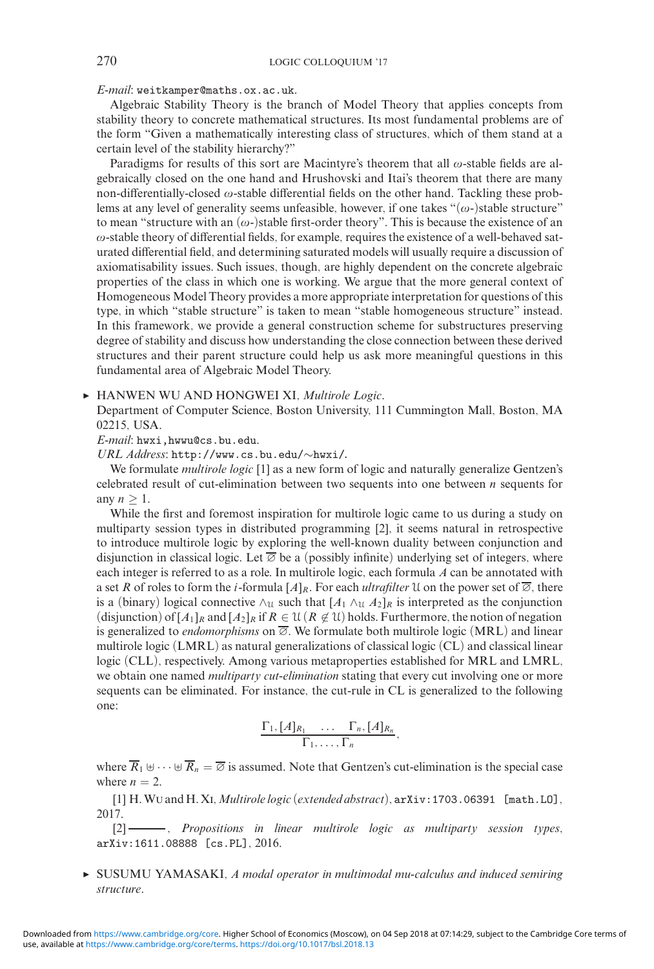*E-mail*: weitkamper@maths.ox.ac.uk.

Algebraic Stability Theory is the branch of Model Theory that applies concepts from stability theory to concrete mathematical structures. Its most fundamental problems are of the form "Given a mathematically interesting class of structures, which of them stand at a certain level of the stability hierarchy?"

Paradigms for results of this sort are Macintyre's theorem that all  $\omega$ -stable fields are algebraically closed on the one hand and Hrushovski and Itai's theorem that there are many non-differentially-closed  $\omega$ -stable differential fields on the other hand. Tackling these problems at any level of generality seems unfeasible, however, if one takes "( $\omega$ -)stable structure" to mean "structure with an  $(\omega)$ -stable first-order theory". This is because the existence of an  $\omega$ -stable theory of differential fields, for example, requires the existence of a well-behaved saturated differential field, and determining saturated models will usually require a discussion of axiomatisability issues. Such issues, though, are highly dependent on the concrete algebraic properties of the class in which one is working. We argue that the more general context of Homogeneous Model Theory provides a more appropriate interpretation for questions of this type, in which "stable structure" is taken to mean "stable homogeneous structure" instead. In this framework, we provide a general construction scheme for substructures preserving degree of stability and discuss how understanding the close connection between these derived structures and their parent structure could help us ask more meaningful questions in this fundamental area of Algebraic Model Theory.

#### - HANWEN WU AND HONGWEI XI, *Multirole Logic*.

Department of Computer Science, Boston University, 111 Cummington Mall, Boston, MA 02215, USA.

*E-mail*: hwxi,hwwu@cs.bu.edu.

*URL Address*: http://www.cs.bu.edu/∼hwxi/.

We formulate *multirole logic* [1] as a new form of logic and naturally generalize Gentzen's celebrated result of cut-elimination between two sequents into one between *n* sequents for any  $n > 1$ .

While the first and foremost inspiration for multirole logic came to us during a study on multiparty session types in distributed programming [2], it seems natural in retrospective to introduce multirole logic by exploring the well-known duality between conjunction and disjunction in classical logic. Let  $\overline{\emptyset}$  be a (possibly infinite) underlying set of integers, where each integer is referred to as a role. In multirole logic, each formula *A* can be annotated with a set *R* of roles to form the *i*-formula  $[A]_R$ . For each *ultrafilter* U on the power set of  $\overline{\emptyset}$ , there is a (binary) logical connective  $\wedge_u$  such that  $[A_1 \wedge_u A_2]_R$  is interpreted as the conjunction (disjunction) of  $[A_1]_R$  and  $[A_2]_R$  if  $R \in \mathcal{U} (R \notin \mathcal{U})$  holds. Furthermore, the notion of negation is generalized to *endomorphisms* on ∅. We formulate both multirole logic (MRL) and linear multirole logic (LMRL) as natural generalizations of classical logic (CL) and classical linear logic (CLL), respectively. Among various metaproperties established for MRL and LMRL, we obtain one named *multiparty cut-elimination* stating that every cut involving one or more sequents can be eliminated. For instance, the cut-rule in CL is generalized to the following one:

$$
\frac{\Gamma_1,\left[A\right]_{R_1}\cdots\Gamma_n,\left[A\right]_{R_n}}{\Gamma_1,\ldots,\Gamma_n},
$$

where  $\overline{R}_1 \oplus \cdots \oplus \overline{R}_n = \overline{\emptyset}$  is assumed. Note that Gentzen's cut-elimination is the special case where  $n = 2$ .

[1] H.Wuand H. Xi,*Multirole logic* (*extended abstract*), arXiv:1703.06391 [math.LO], 2017.

[2] , *Propositions in linear multirole logic as multiparty session types*, arXiv:1611.08888 [cs.PL], 2016.

► SUSUMU YAMASAKI, *A modal operator in multimodal mu-calculus and induced semiring structure*.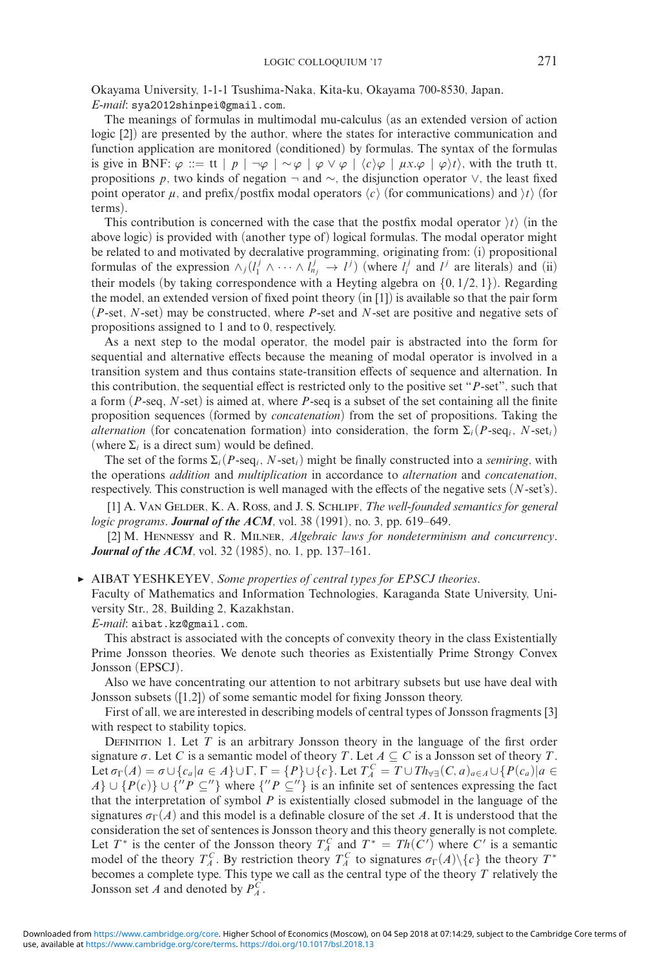Okayama University, 1-1-1 Tsushima-Naka, Kita-ku, Okayama 700-8530, Japan. *E-mail*: sya2012shinpei@gmail.com.

The meanings of formulas in multimodal mu-calculus (as an extended version of action logic [2]) are presented by the author, where the states for interactive communication and function application are monitored (conditioned) by formulas. The syntax of the formulas is give in BNF:  $\varphi$  ::= tt |  $p \mid \neg \varphi \mid \neg \varphi \mid \varphi \vee \varphi \mid \langle c \rangle \varphi \mid \mu x. \varphi \mid \varphi \rangle t$ , with the truth tt, propositions *p*, two kinds of negation ¬ and ∼, the disjunction operator ∨, the least fixed point operator  $\mu$ , and prefix/postfix modal operators  $\langle c \rangle$  (for communications) and  $\rangle t$ ) (for terms).

This contribution is concerned with the case that the postfix modal operator  $\langle t \rangle$  (in the above logic) is provided with (another type of) logical formulas. The modal operator might be related to and motivated by decralative programming, originating from: (i) propositional formulas of the expression  $\wedge_j (l_1^j \wedge \cdots \wedge l_{n_j}^j \rightarrow l^j)$  (where  $l_i^j$  and  $l^j$  are literals) and (ii) their models (by taking correspondence with a Heyting algebra on {0*,* 1*/*2*,* 1}). Regarding the model, an extended version of fixed point theory (in [1]) is available so that the pair form (*P*-set, *N*-set) may be constructed, where *P*-set and *N*-set are positive and negative sets of propositions assigned to 1 and to 0, respectively.

As a next step to the modal operator, the model pair is abstracted into the form for sequential and alternative effects because the meaning of modal operator is involved in a transition system and thus contains state-transition effects of sequence and alternation. In this contribution, the sequential effect is restricted only to the positive set "*P*-set", such that a form (*P*-seq, *N*-set) is aimed at, where *P*-seq is a subset of the set containing all the finite proposition sequences (formed by *concatenation*) from the set of propositions. Taking the *alternation* (for concatenation formation) into consideration, the form  $\Sigma_i(P\text{-}\text{seq}_i, N\text{-}\text{set}_i)$ (where  $\Sigma_i$  is a direct sum) would be defined.

The set of the forms  $\Sigma_i(P\text{-}\text{seq}_i, N\text{-}\text{set}_i)$  might be finally constructed into a *semiring*, with the operations *addition* and *multiplication* in accordance to *alternation* and *concatenation*, respectively. This construction is well managed with the effects of the negative sets (*N*-set's).

[1] A. VAN GELDER, K. A. Ross, and J. S. SCHLIPF, *The well-founded semantics for general logic programs*. *Journal of the ACM*, vol. 38 (1991), no. 3, pp. 619–649.

[2] M. Hennessy and R. Milner, *Algebraic laws for nondeterminism and concurrency*. *Journal of the ACM*, vol. 32 (1985), no. 1, pp. 137-161.

#### - AIBAT YESHKEYEV, *Some properties of central types for EPSCJ theories*.

Faculty of Mathematics and Information Technologies, Karaganda State University, University Str., 28, Building 2, Kazakhstan.

*E-mail*: aibat.kz@gmail.com.

This abstract is associated with the concepts of convexity theory in the class Existentially Prime Jonsson theories. We denote such theories as Existentially Prime Strongy Convex Jonsson (EPSCJ).

Also we have concentrating our attention to not arbitrary subsets but use have deal with Jonsson subsets ([1,2]) of some semantic model for fixing Jonsson theory.

First of all, we are interested in describing models of central types of Jonsson fragments [3] with respect to stability topics.

DEFINITION 1. Let  $T$  is an arbitrary Jonsson theory in the language of the first order signature  $\sigma$ . Let *C* is a semantic model of theory *T*. Let  $A \subseteq C$  is a Jonsson set of theory *T*. Let  $\sigma_{\Gamma}(A) = \sigma \cup \{c_a | a \in A\} \cup \Gamma$ ,  $\Gamma = \{P\} \cup \{c\}$ . Let  $T_A^C = T \cup Th_{\forall \exists} (C, a)_{a \in A} \cup \{P(c_a) | a \in A\}$ *A*}∪ { $P(c)$ }∪ { $P'P \subseteq P'$ } where { $P'P \subseteq P'$ } is an infinite set of sentences expressing the fact that the interpretation of symbol *P* is existentially closed submodel in the language of the signatures  $\sigma_{\Gamma}(A)$  and this model is a definable closure of the set A. It is understood that the consideration the set of sentences is Jonsson theory and this theory generally is not complete. Let  $T^*$  is the center of the Jonsson theory  $T_A^C$  and  $T^* = Th(C')$  where  $C'$  is a semantic model of the theory  $T_A^C$ . By restriction theory  $T_A^C$  to signatures  $\sigma_{\Gamma}(A) \setminus \{c\}$  the theory  $T^*$ becomes a complete type. This type we call as the central type of the theory *T* relatively the Jonsson set *A* and denoted by  $P_A^C$ .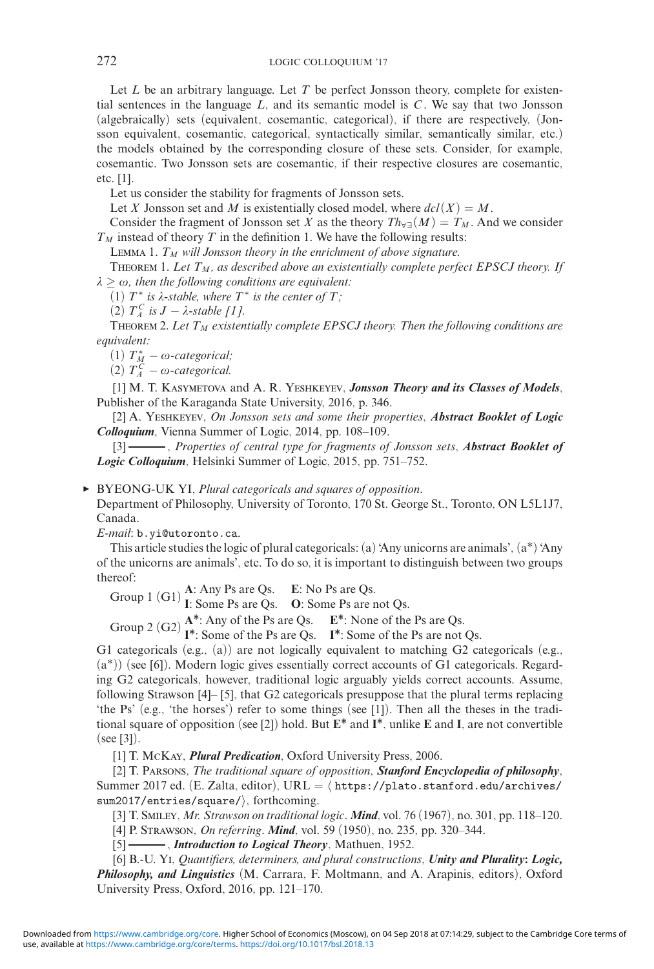Let *L* be an arbitrary language. Let *T* be perfect Jonsson theory, complete for existential sentences in the language *L*, and its semantic model is *C* . We say that two Jonsson (algebraically) sets (equivalent, cosemantic, categorical), if there are respectively, (Jonsson equivalent, cosemantic, categorical, syntactically similar, semantically similar, etc.) the models obtained by the corresponding closure of these sets. Consider, for example, cosemantic. Two Jonsson sets are cosemantic, if their respective closures are cosemantic, etc. [1].

Let us consider the stability for fragments of Jonsson sets.

Let *X* Jonsson set and *M* is existentially closed model, where  $dcl(X) = M$ .

Consider the fragment of Jonsson set *X* as the theory  $Th_{\forall\exists}(M) = T_M$ . And we consider  $T_M$  instead of theory  $T$  in the definition 1. We have the following results:

Lemma 1. *TM will Jonsson theory in the enrichment of above signature.*

Theorem 1. *Let TM , as described above an existentially complete perfect EPSCJ theory. If*  $\lambda \geq \omega$ , then the following conditions are equivalent:

(1)  $T^*$  *is*  $\lambda$ -stable, where  $T^*$  *is the center of*  $T$ *;* 

(2)  $T_A^C$  *is*  $J - \lambda$ -stable [1].

THEOREM 2. Let  $T_M$  existentially complete EPSCJ theory. Then the following conditions are *equivalent:*

(1)  $T_M^* - \omega$ -categorical;

(2)  $T_A^C - \omega$ -categorical.

[1] M. T. Kasymetova and A. R. Yeshkeyev, *Jonsson Theory and its Classes of Models*, Publisher of the Karaganda State University, 2016, p. 346.

[2] A. Yeshkeyev, *On Jonsson sets and some their properties*, *Abstract Booklet of Logic Colloquium*, Vienna Summer of Logic, 2014, pp. 108–109.

[3] , *Properties of central type for fragments of Jonsson sets*, *Abstract Booklet of Logic Colloquium*, Helsinki Summer of Logic, 2015, pp. 751–752.

- BYEONG-UK YI, *Plural categoricals and squares of opposition*.

Department of Philosophy, University of Toronto, 170 St. George St., Toronto, ON L5L1J7, Canada.

*E-mail*: b.yi@utoronto.ca.

This article studies the logic of plural categoricals: (a) 'Any unicorns are animals',  $(a^*)$ 'Any of the unicorns are animals', etc. To do so, it is important to distinguish between two groups thereof:

Group 1 (G1) **<sup>A</sup>**: Any Ps are Qs. **<sup>E</sup>**: No Ps are Qs. **I**: Some Ps are Qs. **O**: Some Ps are not Qs.

Group 2 (G2) **A\***: Any of the Ps are Qs. **E\***: None of the Ps are Qs. **I\***: Some of the Ps are Qs. **I\***: Some of the Ps are not Qs.

G1 categoricals (e.g., (a)) are not logically equivalent to matching G2 categoricals (e.g.,  $(a^*)$ ) (see [6]). Modern logic gives essentially correct accounts of G1 categoricals. Regarding G2 categoricals, however, traditional logic arguably yields correct accounts. Assume, following Strawson [4]– [5], that G2 categoricals presuppose that the plural terms replacing 'the Ps' (e.g., 'the horses') refer to some things (see [1]). Then all the theses in the traditional square of opposition (see [2]) hold. But **E\*** and **I\***, unlike **E** and **I**, are not convertible  $(see [3]).$ 

[1] T. McKay, *Plural Predication*, Oxford University Press, 2006.

[2] T. Parsons, *The traditional square of opposition*, *Stanford Encyclopedia of philosophy*, Summer 2017 ed. (E. Zalta, editor),  $URL = \langle \text{https://plate.stanford.edu/archives/}$ sum2017/entries/square/), forthcoming.

[3] T. Smiley, *Mr. Strawson on traditional logic*. *Mind*, vol. 76 (1967), no. 301, pp. 118–120.

[4] P. Strawson, *On referring*. *Mind*, vol. 59 (1950), no. 235, pp. 320–344.

[5] **-** *Introduction to Logical Theory*, Mathuen, 1952.

[6] B.-U. Yi, *Quantifiers, determiners, and plural constructions*, *Unity and Plurality***:** *Logic, Philosophy, and Linguistics* (M. Carrara, F. Moltmann, and A. Arapinis, editors), Oxford University Press, Oxford, 2016, pp. 121–170.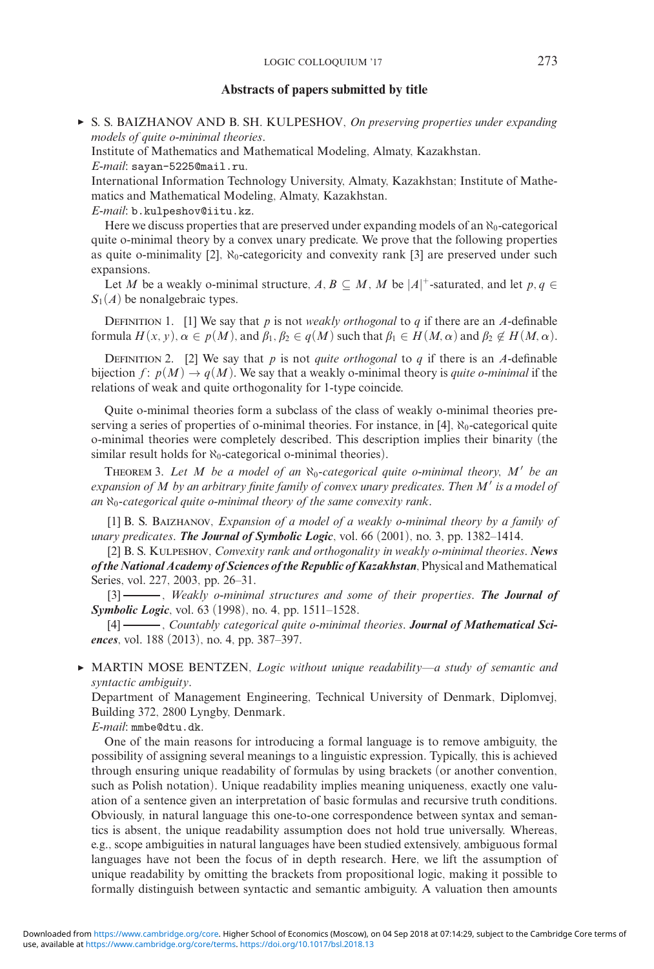### **Abstracts of papers submitted by title**

### ► S. S. BAIZHANOV AND B. SH. KULPESHOV, *On preserving properties under expanding models of quite o-minimal theories*.

Institute of Mathematics and Mathematical Modeling, Almaty, Kazakhstan.

*E-mail*: sayan-5225@mail.ru.

International Information Technology University, Almaty, Kazakhstan; Institute of Mathematics and Mathematical Modeling, Almaty, Kazakhstan.

*E-mail*: b.kulpeshov@iitu.kz.

Here we discuss properties that are preserved under expanding models of an  $\aleph_0$ -categorical quite o-minimal theory by a convex unary predicate. We prove that the following properties as quite o-minimality [2],  $\aleph_0$ -categoricity and convexity rank [3] are preserved under such expansions.

Let *M* be a weakly o-minimal structure, *A*,  $B \subseteq M$ , *M* be  $|A|$ <sup>+</sup>-saturated, and let  $p, q \in$  $S_1(A)$  be nonalgebraic types.

DEFINITION 1. [1] We say that  $p$  is not *weakly orthogonal* to  $q$  if there are an  $A$ -definable formula  $H(x, y)$ ,  $\alpha \in p(M)$ , and  $\beta_1, \beta_2 \in q(M)$  such that  $\beta_1 \in H(M, \alpha)$  and  $\beta_2 \notin H(M, \alpha)$ .

DEFINITION 2. [2] We say that *p* is not *quite orthogonal* to *q* if there is an *A*-definable bijection  $f: p(M) \to q(M)$ . We say that a weakly o-minimal theory is *quite o-minimal* if the relations of weak and quite orthogonality for 1-type coincide.

Quite o-minimal theories form a subclass of the class of weakly o-minimal theories preserving a series of properties of o-minimal theories. For instance, in [4],  $\aleph_0$ -categorical quite o-minimal theories were completely described. This description implies their binarity (the similar result holds for  $\aleph_0$ -categorical o-minimal theories).

Theorem 3. *Let M be a model of an* ℵ0*-categorical quite o-minimal theory, M be an expansion of M by an arbitrary finite family of convex unary predicates. Then M is a model of an* ℵ0*-categorical quite o-minimal theory of the same convexity rank.*

[1] B. S. Baizhanov, *Expansion of a model of a weakly o-minimal theory by a family of unary predicates*. *The Journal of Symbolic Logic*, vol. 66 (2001), no. 3, pp. 1382–1414.

[2] B. S. Kulpeshov, *Convexity rank and orthogonality in weakly o-minimal theories*. *News* of the National Academy of Sciences of the Republic of Kazakhstan, Physical and Mathematical Series, vol. 227, 2003, pp. 26–31.

[3] , *Weakly o-minimal structures and some of their properties*. *The Journal of Symbolic Logic*, vol. 63 (1998), no. 4, pp. 1511–1528.

[4] , *Countably categorical quite o-minimal theories*. *Journal of Mathematical Sciences*, vol. 188 (2013), no. 4, pp. 387–397.

- MARTIN MOSE BENTZEN, *Logic without unique readability—a study of semantic and syntactic ambiguity*.

Department of Management Engineering, Technical University of Denmark, Diplomvej, Building 372, 2800 Lyngby, Denmark.

*E-mail*: mmbe@dtu.dk.

One of the main reasons for introducing a formal language is to remove ambiguity, the possibility of assigning several meanings to a linguistic expression. Typically, this is achieved through ensuring unique readability of formulas by using brackets (or another convention, such as Polish notation). Unique readability implies meaning uniqueness, exactly one valuation of a sentence given an interpretation of basic formulas and recursive truth conditions. Obviously, in natural language this one-to-one correspondence between syntax and semantics is absent, the unique readability assumption does not hold true universally. Whereas, e.g., scope ambiguities in natural languages have been studied extensively, ambiguous formal languages have not been the focus of in depth research. Here, we lift the assumption of unique readability by omitting the brackets from propositional logic, making it possible to formally distinguish between syntactic and semantic ambiguity. A valuation then amounts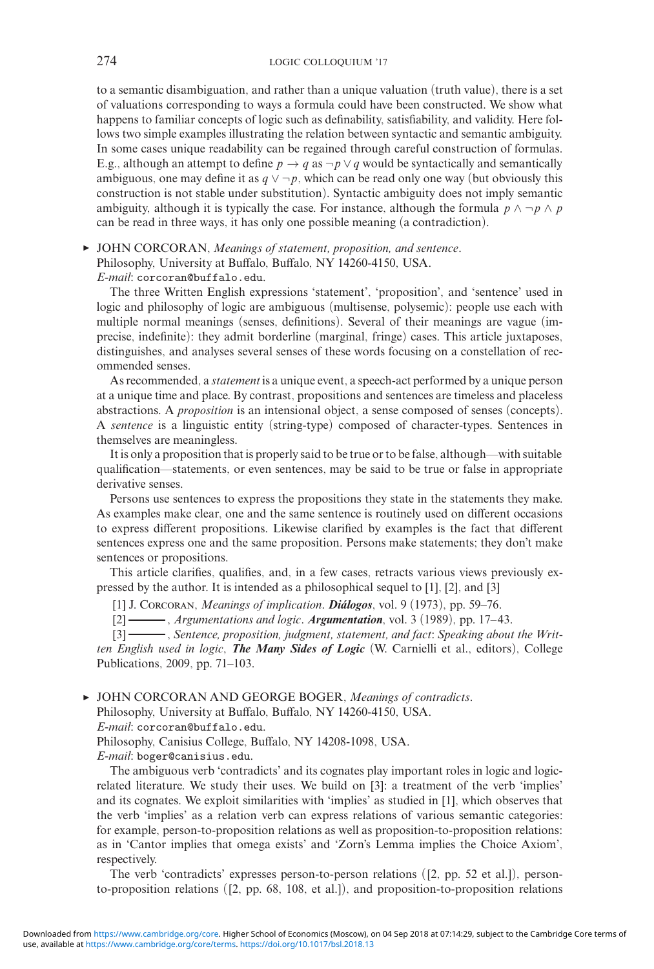to a semantic disambiguation, and rather than a unique valuation (truth value), there is a set of valuations corresponding to ways a formula could have been constructed. We show what happens to familiar concepts of logic such as definability, satisfiability, and validity. Here follows two simple examples illustrating the relation between syntactic and semantic ambiguity. In some cases unique readability can be regained through careful construction of formulas. E.g., although an attempt to define  $p \to q$  as  $\neg p \lor q$  would be syntactically and semantically ambiguous, one may define it as  $q \vee \neg p$ , which can be read only one way (but obviously this construction is not stable under substitution). Syntactic ambiguity does not imply semantic ambiguity, although it is typically the case. For instance, although the formula  $p \land \neg p \land p$ can be read in three ways, it has only one possible meaning (a contradiction).

# - JOHN CORCORAN, *Meanings of statement, proposition, and sentence*.

Philosophy, University at Buffalo, Buffalo, NY 14260-4150, USA.

### *E-mail*: corcoran@buffalo.edu.

The three Written English expressions 'statement', 'proposition', and 'sentence' used in logic and philosophy of logic are ambiguous (multisense, polysemic): people use each with multiple normal meanings (senses, definitions). Several of their meanings are vague (imprecise, indefinite): they admit borderline (marginal, fringe) cases. This article juxtaposes, distinguishes, and analyses several senses of these words focusing on a constellation of recommended senses.

As recommended, a *statement*is a unique event, a speech-act performed by a unique person at a unique time and place. By contrast, propositions and sentences are timeless and placeless abstractions. A *proposition* is an intensional object, a sense composed of senses (concepts). A *sentence* is a linguistic entity (string-type) composed of character-types. Sentences in themselves are meaningless.

It is only a proposition that is properly said to be true or to be false, although—with suitable qualification—statements, or even sentences, may be said to be true or false in appropriate derivative senses.

Persons use sentences to express the propositions they state in the statements they make. As examples make clear, one and the same sentence is routinely used on different occasions to express different propositions. Likewise clarified by examples is the fact that different sentences express one and the same proposition. Persons make statements; they don't make sentences or propositions.

This article clarifies, qualifies, and, in a few cases, retracts various views previously expressed by the author. It is intended as a philosophical sequel to [1], [2], and [3]

[1] J. Corcoran, *Meanings of implication*. *Dialogos ´* , vol. 9 (1973), pp. 59–76.

[2] , *Argumentations and logic*. *Argumentation*, vol. 3 (1989), pp. 17–43.

[3] - Sentence, proposition, judgment, statement, and fact: Speaking about the Writ*ten English used in logic*, *The Many Sides of Logic* (W. Carnielli et al., editors), College

Publications, 2009, pp. 71–103.

- JOHN CORCORAN AND GEORGE BOGER, *Meanings of contradicts*.

Philosophy, University at Buffalo, Buffalo, NY 14260-4150, USA.

*E-mail*: corcoran@buffalo.edu.

Philosophy, Canisius College, Buffalo, NY 14208-1098, USA.

*E-mail*: boger@canisius.edu.

The ambiguous verb 'contradicts' and its cognates play important roles in logic and logicrelated literature. We study their uses. We build on [3]: a treatment of the verb 'implies' and its cognates. We exploit similarities with 'implies' as studied in [1], which observes that the verb 'implies' as a relation verb can express relations of various semantic categories: for example, person-to-proposition relations as well as proposition-to-proposition relations: as in 'Cantor implies that omega exists' and 'Zorn's Lemma implies the Choice Axiom', respectively.

The verb 'contradicts' expresses person-to-person relations ( [2, pp. 52 et al.]), personto-proposition relations ([2, pp. 68, 108, et al.]), and proposition-to-proposition relations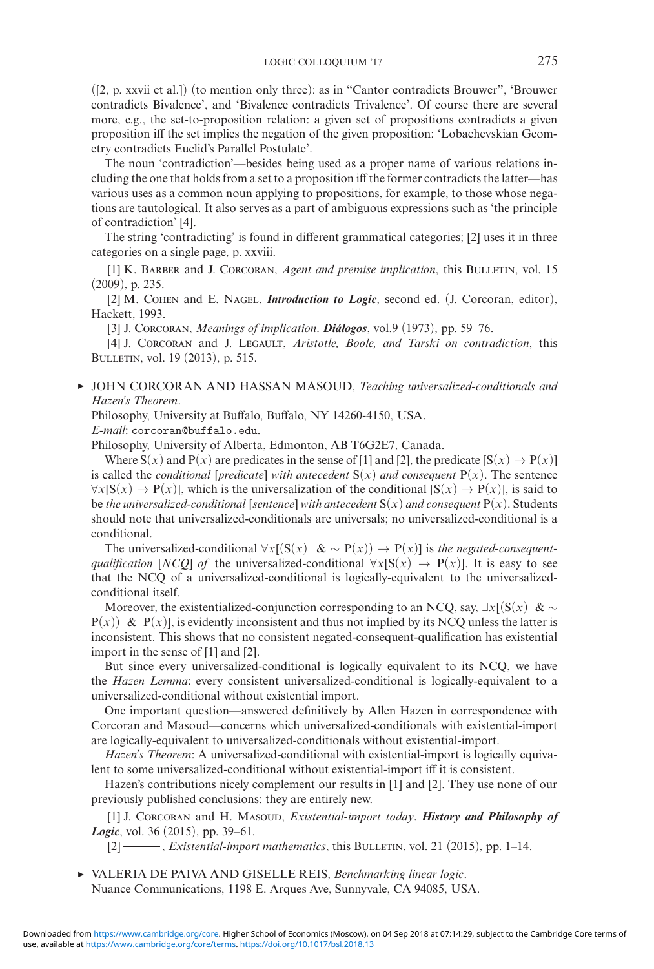([2, p. xxvii et al.]) (to mention only three): as in "Cantor contradicts Brouwer", 'Brouwer contradicts Bivalence', and 'Bivalence contradicts Trivalence'. Of course there are several more, e.g., the set-to-proposition relation: a given set of propositions contradicts a given proposition iff the set implies the negation of the given proposition: 'Lobachevskian Geometry contradicts Euclid's Parallel Postulate'.

The noun 'contradiction'—besides being used as a proper name of various relations including the one that holds from a set to a proposition iff the former contradicts the latter—has various uses as a common noun applying to propositions, for example, to those whose negations are tautological. It also serves as a part of ambiguous expressions such as 'the principle of contradiction' [4].

The string 'contradicting' is found in different grammatical categories; [2] uses it in three categories on a single page, p. xxviii.

[1] K. Barber and J. Corcoran, *Agent and premise implication*, this Bulletin, vol. 15 (2009), p. 235.

[2] M. Cohen and E. Nagel, *Introduction to Logic*, second ed. (J. Corcoran, editor), Hackett, 1993.

[3] J. CORCORAN, Meanings of implication. Diálogos, vol.9 (1973), pp. 59-76.

[4] J. Corcoran and J. Legault, *Aristotle, Boole, and Tarski on contradiction*, this Bulletin, vol. 19 (2013), p. 515.

- JOHN CORCORAN AND HASSAN MASOUD, *Teaching universalized-conditionals and Hazen's Theorem*.

Philosophy, University at Buffalo, Buffalo, NY 14260-4150, USA.

*E-mail*: corcoran@buffalo.edu.

Philosophy, University of Alberta, Edmonton, AB T6G2E7, Canada.

Where  $S(x)$  and  $P(x)$  are predicates in the sense of [1] and [2], the predicate  $[S(x) \rightarrow P(x)]$ is called the *conditional* [*predicate*] *with antecedent*  $S(x)$  *and consequent*  $P(x)$ . The sentence  $∀x[S(x) → P(x)]$ , which is the universalization of the conditional  $[S(x) → P(x)]$ , is said to be *the universalized-conditional* [*sentence*] *with antecedent*  $S(x)$  *and consequent*  $P(x)$ . Students should note that universalized-conditionals are universals; no universalized-conditional is a conditional.

The universalized-conditional  $\forall x$ [(S(*x*) &  $\sim$  P(*x*))  $\rightarrow$  P(*x*)] is *the negated-consequentqualification* [*NCQ*] *of* the universalized-conditional  $\forall x$ [S( $x$ )  $\rightarrow$  P( $x$ )]. It is easy to see that the NCQ of a universalized-conditional is logically-equivalent to the universalizedconditional itself.

Moreover, the existentialized-conjunction corresponding to an NCQ, say,  $\exists x$ [(S(*x*) & ∼  $P(x)$ ) &  $P(x)$ ], is evidently inconsistent and thus not implied by its NCQ unless the latter is inconsistent. This shows that no consistent negated-consequent-qualification has existential import in the sense of [1] and [2].

But since every universalized-conditional is logically equivalent to its NCQ, we have the *Hazen Lemma*: every consistent universalized-conditional is logically-equivalent to a universalized-conditional without existential import.

One important question—answered definitively by Allen Hazen in correspondence with Corcoran and Masoud—concerns which universalized-conditionals with existential-import are logically-equivalent to universalized-conditionals without existential-import.

*Hazen's Theorem*: A universalized-conditional with existential-import is logically equivalent to some universalized-conditional without existential-import iff it is consistent.

Hazen's contributions nicely complement our results in [1] and [2]. They use none of our previously published conclusions: they are entirely new.

[1] J. Corcoran and H. Masoud, *Existential-import today*. *History and Philosophy of Logic*, vol. 36 (2015), pp. 39–61.

[2] *- Fxistential-import mathematics*, this BULLETIN, vol. 21 (2015), pp. 1-14.

- VALERIA DE PAIVA AND GISELLE REIS, *Benchmarking linear logic*. Nuance Communications, 1198 E. Arques Ave, Sunnyvale, CA 94085, USA.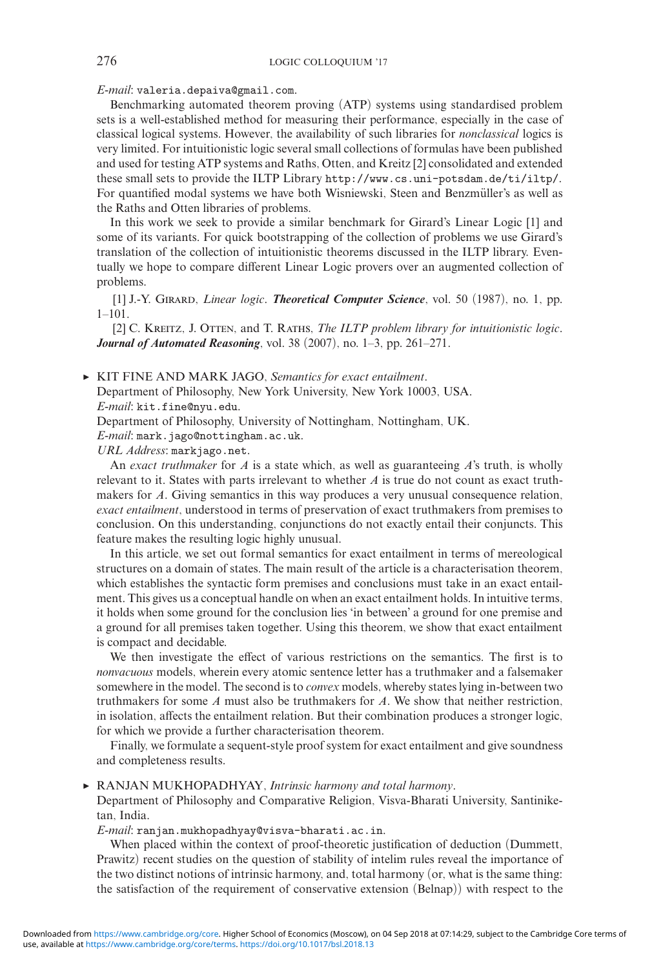*E-mail*: valeria.depaiva@gmail.com.

Benchmarking automated theorem proving (ATP) systems using standardised problem sets is a well-established method for measuring their performance, especially in the case of classical logical systems. However, the availability of such libraries for *nonclassical* logics is very limited. For intuitionistic logic several small collections of formulas have been published and used for testing ATP systems and Raths, Otten, and Kreitz [2] consolidated and extended these small sets to provide the ILTP Library http://www.cs.uni-potsdam.de/ti/iltp/. For quantified modal systems we have both Wisniewski, Steen and Benzmüller's as well as the Raths and Otten libraries of problems.

In this work we seek to provide a similar benchmark for Girard's Linear Logic [1] and some of its variants. For quick bootstrapping of the collection of problems we use Girard's translation of the collection of intuitionistic theorems discussed in the ILTP library. Eventually we hope to compare different Linear Logic provers over an augmented collection of problems.

[1] J.-Y. Girard, *Linear logic*. *Theoretical Computer Science*, vol. 50 (1987), no. 1, pp.  $1-101$ .

[2] C. Kreitz, J. Otten, and T. Raths, *The ILTP problem library for intuitionistic logic*. *Journal of Automated Reasoning*, vol. 38 (2007), no. 1–3, pp. 261–271.

- KIT FINE AND MARK JAGO, *Semantics for exact entailment*.

Department of Philosophy, New York University, New York 10003, USA. *E-mail*: kit.fine@nyu.edu.

Department of Philosophy, University of Nottingham, Nottingham, UK.

*E-mail*: mark.jago@nottingham.ac.uk.

*URL Address*: markjago.net.

An *exact truthmaker* for *A* is a state which, as well as guaranteeing *A*'s truth, is wholly relevant to it. States with parts irrelevant to whether *A* is true do not count as exact truthmakers for *A*. Giving semantics in this way produces a very unusual consequence relation, *exact entailment*, understood in terms of preservation of exact truthmakers from premises to conclusion. On this understanding, conjunctions do not exactly entail their conjuncts. This feature makes the resulting logic highly unusual.

In this article, we set out formal semantics for exact entailment in terms of mereological structures on a domain of states. The main result of the article is a characterisation theorem, which establishes the syntactic form premises and conclusions must take in an exact entailment. This gives us a conceptual handle on when an exact entailment holds. In intuitive terms, it holds when some ground for the conclusion lies 'in between' a ground for one premise and a ground for all premises taken together. Using this theorem, we show that exact entailment is compact and decidable.

We then investigate the effect of various restrictions on the semantics. The first is to *nonvacuous* models, wherein every atomic sentence letter has a truthmaker and a falsemaker somewhere in the model. The second is to *convex* models, whereby states lying in-between two truthmakers for some *A* must also be truthmakers for *A*. We show that neither restriction, in isolation, affects the entailment relation. But their combination produces a stronger logic, for which we provide a further characterisation theorem.

Finally, we formulate a sequent-style proof system for exact entailment and give soundness and completeness results.

#### - RANJAN MUKHOPADHYAY, *Intrinsic harmony and total harmony*.

Department of Philosophy and Comparative Religion, Visva-Bharati University, Santiniketan, India.

*E-mail*: ranjan.mukhopadhyay@visva-bharati.ac.in.

When placed within the context of proof-theoretic justification of deduction (Dummett, Prawitz) recent studies on the question of stability of intelim rules reveal the importance of the two distinct notions of intrinsic harmony, and, total harmony (or, what is the same thing: the satisfaction of the requirement of conservative extension (Belnap)) with respect to the